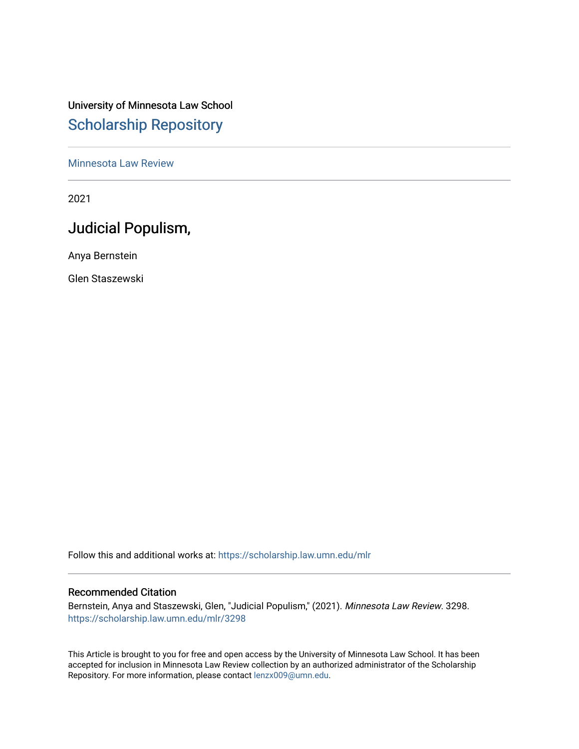# University of Minnesota Law School [Scholarship Repository](https://scholarship.law.umn.edu/)

## [Minnesota Law Review](https://scholarship.law.umn.edu/mlr)

2021

# Judicial Populism,

Anya Bernstein

Glen Staszewski

Follow this and additional works at: [https://scholarship.law.umn.edu/mlr](https://scholarship.law.umn.edu/mlr?utm_source=scholarship.law.umn.edu%2Fmlr%2F3298&utm_medium=PDF&utm_campaign=PDFCoverPages)

## Recommended Citation

Bernstein, Anya and Staszewski, Glen, "Judicial Populism," (2021). Minnesota Law Review. 3298. [https://scholarship.law.umn.edu/mlr/3298](https://scholarship.law.umn.edu/mlr/3298?utm_source=scholarship.law.umn.edu%2Fmlr%2F3298&utm_medium=PDF&utm_campaign=PDFCoverPages)

This Article is brought to you for free and open access by the University of Minnesota Law School. It has been accepted for inclusion in Minnesota Law Review collection by an authorized administrator of the Scholarship Repository. For more information, please contact [lenzx009@umn.edu.](mailto:lenzx009@umn.edu)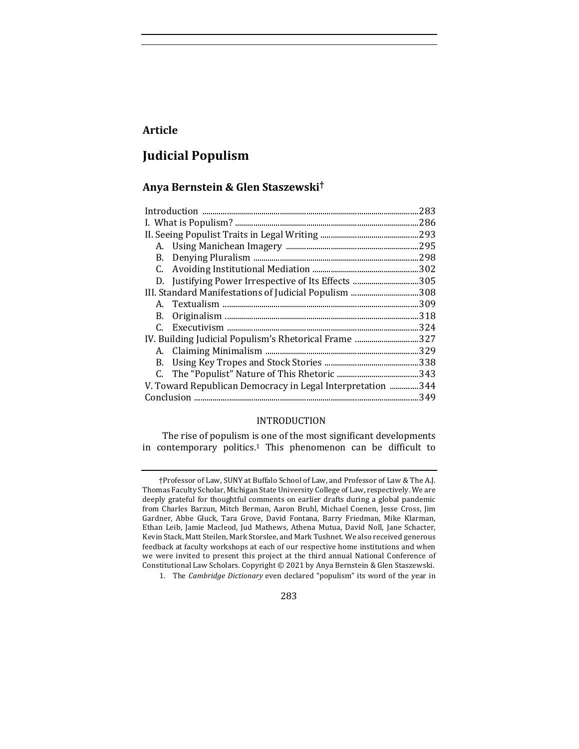# **Article**

# **Judicial Populism**

# **Anya Bernstein & Glen Staszewski†**

| 283                                                         |
|-------------------------------------------------------------|
|                                                             |
|                                                             |
|                                                             |
| 298                                                         |
| .302                                                        |
| D. Justifying Power Irrespective of Its Effects  305        |
|                                                             |
|                                                             |
|                                                             |
|                                                             |
| IV. Building Judicial Populism's Rhetorical Frame  327      |
|                                                             |
|                                                             |
|                                                             |
| V. Toward Republican Democracy in Legal Interpretation  344 |
|                                                             |
|                                                             |

## INTRODUCTION

The rise of populism is one of the most significant developments in contemporary politics.<sup>1</sup> This phenomenon can be difficult to

283

<sup>†</sup>Professor of Law, SUNY at Buffalo School of Law, and Professor of Law & The A.J. Thomas Faculty Scholar, Michigan State University College of Law, respectively. We are deeply grateful for thoughtful comments on earlier drafts during a global pandemic from Charles Barzun, Mitch Berman, Aaron Bruhl, Michael Coenen, Jesse Cross, Jim Gardner, Abbe Gluck, Tara Grove, David Fontana, Barry Friedman, Mike Klarman, Ethan Leib, Jamie Macleod, Jud Mathews, Athena Mutua, David Noll, Jane Schacter, Kevin Stack, Matt Steilen, Mark Storslee, and Mark Tushnet. We also received generous feedback at faculty workshops at each of our respective home institutions and when we were invited to present this project at the third annual National Conference of Constitutional Law Scholars. Copyright © 2021 by Anya Bernstein & Glen Staszewski.

<sup>1.</sup> The *Cambridge Dictionary* even declared "populism" its word of the year in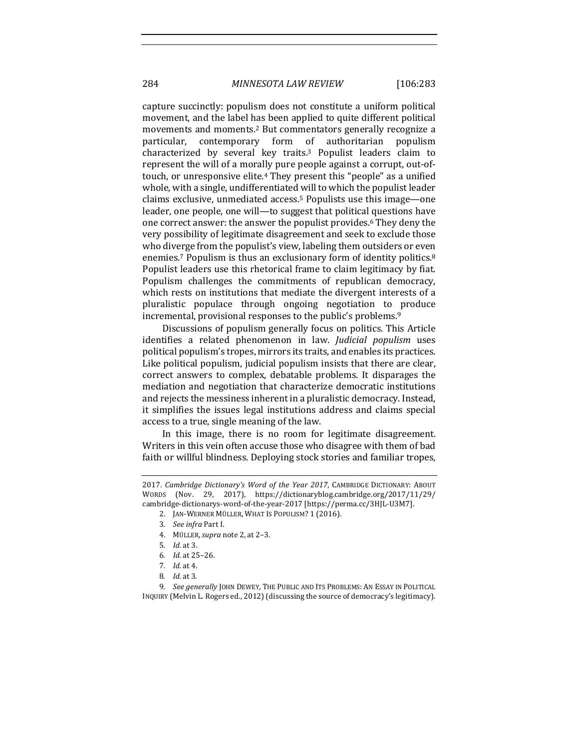284 *MINNESOTA LAW REVIEW* [106:283

capture succinctly: populism does not constitute a uniform political movement, and the label has been applied to quite different political movements and moments.<sup>2</sup> But commentators generally recognize a particular, contemporary form of authoritarian populism characterized by several key traits.<sup>3</sup> Populist leaders claim to represent the will of a morally pure people against a corrupt, out-oftouch, or unresponsive elite.<sup>4</sup> They present this "people" as a unified whole, with a single, undifferentiated will to which the populist leader claims exclusive, unmediated access.<sup>5</sup> Populists use this image—one leader, one people, one will—to suggest that political questions have one correct answer: the answer the populist provides.<sup>6</sup> They deny the very possibility of legitimate disagreement and seek to exclude those who diverge from the populist's view, labeling them outsiders or even enemies.<sup>7</sup> Populism is thus an exclusionary form of identity politics.<sup>8</sup> Populist leaders use this rhetorical frame to claim legitimacy by fiat. Populism challenges the commitments of republican democracy, which rests on institutions that mediate the divergent interests of a pluralistic populace through ongoing negotiation to produce incremental, provisional responses to the public's problems.<sup>9</sup>

Discussions of populism generally focus on politics. This Article identifies a related phenomenon in law. *Judicial populism* uses political populism's tropes, mirrors its traits, and enables its practices. Like political populism, judicial populism insists that there are clear, correct answers to complex, debatable problems. It disparages the mediation and negotiation that characterize democratic institutions and rejects the messiness inherent in a pluralistic democracy. Instead, it simplifies the issues legal institutions address and claims special access to a true, single meaning of the law.

In this image, there is no room for legitimate disagreement. Writers in this vein often accuse those who disagree with them of bad faith or willful blindness. Deploying stock stories and familiar tropes,

<sup>2017.</sup> *Cambridge Dictionary's Word of the Year 2017*, CAMBRIDGE DICTIONARY: ABOUT WORDS (Nov. 29, 2017), https://dictionaryblog.cambridge.org/2017/11/29/ cambridge-dictionarys-word-of-the-year-2017 [https://perma.cc/3HJL-U3M7].

<sup>2.</sup> JAN-WERNER MÜLLER, WHAT IS POPULISM? 1 (2016).

<sup>3.</sup> *See infra* Part I.

<sup>4.</sup> MÜLLER,*supra* note 2, at 2–3.

<sup>5</sup>*. Id.* at 3.

<sup>6</sup>*. Id.* at 25–26.

<sup>7.</sup> *Id.* at 4.

<sup>8</sup>*. Id.* at 3.

<sup>9.</sup> *See generally* JOHN DEWEY, THE PUBLIC AND ITS PROBLEMS: AN ESSAY IN POLITICAL INQUIRY (Melvin L. Rogers ed., 2012) (discussing the source of democracy's legitimacy).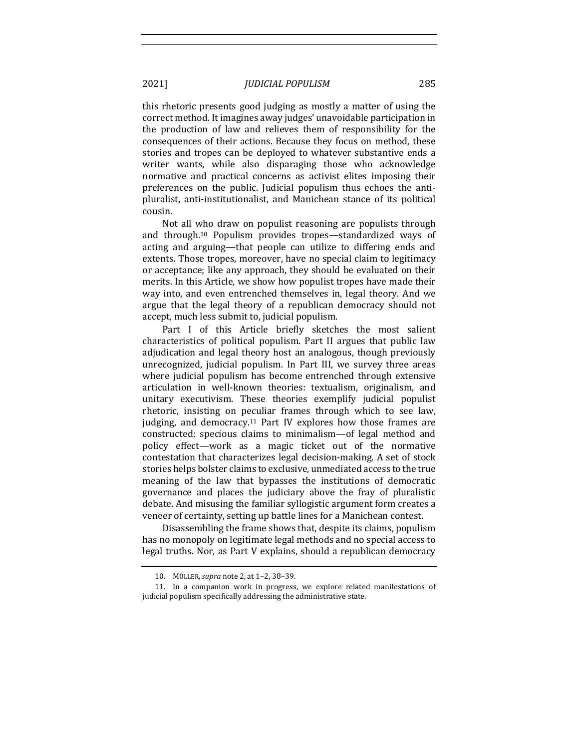this rhetoric presents good judging as mostly a matter of using the correct method. It imagines away judges' unavoidable participation in the production of law and relieves them of responsibility for the consequences of their actions. Because they focus on method, these stories and tropes can be deployed to whatever substantive ends a writer wants, while also disparaging those who acknowledge normative and practical concerns as activist elites imposing their preferences on the public. Judicial populism thus echoes the antipluralist, anti-institutionalist, and Manichean stance of its political cousin. 

Not all who draw on populist reasoning are populists through and through.<sup>10</sup> Populism provides tropes—standardized ways of acting and arguing—that people can utilize to differing ends and extents. Those tropes, moreover, have no special claim to legitimacy or acceptance; like any approach, they should be evaluated on their merits. In this Article, we show how populist tropes have made their way into, and even entrenched themselves in, legal theory. And we argue that the legal theory of a republican democracy should not accept, much less submit to, judicial populism.

Part I of this Article briefly sketches the most salient characteristics of political populism. Part II argues that public law adjudication and legal theory host an analogous, though previously unrecognized, judicial populism. In Part III, we survey three areas where judicial populism has become entrenched through extensive articulation in well-known theories: textualism, originalism, and unitary executivism. These theories exemplify judicial populist rhetoric, insisting on peculiar frames through which to see law, judging, and democracy.<sup>11</sup> Part IV explores how those frames are constructed: specious claims to minimalism—of legal method and policy effect—work as a magic ticket out of the normative contestation that characterizes legal decision-making. A set of stock stories helps bolster claims to exclusive, unmediated access to the true meaning of the law that bypasses the institutions of democratic governance and places the judiciary above the fray of pluralistic debate. And misusing the familiar syllogistic argument form creates a veneer of certainty, setting up battle lines for a Manichean contest.

Disassembling the frame shows that, despite its claims, populism has no monopoly on legitimate legal methods and no special access to legal truths. Nor, as Part V explains, should a republican democracy

<sup>10.</sup> MÜLLER,*supra* note 2, at 1–2, 38–39.

<sup>11.</sup> In a companion work in progress, we explore related manifestations of judicial populism specifically addressing the administrative state.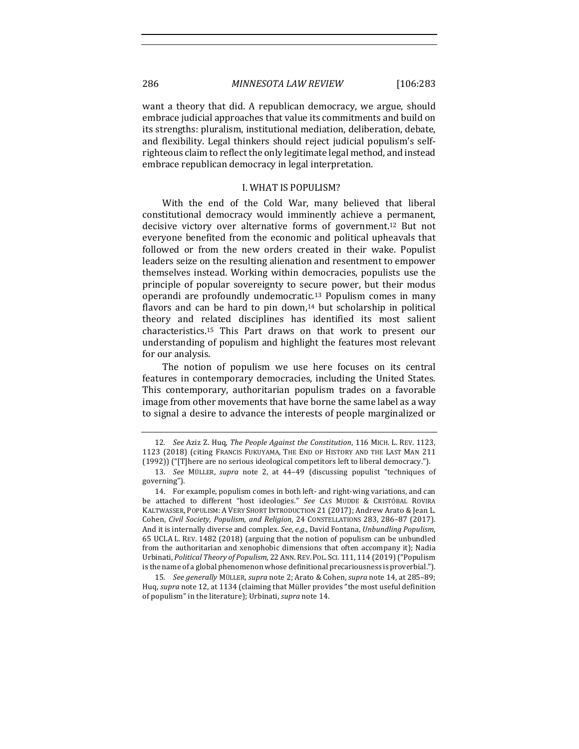want a theory that did. A republican democracy, we argue, should embrace judicial approaches that value its commitments and build on its strengths: pluralism, institutional mediation, deliberation, debate, and flexibility. Legal thinkers should reject judicial populism's selfrighteous claim to reflect the only legitimate legal method, and instead embrace republican democracy in legal interpretation.

## **I. WHAT IS POPULISM?**

With the end of the Cold War, many believed that liberal constitutional democracy would imminently achieve a permanent, decisive victory over alternative forms of government.<sup>12</sup> But not everyone benefited from the economic and political upheavals that followed or from the new orders created in their wake. Populist leaders seize on the resulting alienation and resentment to empower themselves instead. Working within democracies, populists use the principle of popular sovereignty to secure power, but their modus operandi are profoundly undemocratic.<sup>13</sup> Populism comes in many flavors and can be hard to pin down,<sup>14</sup> but scholarship in political theory and related disciplines has identified its most salient characteristics.<sup>15</sup> This Part draws on that work to present our understanding of populism and highlight the features most relevant for our analysis.

The notion of populism we use here focuses on its central features in contemporary democracies, including the United States. This contemporary, authoritarian populism trades on a favorable image from other movements that have borne the same label as a way to signal a desire to advance the interests of people marginalized or

<sup>12</sup>*. See* Aziz Z. Huq, *The People Against the Constitution*, 116 MICH. L. REV. 1123, 1123 (2018) (citing FRANCIS FUKUYAMA, THE END OF HISTORY AND THE LAST MAN 211 (1992)) ("[T]here are no serious ideological competitors left to liberal democracy.").

<sup>13.</sup> *See*  MÜLLER, *supra*  note 2, at 44–49 (discussing populist "techniques of governing").

<sup>14.</sup> For example, populism comes in both left- and right-wing variations, and can be attached to different "host ideologies." *See* CAS MUDDE & CRISTÓBAL ROVIRA KALTWASSER, POPULISM: A VERY SHORT INTRODUCTION 21 (2017); Andrew Arato & Jean L. Cohen, *Civil Society, Populism, and Religion*, 24 CONSTELLATIONS 283, 286-87 (2017). And it is internally diverse and complex. *See, e.g.*, David Fontana, *Unbundling Populism*, 65 UCLA L. REV. 1482 (2018) (arguing that the notion of populism can be unbundled from the authoritarian and xenophobic dimensions that often accompany it); Nadia Urbinati, *Political Theory of Populism*, 22 ANN. REV. POL. SCI. 111, 114 (2019) ("Populism is the name of a global phenomenon whose definitional precariousness is proverbial.").

<sup>15.</sup> *See generally* MÜLLER, *supra* note 2; Arato & Cohen, *supra* note 14, at 285-89; Huq, *supra* note 12, at 1134 (claiming that Müller provides "the most useful definition of populism" in the literature); Urbinati, *supra* note 14.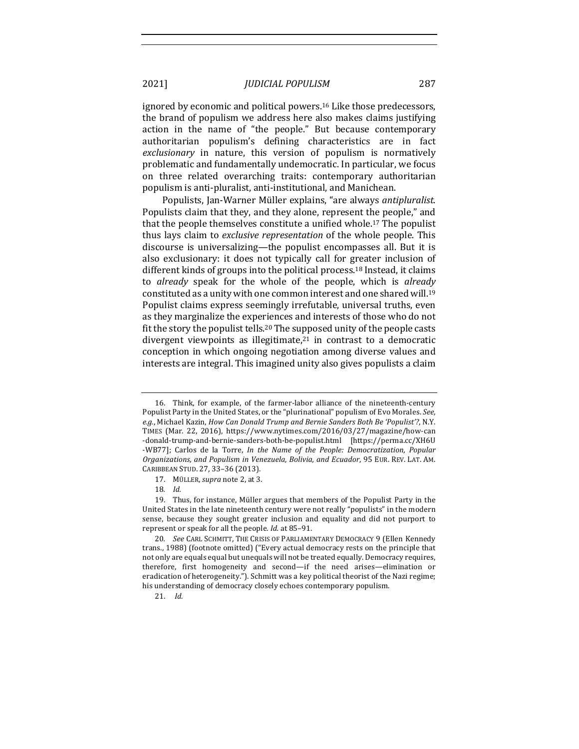ignored by economic and political powers.<sup>16</sup> Like those predecessors, the brand of populism we address here also makes claims justifying action in the name of "the people." But because contemporary authoritarian populism's defining characteristics are in fact exclusionary in nature, this version of populism is normatively problematic and fundamentally undemocratic. In particular, we focus on three related overarching traits: contemporary authoritarian populism is anti-pluralist, anti-institutional, and Manichean.

Populists, Jan-Warner Müller explains, "are always *antipluralist*. Populists claim that they, and they alone, represent the people," and that the people themselves constitute a unified whole.<sup>17</sup> The populist thus lays claim to *exclusive representation* of the whole people. This discourse is universalizing—the populist encompasses all. But it is also exclusionary: it does not typically call for greater inclusion of different kinds of groups into the political process.<sup>18</sup> Instead, it claims to *already* speak for the whole of the people, which is *already* constituted as a unity with one common interest and one shared will.<sup>19</sup> Populist claims express seemingly irrefutable, universal truths, even as they marginalize the experiences and interests of those who do not fit the story the populist tells.<sup>20</sup> The supposed unity of the people casts divergent viewpoints as illegitimate, $21$  in contrast to a democratic conception in which ongoing negotiation among diverse values and interests are integral. This imagined unity also gives populists a claim

<sup>16.</sup> Think, for example, of the farmer-labor alliance of the nineteenth-century Populist Party in the United States, or the "plurinational" populism of Evo Morales. *See*, e.g., Michael Kazin, *How Can Donald Trump and Bernie Sanders Both Be 'Populist'?*, N.Y. TIMES (Mar. 22, 2016), https://www.nytimes.com/2016/03/27/magazine/how-can -donald-trump-and-bernie-sanders-both-be-populist.html [https://perma.cc/XH6U -WB77]; Carlos de la Torre, *In the Name of the People: Democratization*, *Popular Organizations, and Populism in Venezuela, Bolivia, and Ecuador*, 95 EUR. REV. LAT. AM. CARIBBEAN STUD. 27, 33–36 (2013).

<sup>17.</sup> MÜLLER, *supra* note 2, at 3.

<sup>18</sup>*. Id.*

<sup>19.</sup> Thus, for instance, Müller argues that members of the Populist Party in the United States in the late nineteenth century were not really "populists" in the modern sense, because they sought greater inclusion and equality and did not purport to represent or speak for all the people. *Id.* at 85-91.

<sup>20.</sup> *See* CARL SCHMITT, THE CRISIS OF PARLIAMENTARY DEMOCRACY 9 (Ellen Kennedy trans., 1988) (footnote omitted) ("Every actual democracy rests on the principle that not only are equals equal but unequals will not be treated equally. Democracy requires, therefore, first homogeneity and second—if the need arises—elimination or eradication of heterogeneity."). Schmitt was a key political theorist of the Nazi regime; his understanding of democracy closely echoes contemporary populism.

<sup>21.</sup> *Id.*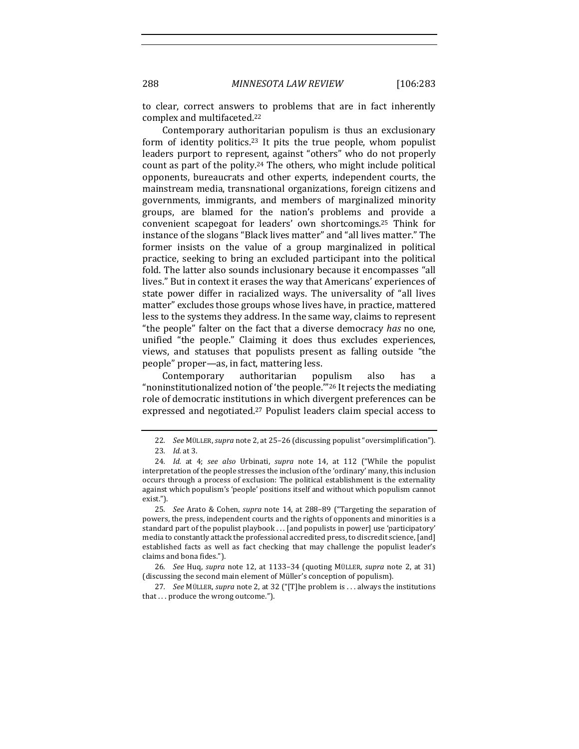to clear, correct answers to problems that are in fact inherently complex and multifaceted.<sup>22</sup>

Contemporary authoritarian populism is thus an exclusionary form of identity politics.<sup>23</sup> It pits the true people, whom populist leaders purport to represent, against "others" who do not properly count as part of the polity.<sup>24</sup> The others, who might include political opponents, bureaucrats and other experts, independent courts, the mainstream media, transnational organizations, foreign citizens and governments, immigrants, and members of marginalized minority groups, are blamed for the nation's problems and provide a convenient scapegoat for leaders' own shortcomings.<sup>25</sup> Think for instance of the slogans "Black lives matter" and "all lives matter." The former insists on the value of a group marginalized in political practice, seeking to bring an excluded participant into the political fold. The latter also sounds inclusionary because it encompasses "all lives." But in context it erases the way that Americans' experiences of state power differ in racialized ways. The universality of "all lives matter" excludes those groups whose lives have, in practice, mattered less to the systems they address. In the same way, claims to represent "the people" falter on the fact that a diverse democracy *has* no one, unified "the people." Claiming it does thus excludes experiences, views, and statuses that populists present as falling outside "the people" proper—as, in fact, mattering less.

Contemporary authoritarian populism also has "noninstitutionalized notion of 'the people."<sup>26</sup> It rejects the mediating role of democratic institutions in which divergent preferences can be expressed and negotiated.<sup>27</sup> Populist leaders claim special access to

<sup>22.</sup> *See MÜLLER, supra* note 2, at 25-26 (discussing populist "oversimplification").

<sup>23</sup>*. Id.* at 3.

<sup>24.</sup> *Id.* at 4; see also Urbinati, supra note 14, at 112 ("While the populist interpretation of the people stresses the inclusion of the 'ordinary' many, this inclusion occurs through a process of exclusion: The political establishment is the externality against which populism's 'people' positions itself and without which populism cannot exist.").

<sup>25.</sup> *See* Arato & Cohen, *supra* note 14, at 288-89 ("Targeting the separation of powers, the press, independent courts and the rights of opponents and minorities is a standard part of the populist playbook  $\dots$  [and populists in power] use 'participatory' media to constantly attack the professional accredited press, to discredit science, [and] established facts as well as fact checking that may challenge the populist leader's claims and bona fides.").

<sup>26</sup>*. See* Huq, *supra* note 12, at 1133–34 (quoting MÜLLER, *supra* note 2, at 31) (discussing the second main element of Müller's conception of populism).

<sup>27</sup>*. See* MÜLLER, *supra* note 2, at 32 ("[T]he problem is ... always the institutions that ... produce the wrong outcome.").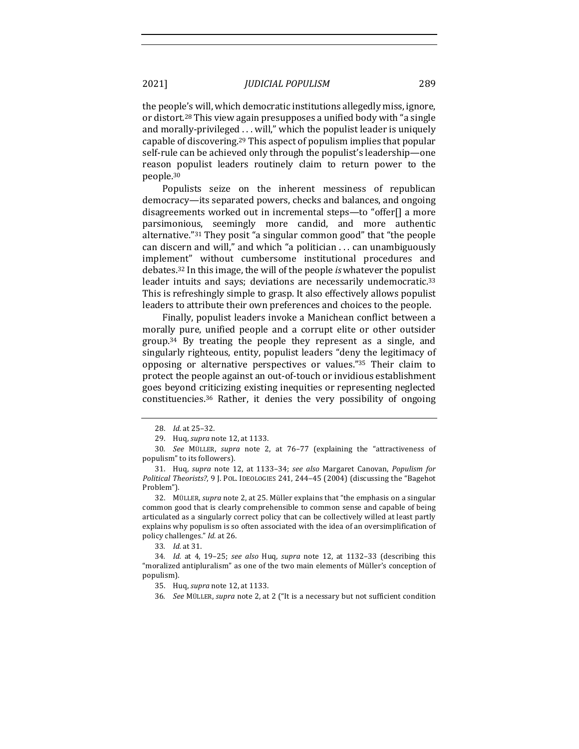the people's will, which democratic institutions allegedly miss, ignore, or distort.<sup>28</sup> This view again presupposes a unified body with "a single and morally-privileged ... will," which the populist leader is uniquely capable of discovering.<sup>29</sup> This aspect of populism implies that popular self-rule can be achieved only through the populist's leadership-one reason populist leaders routinely claim to return power to the people.30

Populists seize on the inherent messiness of republican democracy—its separated powers, checks and balances, and ongoing disagreements worked out in incremental steps—to "offer[] a more parsimonious, seemingly more candid, and more authentic alternative."<sup>31</sup> They posit "a singular common good" that "the people can discern and will," and which "a politician  $\ldots$  can unambiguously implement" without cumbersome institutional procedures and debates.<sup>32</sup> In this image, the will of the people *is* whatever the populist leader intuits and says; deviations are necessarily undemocratic.<sup>33</sup> This is refreshingly simple to grasp. It also effectively allows populist leaders to attribute their own preferences and choices to the people.

Finally, populist leaders invoke a Manichean conflict between a morally pure, unified people and a corrupt elite or other outsider group.<sup>34</sup> By treating the people they represent as a single, and singularly righteous, entity, populist leaders "deny the legitimacy of opposing or alternative perspectives or values."35 Their claim to protect the people against an out-of-touch or invidious establishment goes beyond criticizing existing inequities or representing neglected constituencies. $36$  Rather, it denies the very possibility of ongoing

32. MÜLLER, *supra* note 2, at 25. Müller explains that "the emphasis on a singular common good that is clearly comprehensible to common sense and capable of being articulated as a singularly correct policy that can be collectively willed at least partly explains why populism is so often associated with the idea of an oversimplification of policy challenges." *Id.* at 26.

33*. Id.* at 31.

<sup>28.</sup> *Id.* at 25-32.

<sup>29.</sup> Huq, *supra* note 12, at 1133.

<sup>30</sup>*. See*  MÜLLER, *supra*  note 2, at 76–77 (explaining the "attractiveness of populism" to its followers).

<sup>31.</sup> Huq, *supra* note 12, at 1133-34; *see also* Margaret Canovan, *Populism for Political Theorists?*, 9 J. POL. IDEOLOGIES 241, 244-45 (2004) (discussing the "Bagehot Problem").

<sup>34.</sup> *Id.* at 4, 19-25; see also Huq, supra note 12, at 1132-33 (describing this "moralized antipluralism" as one of the two main elements of Müller's conception of populism).

<sup>35.</sup> Huq, *supra* note 12, at 1133.

<sup>36.</sup> *See MÜLLER, supra* note 2, at 2 ("It is a necessary but not sufficient condition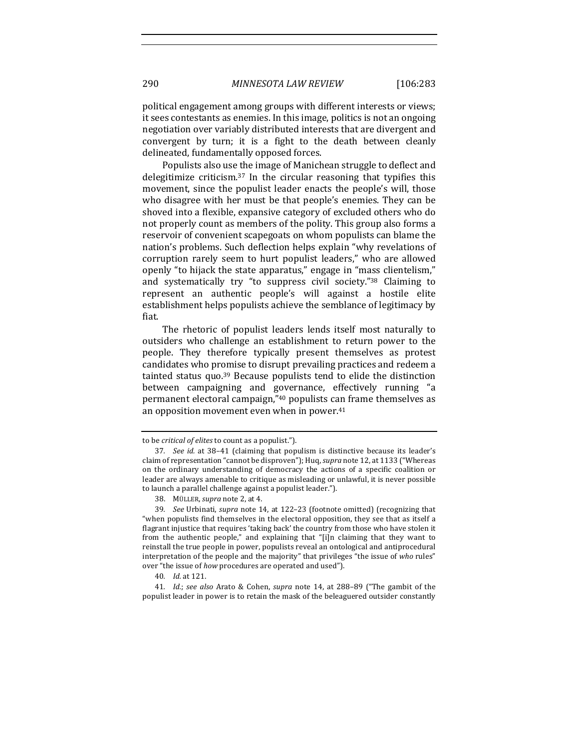political engagement among groups with different interests or views; it sees contestants as enemies. In this image, politics is not an ongoing negotiation over variably distributed interests that are divergent and convergent by turn; it is a fight to the death between cleanly delineated, fundamentally opposed forces.

Populists also use the image of Manichean struggle to deflect and delegitimize criticism.<sup>37</sup> In the circular reasoning that typifies this movement, since the populist leader enacts the people's will, those who disagree with her must be that people's enemies. They can be shoved into a flexible, expansive category of excluded others who do not properly count as members of the polity. This group also forms a reservoir of convenient scapegoats on whom populists can blame the nation's problems. Such deflection helps explain "why revelations of corruption rarely seem to hurt populist leaders," who are allowed openly "to hijack the state apparatus," engage in "mass clientelism," and systematically try "to suppress civil society."<sup>38</sup> Claiming to represent an authentic people's will against a hostile elite establishment helps populists achieve the semblance of legitimacy by fiat.

The rhetoric of populist leaders lends itself most naturally to outsiders who challenge an establishment to return power to the people. They therefore typically present themselves as protest candidates who promise to disrupt prevailing practices and redeem a tainted status quo.<sup>39</sup> Because populists tend to elide the distinction between campaigning and governance, effectively running "a permanent electoral campaign,"40 populists can frame themselves as an opposition movement even when in power. $41$ 

to be *critical* of elites to count as a populist.").

<sup>37.</sup> *See id.* at 38-41 (claiming that populism is distinctive because its leader's claim of representation "cannot be disproven"); Huq, supra note 12, at 1133 ("Whereas on the ordinary understanding of democracy the actions of a specific coalition or leader are always amenable to critique as misleading or unlawful, it is never possible to launch a parallel challenge against a populist leader.").

<sup>38.</sup> MÜLLER, *supra* note 2, at 4.

<sup>39.</sup> *See* Urbinati, *supra* note 14, at 122-23 (footnote omitted) (recognizing that "when populists find themselves in the electoral opposition, they see that as itself a flagrant injustice that requires 'taking back' the country from those who have stolen it from the authentic people," and explaining that "[i]n claiming that they want to reinstall the true people in power, populists reveal an ontological and antiprocedural interpretation of the people and the majority" that privileges "the issue of who rules" over "the issue of how procedures are operated and used").

<sup>40</sup>*. Id.* at 121.

<sup>41.</sup> *Id.*; see also Arato & Cohen, supra note 14, at 288-89 ("The gambit of the populist leader in power is to retain the mask of the beleaguered outsider constantly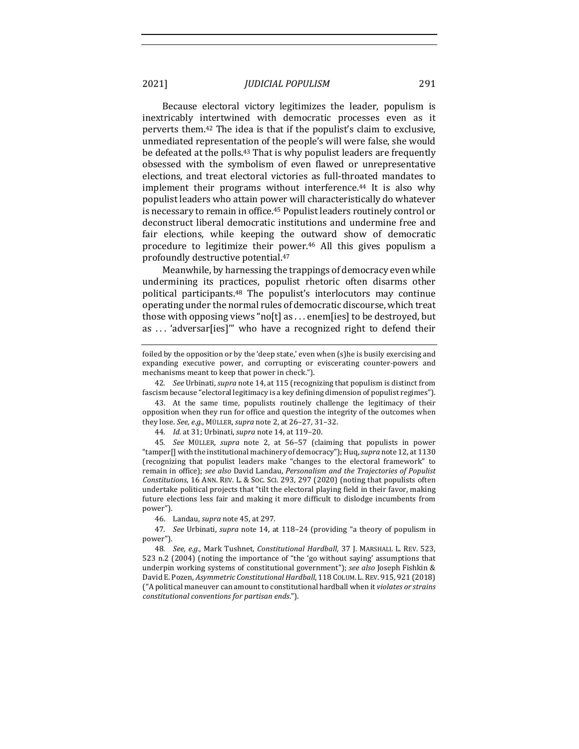Because electoral victory legitimizes the leader, populism is inextricably intertwined with democratic processes even as it perverts them.<sup>42</sup> The idea is that if the populist's claim to exclusive, unmediated representation of the people's will were false, she would be defeated at the polls.<sup>43</sup> That is why populist leaders are frequently obsessed with the symbolism of even flawed or unrepresentative elections, and treat electoral victories as full-throated mandates to implement their programs without interference.<sup>44</sup> It is also why populist leaders who attain power will characteristically do whatever is necessary to remain in office.<sup>45</sup> Populist leaders routinely control or deconstruct liberal democratic institutions and undermine free and fair elections, while keeping the outward show of democratic procedure to legitimize their power.<sup>46</sup> All this gives populism a profoundly destructive potential.<sup>47</sup>

Meanwhile, by harnessing the trappings of democracy even while undermining its practices, populist rhetoric often disarms other political participants.<sup>48</sup> The populist's interlocutors may continue operating under the normal rules of democratic discourse, which treat those with opposing views "no[t] as ... enem[ies] to be destroyed, but as ... 'adversar[ies]'" who have a recognized right to defend their

42. *See Urbinati, supra note 14, at 115* (recognizing that populism is distinct from fascism because "electoral legitimacy is a key defining dimension of populist regimes").

46. Landau, *supra* note 45, at 297.

foiled by the opposition or by the 'deep state,' even when (s)he is busily exercising and expanding executive power, and corrupting or eviscerating counter-powers and mechanisms meant to keep that power in check.").

<sup>43.</sup> At the same time, populists routinely challenge the legitimacy of their opposition when they run for office and question the integrity of the outcomes when they lose. *See, e.g.*, MÜLLER, *supra* note 2, at 26-27, 31-32.

<sup>44.</sup> *Id.* at 31; Urbinati, *supra* note 14, at 119-20.

<sup>45</sup>*. See*  MÜLLER, *supra*  note 2, at 56–57 (claiming that populists in power "tamper<sup>[]</sup> with the institutional machinery of democracy"); Huq, *supra* note 12, at 1130 (recognizing that populist leaders make "changes to the electoral framework" to remain in office); *see also* David Landau, *Personalism and the Trajectories of Populist Constitutions*, 16 ANN. REV. L. & Soc. Sci. 293, 297 (2020) (noting that populists often undertake political projects that "tilt the electoral playing field in their favor, making future elections less fair and making it more difficult to dislodge incumbents from power").

<sup>47.</sup> *See* Urbinati, *supra* note 14, at 118–24 (providing "a theory of populism in power").

<sup>48.</sup> *See, e.g.*, Mark Tushnet, *Constitutional Hardball*, 37 J. MARSHALL L. REV. 523, 523 n.2  $(2004)$  (noting the importance of "the 'go without saying' assumptions that underpin working systems of constitutional government"); see also Joseph Fishkin & David E. Pozen, *Asymmetric Constitutional Hardball*, 118 COLUM. L. REV. 915, 921 (2018) ("A political maneuver can amount to constitutional hardball when it *violates or strains constitutional conventions for partisan ends*.").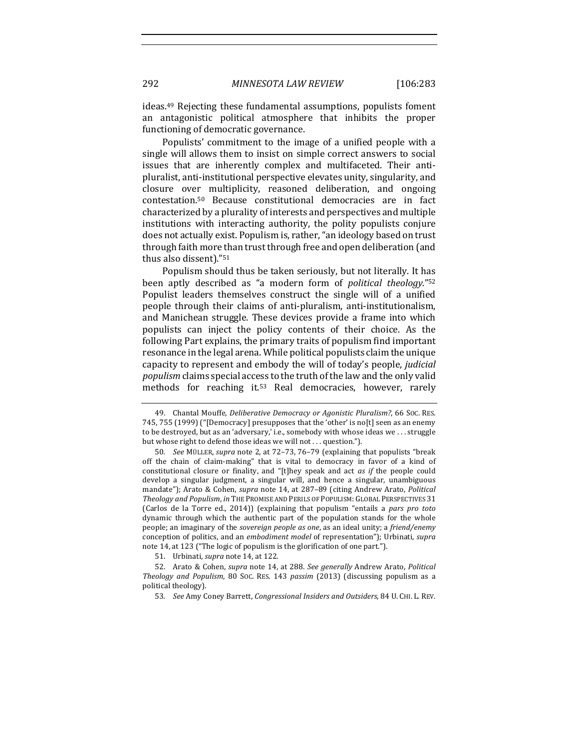ideas.<sup>49</sup> Rejecting these fundamental assumptions, populists foment an antagonistic political atmosphere that inhibits the proper functioning of democratic governance.

Populists' commitment to the image of a unified people with a single will allows them to insist on simple correct answers to social issues that are inherently complex and multifaceted. Their antipluralist, anti-institutional perspective elevates unity, singularity, and closure over multiplicity, reasoned deliberation, and ongoing contestation.50 Because constitutional democracies are in fact characterized by a plurality of interests and perspectives and multiple institutions with interacting authority, the polity populists conjure does not actually exist. Populism is, rather, "an ideology based on trust through faith more than trust through free and open deliberation (and thus also dissent)."<sup>51</sup>

Populism should thus be taken seriously, but not literally. It has been aptly described as "a modern form of *political theology*."<sup>52</sup> Populist leaders themselves construct the single will of a unified people through their claims of anti-pluralism, anti-institutionalism, and Manichean struggle. These devices provide a frame into which populists can inject the policy contents of their choice. As the following Part explains, the primary traits of populism find important resonance in the legal arena. While political populists claim the unique capacity to represent and embody the will of today's people, *judicial populism* claims special access to the truth of the law and the only valid methods for reaching it.<sup>53</sup> Real democracies, however, rarely

51. Urbinati, *supra* note 14, at 122.

<sup>49.</sup> Chantal Mouffe, *Deliberative Democracy or Agonistic Pluralism?*, 66 Soc. RES. 745, 755 (1999) ("[Democracy] presupposes that the 'other' is no[t] seen as an enemy to be destroyed, but as an 'adversary,' i.e., somebody with whose ideas we  $\dots$  struggle but whose right to defend those ideas we will not ... question.").

<sup>50</sup>*. See* MÜLLER, *supra* note 2, at 72–73, 76–79 (explaining that populists "break off the chain of claim-making" that is vital to democracy in favor of a kind of constitutional closure or finality, and "[t]hey speak and act *as* if the people could develop a singular judgment, a singular will, and hence a singular, unambiguous mandate"); Arato & Cohen, *supra* note 14, at 287-89 (citing Andrew Arato, *Political* Theology and Populism, in THE PROMISE AND PERILS OF POPULISM: GLOBAL PERSPECTIVES 31 (Carlos de la Torre ed., 2014)) (explaining that populism "entails a pars pro toto dynamic through which the authentic part of the population stands for the whole people; an imaginary of the *sovereign people as one*, as an ideal unity; a *friend/enemy* conception of politics, and an *embodiment model* of representation"); Urbinati, *supra* note 14, at 123 ("The logic of populism is the glorification of one part.").

<sup>52.</sup> Arato & Cohen, *supra* note 14, at 288. See generally Andrew Arato, Political *Theology and Populism*, 80 Soc. RES. 143 *passim* (2013) (discussing populism as a political theology).

<sup>53</sup>*. See* Amy Coney Barrett, *Congressional Insiders and Outsiders*, 84 U. CHI. L. REV.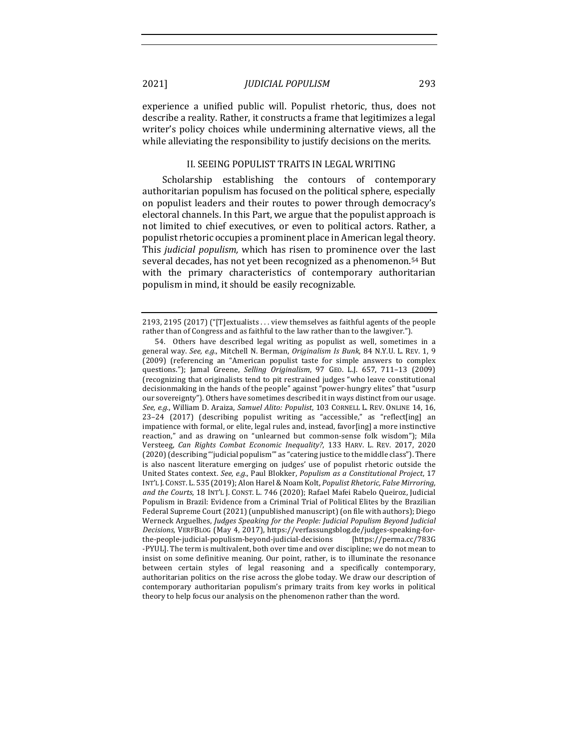experience a unified public will. Populist rhetoric, thus, does not describe a reality. Rather, it constructs a frame that legitimizes a legal writer's policy choices while undermining alternative views, all the while alleviating the responsibility to justify decisions on the merits.

## II. SEEING POPULIST TRAITS IN LEGAL WRITING

Scholarship establishing the contours of contemporary authoritarian populism has focused on the political sphere, especially on populist leaders and their routes to power through democracy's electoral channels. In this Part, we argue that the populist approach is not limited to chief executives, or even to political actors. Rather, a populist rhetoric occupies a prominent place in American legal theory. This *judicial populism*, which has risen to prominence over the last several decades, has not yet been recognized as a phenomenon.<sup>54</sup> But with the primary characteristics of contemporary authoritarian populism in mind, it should be easily recognizable.

2193, 2195 (2017) ("[T]extualists  $\dots$  view themselves as faithful agents of the people rather than of Congress and as faithful to the law rather than to the lawgiver.").

<sup>54.</sup> Others have described legal writing as populist as well, sometimes in a general way. See, e.g., Mitchell N. Berman, Originalism Is Bunk, 84 N.Y.U. L. REV. 1, 9 (2009) (referencing an "American populist taste for simple answers to complex questions."); Jamal Greene, *Selling Originalism*, 97 GEO. L.J. 657, 711-13 (2009) (recognizing that originalists tend to pit restrained judges "who leave constitutional decisionmaking in the hands of the people" against "power-hungry elites" that "usurp our sovereignty"). Others have sometimes described it in ways distinct from our usage. *See, e.g.*, William D. Araiza, *Samuel Alito: Populist*, 103 CORNELL L. REV. ONLINE 14, 16, 23-24 (2017) (describing populist writing as "accessible," as "reflect[ing] an impatience with formal, or elite, legal rules and, instead, favor[ing] a more instinctive reaction," and as drawing on "unlearned but common-sense folk wisdom"); Mila Versteeg, *Can Rights Combat Economic Inequality?*, 133 HARV. L. REV. 2017, 2020 (2020) (describing "'judicial populism'" as "catering justice to the middle class"). There is also nascent literature emerging on judges' use of populist rhetoric outside the United States context. See, e.g., Paul Blokker, *Populism as a Constitutional Project*, 17 INT'L J. CONST. L. 535 (2019); Alon Harel & Noam Kolt, *Populist Rhetoric, False Mirroring,* and the Courts, 18 INT'L J. CONST. L. 746 (2020); Rafael Mafei Rabelo Queiroz, Judicial Populism in Brazil: Evidence from a Criminal Trial of Political Elites by the Brazilian Federal Supreme Court (2021) (unpublished manuscript) (on file with authors); Diego Werneck Arguelhes, *Judges Speaking for the People: Judicial Populism Beyond Judicial Decisions,* VERFBLOG (May 4, 2017), https://verfassungsblog.de/judges-speaking-forthe-people-judicial-populism-beyond-judicial-decisions [https://perma.cc/783G -PYUL]. The term is multivalent, both over time and over discipline; we do not mean to insist on some definitive meaning. Our point, rather, is to illuminate the resonance between certain styles of legal reasoning and a specifically contemporary, authoritarian politics on the rise across the globe today. We draw our description of contemporary authoritarian populism's primary traits from key works in political theory to help focus our analysis on the phenomenon rather than the word.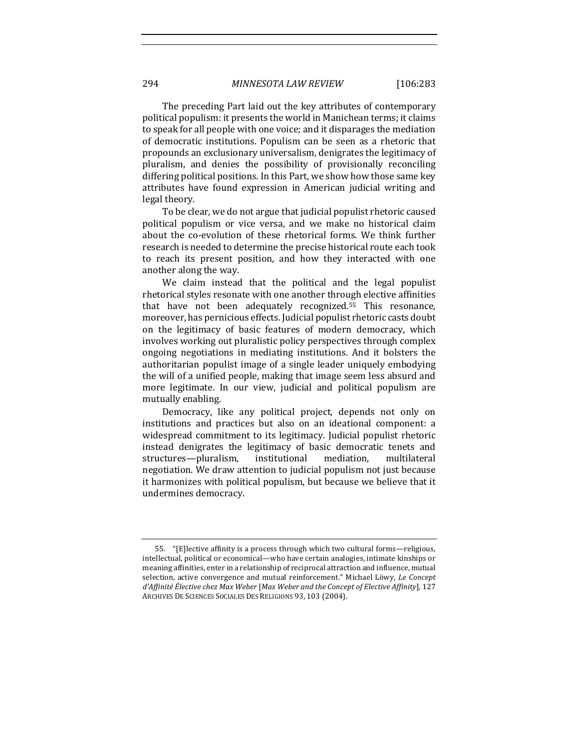The preceding Part laid out the key attributes of contemporary political populism: it presents the world in Manichean terms; it claims to speak for all people with one voice; and it disparages the mediation of democratic institutions. Populism can be seen as a rhetoric that propounds an exclusionary universalism, denigrates the legitimacy of pluralism, and denies the possibility of provisionally reconciling differing political positions. In this Part, we show how those same key attributes have found expression in American judicial writing and legal theory.

To be clear, we do not argue that judicial populist rhetoric caused political populism or vice versa, and we make no historical claim about the co-evolution of these rhetorical forms. We think further research is needed to determine the precise historical route each took to reach its present position, and how they interacted with one another along the way.

We claim instead that the political and the legal populist rhetorical styles resonate with one another through elective affinities that have not been adequately recognized.<sup>55</sup> This resonance, moreover, has pernicious effects. Judicial populist rhetoric casts doubt on the legitimacy of basic features of modern democracy, which involves working out pluralistic policy perspectives through complex ongoing negotiations in mediating institutions. And it bolsters the authoritarian populist image of a single leader uniquely embodying the will of a unified people, making that image seem less absurd and more legitimate. In our view, judicial and political populism are mutually enabling.

Democracy, like any political project, depends not only on institutions and practices but also on an ideational component: a widespread commitment to its legitimacy. Judicial populist rhetoric instead denigrates the legitimacy of basic democratic tenets and structures—pluralism, institutional mediation, multilateral negotiation. We draw attention to judicial populism not just because it harmonizes with political populism, but because we believe that it undermines democracy.

<sup>55. &</sup>quot;[E]lective affinity is a process through which two cultural forms—religious, intellectual, political or economical—who have certain analogies, intimate kinships or meaning affinities, enter in a relationship of reciprocal attraction and influence, mutual selection, active convergence and mutual reinforcement." Michael Löwy, Le Concept *d'Affinité Élective chez Max Weber* [*Max Weber and the Concept of Elective Affinity*], 127 ARCHIVES DE SCIENCES SOCIALES DES RELIGIONS 93, 103 (2004).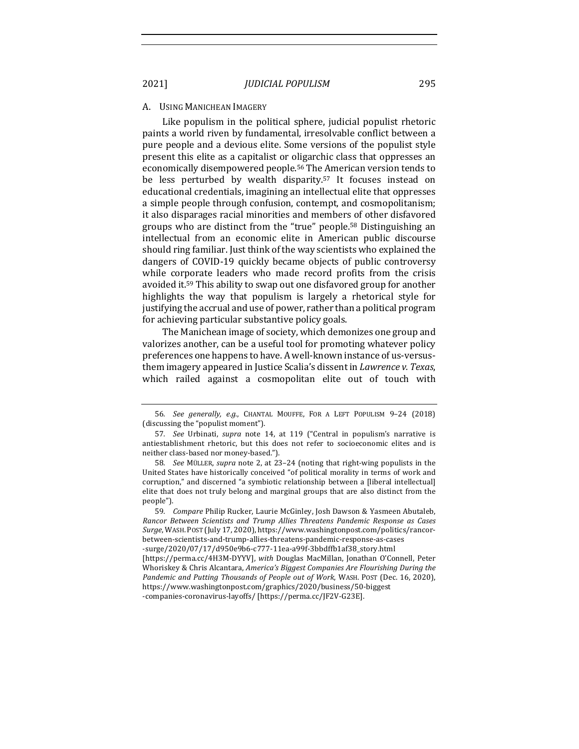#### A. USING MANICHEAN IMAGERY

Like populism in the political sphere, judicial populist rhetoric paints a world riven by fundamental, irresolvable conflict between a pure people and a devious elite. Some versions of the populist style present this elite as a capitalist or oligarchic class that oppresses an economically disempowered people.<sup>56</sup> The American version tends to be less perturbed by wealth disparity.<sup>57</sup> It focuses instead on educational credentials, imagining an intellectual elite that oppresses a simple people through confusion, contempt, and cosmopolitanism; it also disparages racial minorities and members of other disfavored groups who are distinct from the "true" people.<sup>58</sup> Distinguishing an intellectual from an economic elite in American public discourse should ring familiar. Just think of the way scientists who explained the dangers of COVID-19 quickly became objects of public controversy while corporate leaders who made record profits from the crisis avoided it.<sup>59</sup> This ability to swap out one disfavored group for another highlights the way that populism is largely a rhetorical style for justifying the accrual and use of power, rather than a political program for achieving particular substantive policy goals.

The Manichean image of society, which demonizes one group and valorizes another, can be a useful tool for promoting whatever policy preferences one happens to have. A well-known instance of us-versusthem imagery appeared in Justice Scalia's dissent in *Lawrence v. Texas*, which railed against a cosmopolitan elite out of touch with

<sup>56</sup>*. See generally, e.g.*, CHANTAL MOUFFE, FOR A LEFT POPULISM 9–24 (2018) (discussing the "populist moment").

<sup>57.</sup> See Urbinati, *supra* note 14, at 119 ("Central in populism's narrative is antiestablishment rhetoric, but this does not refer to socioeconomic elites and is neither class-based nor money-based.").

<sup>58.</sup> See MÜLLER, supra note 2, at 23-24 (noting that right-wing populists in the United States have historically conceived "of political morality in terms of work and corruption," and discerned "a symbiotic relationship between a [liberal intellectual] elite that does not truly belong and marginal groups that are also distinct from the people").

<sup>59.</sup> *Compare* Philip Rucker, Laurie McGinley, Josh Dawson & Yasmeen Abutaleb, Rancor Between Scientists and Trump Allies Threatens Pandemic Response as Cases Surge, WASH. POST (July 17, 2020), https://www.washingtonpost.com/politics/rancorbetween-scientists-and-trump-allies-threatens-pandemic-response-as-cases -surge/2020/07/17/d950e9b6-c777-11ea-a99f-3bbdffb1af38\_story.html [https://perma.cc/4H3M-DYYV], with Douglas MacMillan, Jonathan O'Connell, Peter Whoriskey & Chris Alcantara, *America's Biggest Companies Are Flourishing During the* Pandemic and Putting Thousands of People out of Work, WASH. POST (Dec. 16, 2020), https://www.washingtonpost.com/graphics/2020/business/50-biggest

<sup>-</sup>companies-coronavirus-layoffs/ [https://perma.cc/JF2V-G23E].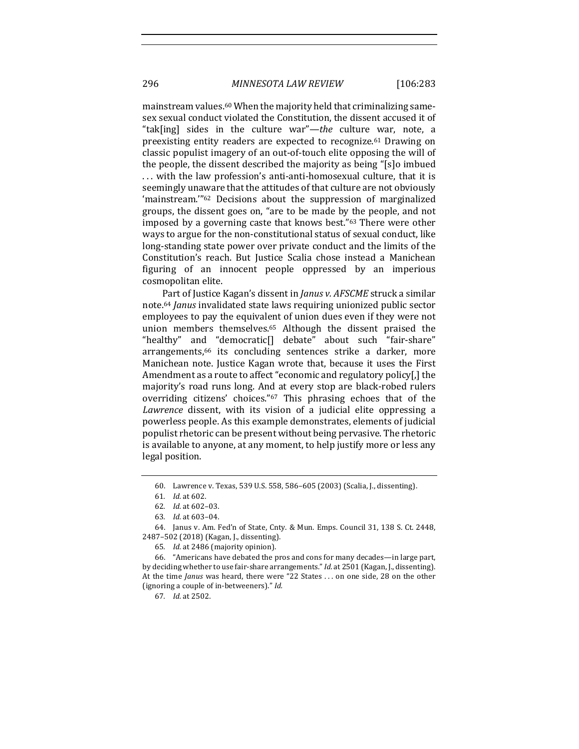mainstream values.<sup>60</sup> When the majority held that criminalizing samesex sexual conduct violated the Constitution, the dissent accused it of "tak[ing] sides in the culture war"-the culture war, note, a preexisting entity readers are expected to recognize.<sup>61</sup> Drawing on classic populist imagery of an out-of-touch elite opposing the will of the people, the dissent described the majority as being "[s]o imbued ... with the law profession's anti-anti-homosexual culture, that it is seemingly unaware that the attitudes of that culture are not obviously 'mainstream."<sup>62</sup> Decisions about the suppression of marginalized groups, the dissent goes on, "are to be made by the people, and not imposed by a governing caste that knows best."<sup>63</sup> There were other ways to argue for the non-constitutional status of sexual conduct, like long-standing state power over private conduct and the limits of the Constitution's reach. But Justice Scalia chose instead a Manichean figuring of an innocent people oppressed by an imperious cosmopolitan elite.

Part of Justice Kagan's dissent in *Janus v. AFSCME* struck a similar note.<sup>64</sup> *Janus* invalidated state laws requiring unionized public sector employees to pay the equivalent of union dues even if they were not union members themselves.<sup>65</sup> Although the dissent praised the "healthy" and "democratic<sup>[]</sup> debate" about such "fair-share" arrangements,<sup>66</sup> its concluding sentences strike a darker, more Manichean note. Justice Kagan wrote that, because it uses the First Amendment as a route to affect "economic and regulatory policy[,] the majority's road runs long. And at every stop are black-robed rulers overriding citizens' choices."<sup>67</sup> This phrasing echoes that of the Lawrence dissent, with its vision of a judicial elite oppressing a powerless people. As this example demonstrates, elements of judicial populist rhetoric can be present without being pervasive. The rhetoric is available to anyone, at any moment, to help justify more or less any legal position.

67*. Id.* at 2502.

<sup>60.</sup> Lawrence v. Texas, 539 U.S. 558, 586-605 (2003) (Scalia, J., dissenting).

<sup>61</sup>*. Id.* at 602.

<sup>62</sup>*. Id.* at 602–03.

<sup>63</sup>*. Id.* at 603–04.

<sup>64.</sup> Janus v. Am. Fed'n of State, Cnty. & Mun. Emps. Council 31, 138 S. Ct. 2448, 2487-502 (2018) (Kagan, J., dissenting).

<sup>65.</sup> *Id.* at 2486 (majority opinion).

<sup>66. &</sup>quot;Americans have debated the pros and cons for many decades—in large part, by deciding whether to use fair-share arrangements." *Id.* at 2501 (Kagan, J., dissenting). At the time *Janus* was heard, there were "22 States ... on one side, 28 on the other (ignoring a couple of in-betweeners)." *Id.*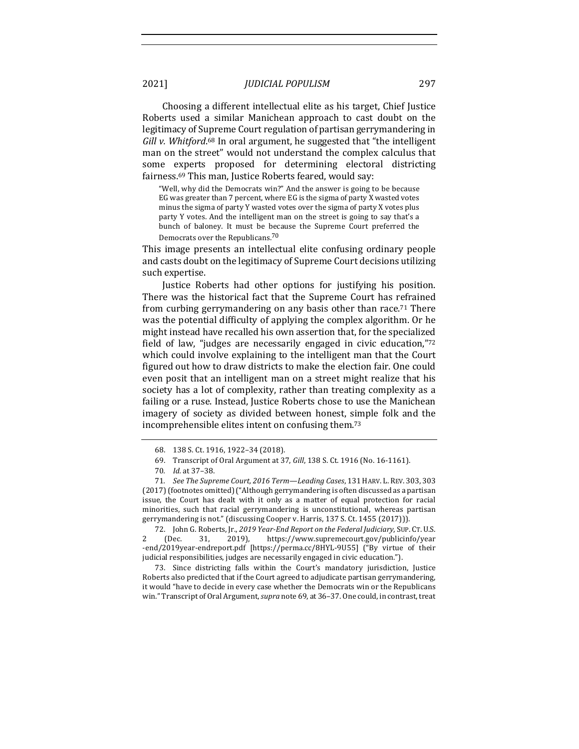Choosing a different intellectual elite as his target, Chief Justice Roberts used a similar Manichean approach to cast doubt on the legitimacy of Supreme Court regulation of partisan gerrymandering in Gill v. Whitford.<sup>68</sup> In oral argument, he suggested that "the intelligent man on the street" would not understand the complex calculus that some experts proposed for determining electoral districting fairness.<sup>69</sup> This man, Justice Roberts feared, would say:

"Well, why did the Democrats win?" And the answer is going to be because EG was greater than 7 percent, where EG is the sigma of party X wasted votes minus the sigma of party Y wasted votes over the sigma of party X votes plus party Y votes. And the intelligent man on the street is going to say that's a bunch of baloney. It must be because the Supreme Court preferred the Democrats over the Republicans.<sup>70</sup>

This image presents an intellectual elite confusing ordinary people and casts doubt on the legitimacy of Supreme Court decisions utilizing such expertise.

Justice Roberts had other options for justifying his position. There was the historical fact that the Supreme Court has refrained from curbing gerrymandering on any basis other than race.<sup>71</sup> There was the potential difficulty of applying the complex algorithm. Or he might instead have recalled his own assertion that, for the specialized field of law, "judges are necessarily engaged in civic education," $72$ which could involve explaining to the intelligent man that the Court figured out how to draw districts to make the election fair. One could even posit that an intelligent man on a street might realize that his society has a lot of complexity, rather than treating complexity as a failing or a ruse. Instead, Justice Roberts chose to use the Manichean imagery of society as divided between honest, simple folk and the incomprehensible elites intent on confusing them.<sup>73</sup>

73. Since districting falls within the Court's mandatory jurisdiction, Justice Roberts also predicted that if the Court agreed to adjudicate partisan gerrymandering, it would "have to decide in every case whether the Democrats win or the Republicans win." Transcript of Oral Argument, *supra* note 69, at 36-37. One could, in contrast, treat

<sup>68. 138</sup> S. Ct. 1916, 1922-34 (2018).

<sup>69.</sup> Transcript of Oral Argument at 37, *Gill*, 138 S. Ct. 1916 (No. 16-1161).

<sup>70</sup>*. Id.* at 37–38.

<sup>71.</sup> *See The Supreme Court, 2016 Term—Leading Cases, 131 HARV. L. REV. 303, 303*  $(2017)$  (footnotes omitted) ("Although gerrymandering is often discussed as a partisan issue, the Court has dealt with it only as a matter of equal protection for racial minorities, such that racial gerrymandering is unconstitutional, whereas partisan gerrymandering is not." (discussing Cooper v. Harris, 137 S. Ct. 1455 (2017))).

<sup>72.</sup> John G. Roberts, Jr., 2019 Year-End Report on the Federal Judiciary, SUP. CT. U.S. 2 (Dec. 31, 2019), https://www.supremecourt.gov/publicinfo/year -end/2019year-endreport.pdf [https://perma.cc/8HYL-9U55] ("By virtue of their judicial responsibilities, judges are necessarily engaged in civic education.").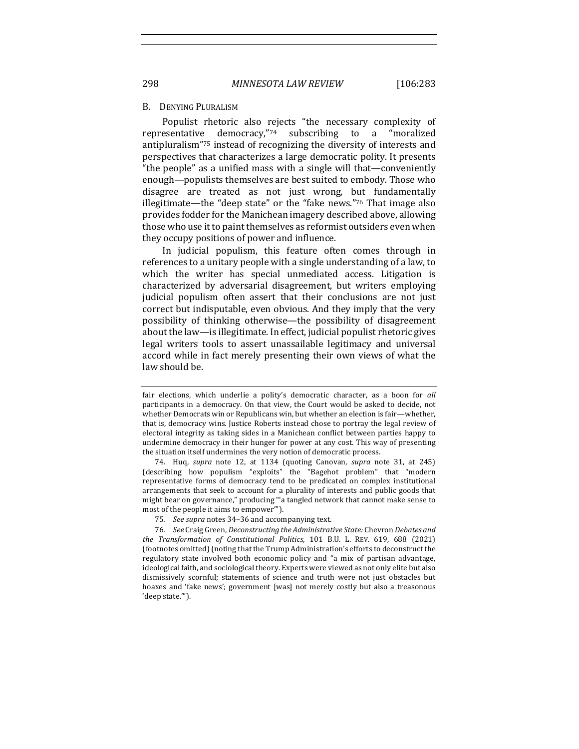#### B. DENYING PLURALISM

Populist rhetoric also rejects "the necessary complexity of representative democracy," $74$  subscribing to a "moralized antipluralism"<sup>75</sup> instead of recognizing the diversity of interests and perspectives that characterizes a large democratic polity. It presents "the people" as a unified mass with a single will that—conveniently enough—populists themselves are best suited to embody. Those who disagree are treated as not just wrong, but fundamentally illegitimate—the "deep state" or the "fake news." $76$  That image also provides fodder for the Manichean imagery described above, allowing those who use it to paint themselves as reformist outsiders even when they occupy positions of power and influence.

In judicial populism, this feature often comes through in references to a unitary people with a single understanding of a law, to which the writer has special unmediated access. Litigation is characterized by adversarial disagreement, but writers employing judicial populism often assert that their conclusions are not just correct but indisputable, even obvious. And they imply that the very possibility of thinking otherwise—the possibility of disagreement about the law-is illegitimate. In effect, judicial populist rhetoric gives legal writers tools to assert unassailable legitimacy and universal accord while in fact merely presenting their own views of what the law should be.

74. Huq, *supra* note 12, at 1134 (quoting Canovan, *supra* note 31, at 245) (describing how populism "exploits" the "Bagehot problem" that "modern representative forms of democracy tend to be predicated on complex institutional arrangements that seek to account for a plurality of interests and public goods that might bear on governance," producing "'a tangled network that cannot make sense to most of the people it aims to empower"").

75. See supra notes 34-36 and accompanying text.

fair elections, which underlie a polity's democratic character, as a boon for all participants in a democracy. On that view, the Court would be asked to decide, not whether Democrats win or Republicans win, but whether an election is fair—whether, that is, democracy wins. Justice Roberts instead chose to portray the legal review of electoral integrity as taking sides in a Manichean conflict between parties happy to undermine democracy in their hunger for power at any cost. This way of presenting the situation itself undermines the very notion of democratic process.

<sup>76</sup>*. See* Craig Green, *Deconstructing the Administrative State:* Chevron *Debates and the Transformation of Constitutional Politics*, 101 B.U. L. REV. 619, 688 (2021) (footnotes omitted) (noting that the Trump Administration's efforts to deconstruct the regulatory state involved both economic policy and "a mix of partisan advantage, ideological faith, and sociological theory. Experts were viewed as not only elite but also dismissively scornful; statements of science and truth were not just obstacles but hoaxes and 'fake news'; government [was] not merely costly but also a treasonous 'deep state.'").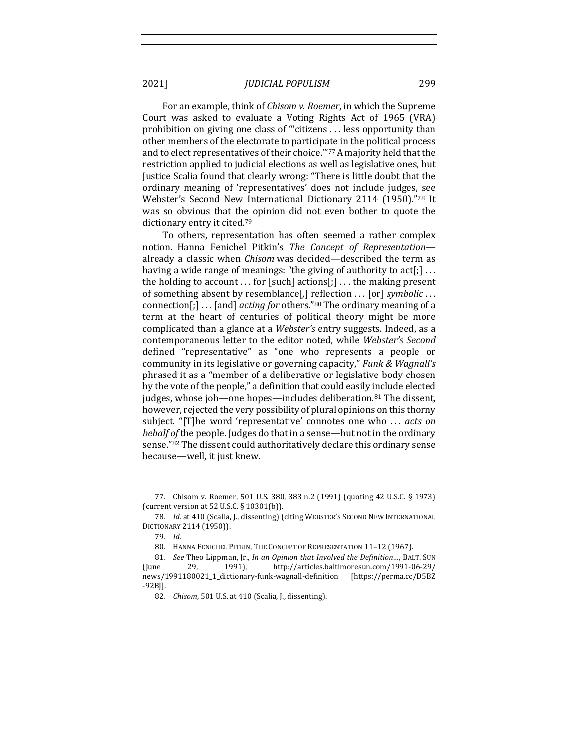For an example, think of *Chisom v. Roemer*, in which the Supreme Court was asked to evaluate a Voting Rights Act of 1965 (VRA) prohibition on giving one class of "'citizens ... less opportunity than other members of the electorate to participate in the political process and to elect representatives of their choice.""77 A majority held that the restriction applied to judicial elections as well as legislative ones, but Justice Scalia found that clearly wrong: "There is little doubt that the ordinary meaning of 'representatives' does not include judges, see Webster's Second New International Dictionary 2114 (1950)."78 It was so obvious that the opinion did not even bother to quote the dictionary entry it cited.<sup>79</sup>

To others, representation has often seemed a rather complex notion. Hanna Fenichel Pitkin's *The Concept of Representation* already a classic when *Chisom* was decided—described the term as having a wide range of meanings: "the giving of authority to  $act[j]$ ... the holding to account  $\dots$  for [such] actions[;]  $\dots$  the making present of something absent by resemblance[,] reflection ... [or] *symbolic* ... connection[;] . . . [and] *acting for* others."<sup>80</sup> The ordinary meaning of a term at the heart of centuries of political theory might be more complicated than a glance at a *Webster's* entry suggests. Indeed, as a contemporaneous letter to the editor noted, while *Webster's Second* defined "representative" as "one who represents a people or community in its legislative or governing capacity," *Funk & Wagnall's* phrased it as a "member of a deliberative or legislative body chosen by the vote of the people," a definition that could easily include elected judges, whose  $job$ —one hopes—includes deliberation.<sup>81</sup> The dissent, however, rejected the very possibility of plural opinions on this thorny subject. "[T]he word 'representative' connotes one who ... *acts on behalf of* the people. Judges do that in a sense—but not in the ordinary sense."82 The dissent could authoritatively declare this ordinary sense because—well, it just knew.

<sup>77.</sup> Chisom v. Roemer, 501 U.S. 380, 383 n.2 (1991) (quoting 42 U.S.C. § 1973) (current version at  $52$  U.S.C. § 10301(b)).

<sup>78.</sup> *Id.* at 410 (Scalia, J., dissenting) (citing WEBSTER'S SECOND NEW INTERNATIONAL DICTIONARY 2114 (1950)).

<sup>79</sup>*. Id.*

<sup>80.</sup> HANNA FENICHEL PITKIN, THE CONCEPT OF REPRESENTATION 11-12 (1967).

<sup>81.</sup> *See* Theo Lippman, Jr., *In an Opinion that Involved the Definition...*, BALT. SUN (June 29, 1991), http://articles.baltimoresun.com/1991-06-29/ news/1991180021\_1\_dictionary-funk-wagnall-definition [https://perma.cc/D5BZ -92BJ].

<sup>82.</sup> *Chisom*, 501 U.S. at 410 (Scalia, J., dissenting).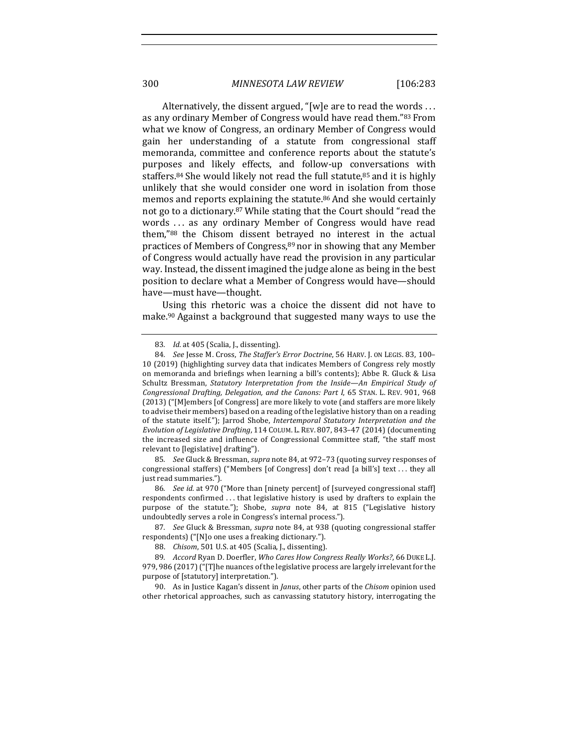Alternatively, the dissent argued, "[w]e are to read the words  $\dots$ as any ordinary Member of Congress would have read them."83 From what we know of Congress, an ordinary Member of Congress would gain her understanding of a statute from congressional staff memoranda, committee and conference reports about the statute's purposes and likely effects, and follow-up conversations with staffers.<sup>84</sup> She would likely not read the full statute, $85$  and it is highly unlikely that she would consider one word in isolation from those memos and reports explaining the statute.<sup>86</sup> And she would certainly not go to a dictionary.<sup>87</sup> While stating that the Court should "read the words ... as any ordinary Member of Congress would have read them,"88 the Chisom dissent betrayed no interest in the actual practices of Members of Congress,  $89$  nor in showing that any Member of Congress would actually have read the provision in any particular way. Instead, the dissent imagined the judge alone as being in the best position to declare what a Member of Congress would have-should have—must have—thought.

Using this rhetoric was a choice the dissent did not have to make.<sup>90</sup> Against a background that suggested many ways to use the

85. *See* Gluck & Bressman, *supra* note 84, at 972-73 (quoting survey responses of congressional staffers) ("Members [of Congress] don't read [a bill's] text ... they all just read summaries.").

86. *See id.* at 970 ("More than [ninety percent] of [surveyed congressional staff] respondents confirmed ... that legislative history is used by drafters to explain the purpose of the statute."); Shobe, *supra* note 84, at 815 ("Legislative history undoubtedly serves a role in Congress's internal process.").

87. *See* Gluck & Bressman, *supra* note 84, at 938 (quoting congressional staffer respondents) ("[N]o one uses a freaking dictionary.").

90. As in Justice Kagan's dissent in *Janus*, other parts of the *Chisom* opinion used other rhetorical approaches, such as canvassing statutory history, interrogating the

<sup>83.</sup> *Id.* at 405 (Scalia, J., dissenting).

<sup>84.</sup> *See* Jesse M. Cross, *The Staffer's Error Doctrine*, 56 HARV. J. ON LEGIS. 83, 100-10 (2019) (highlighting survey data that indicates Members of Congress rely mostly on memoranda and briefings when learning a bill's contents); Abbe R. Gluck & Lisa Schultz Bressman, *Statutory Interpretation from the Inside—An Empirical Study of Congressional Drafting, Delegation, and the Canons: Part I, 65 STAN. L. REV.* 901, 968 (2013) ("[M]embers [of Congress] are more likely to vote (and staffers are more likely to advise their members) based on a reading of the legislative history than on a reading of the statute itself."); Jarrod Shobe, *Intertemporal Statutory Interpretation and the Evolution of Legislative Drafting*, 114 COLUM. L. REV. 807, 843–47 (2014) (documenting the increased size and influence of Congressional Committee staff, "the staff most relevant to [legislative] drafting").

<sup>88.</sup> *Chisom*, 501 U.S. at 405 (Scalia, J., dissenting).

<sup>89.</sup> *Accord* Ryan D. Doerfler, *Who Cares How Congress Really Works?*, 66 DUKE L.J. 979, 986 (2017) ("[T]he nuances of the legislative process are largely irrelevant for the purpose of [statutory] interpretation.").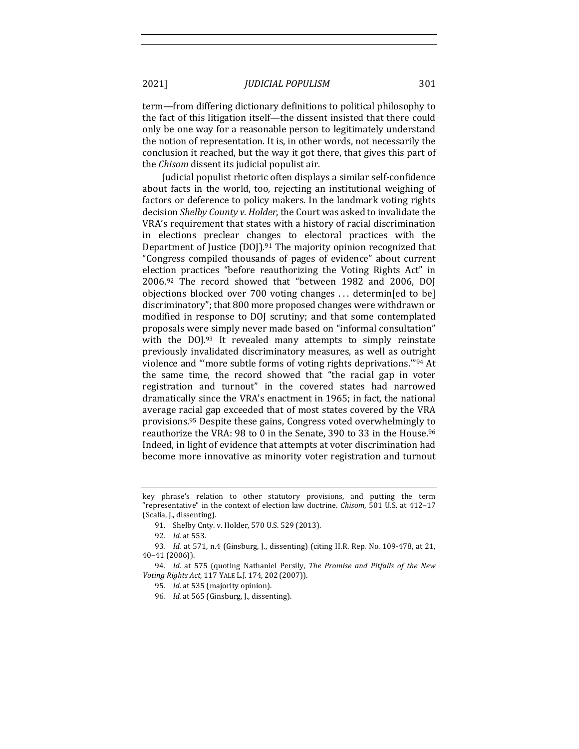term—from differing dictionary definitions to political philosophy to the fact of this litigation itself—the dissent insisted that there could only be one way for a reasonable person to legitimately understand the notion of representation. It is, in other words, not necessarily the conclusion it reached, but the way it got there, that gives this part of the *Chisom* dissent its judicial populist air.

Judicial populist rhetoric often displays a similar self-confidence about facts in the world, too, rejecting an institutional weighing of factors or deference to policy makers. In the landmark voting rights decision *Shelby County v. Holder*, the Court was asked to invalidate the VRA's requirement that states with a history of racial discrimination in elections preclear changes to electoral practices with the Department of Justice  $(DO)$ <sup>91</sup>. The majority opinion recognized that "Congress compiled thousands of pages of evidence" about current election practices "before reauthorizing the Voting Rights Act" in  $2006.92$  The record showed that "between 1982 and 2006, DOJ objections blocked over  $700$  voting changes ... determin[ed to be] discriminatory"; that 800 more proposed changes were withdrawn or modified in response to DOJ scrutiny; and that some contemplated proposals were simply never made based on "informal consultation" with the  $D OJ^{.93}$  It revealed many attempts to simply reinstate previously invalidated discriminatory measures, as well as outright violence and "more subtle forms of voting rights deprivations."<sup>94</sup> At the same time, the record showed that "the racial gap in voter registration and turnout" in the covered states had narrowed dramatically since the VRA's enactment in 1965; in fact, the national average racial gap exceeded that of most states covered by the VRA provisions.<sup>95</sup> Despite these gains, Congress voted overwhelmingly to reauthorize the VRA: 98 to 0 in the Senate, 390 to 33 in the House.<sup>96</sup> Indeed, in light of evidence that attempts at voter discrimination had become more innovative as minority voter registration and turnout

key phrase's relation to other statutory provisions, and putting the term "representative" in the context of election law doctrine. *Chisom*, 501 U.S. at 412-17 (Scalia, J., dissenting).

<sup>91.</sup> Shelby Cnty. v. Holder, 570 U.S. 529 (2013).

<sup>92</sup>*. Id.* at 553.

<sup>93.</sup> *Id.* at 571, n.4 (Ginsburg, J., dissenting) (citing H.R. Rep. No. 109-478, at 21, 40–41 (2006)).

<sup>94.</sup> *Id.* at 575 (quoting Nathaniel Persily, The Promise and Pitfalls of the New *Voting Rights Act*, 117 YALE L.J. 174, 202 (2007)).

<sup>95.</sup> *Id.* at 535 (majority opinion).

<sup>96.</sup> *Id.* at 565 (Ginsburg, J., dissenting).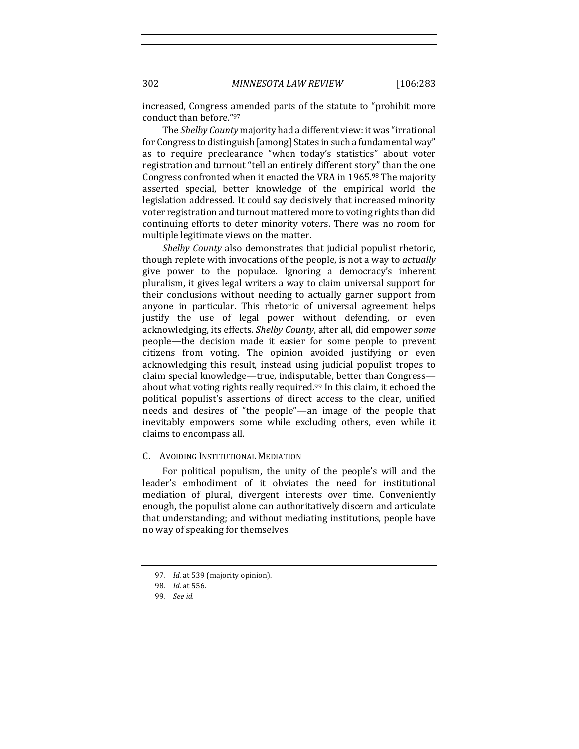increased, Congress amended parts of the statute to "prohibit more conduct than before."97

The *Shelby County* majority had a different view: it was "irrational for Congress to distinguish [among] States in such a fundamental way" as to require preclearance "when today's statistics" about voter registration and turnout "tell an entirely different story" than the one Congress confronted when it enacted the VRA in 1965.98 The majority asserted special, better knowledge of the empirical world the legislation addressed. It could say decisively that increased minority voter registration and turnout mattered more to voting rights than did continuing efforts to deter minority voters. There was no room for multiple legitimate views on the matter.

*Shelby County* also demonstrates that judicial populist rhetoric, though replete with invocations of the people, is not a way to *actually* give power to the populace. Ignoring a democracy's inherent pluralism, it gives legal writers a way to claim universal support for their conclusions without needing to actually garner support from anyone in particular. This rhetoric of universal agreement helps justify the use of legal power without defending, or even acknowledging, its effects. *Shelby County*, after all, did empower some people—the decision made it easier for some people to prevent citizens from voting. The opinion avoided justifying or even acknowledging this result, instead using judicial populist tropes to claim special knowledge—true, indisputable, better than Congress about what voting rights really required.<sup>99</sup> In this claim, it echoed the political populist's assertions of direct access to the clear, unified needs and desires of "the people"—an image of the people that inevitably empowers some while excluding others, even while it claims to encompass all.

#### C. AVOIDING INSTITUTIONAL MEDIATION

For political populism, the unity of the people's will and the leader's embodiment of it obviates the need for institutional mediation of plural, divergent interests over time. Conveniently enough, the populist alone can authoritatively discern and articulate that understanding; and without mediating institutions, people have no way of speaking for themselves.

<sup>97.</sup> *Id.* at 539 (majority opinion).

<sup>98</sup>*. Id.* at 556.

<sup>99</sup>*. See id.*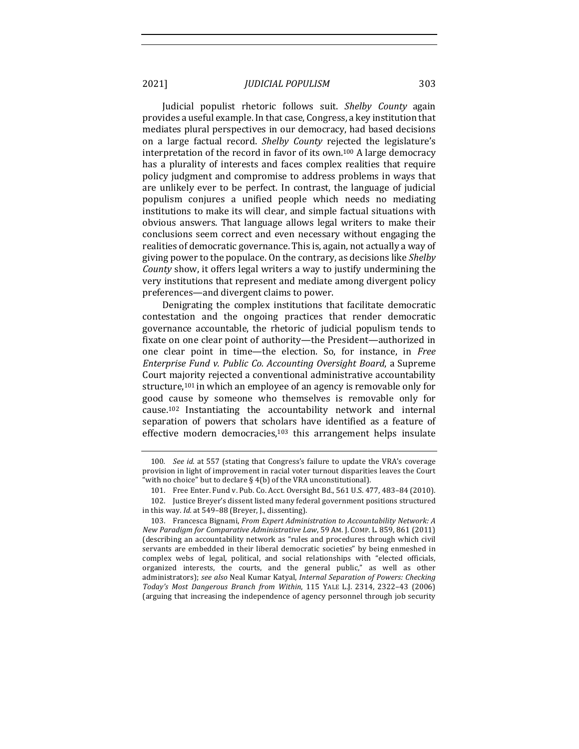Judicial populist rhetoric follows suit. *Shelby County* again provides a useful example. In that case, Congress, a key institution that mediates plural perspectives in our democracy, had based decisions on a large factual record. *Shelby County* rejected the legislature's interpretation of the record in favor of its own.<sup>100</sup> A large democracy has a plurality of interests and faces complex realities that require policy judgment and compromise to address problems in ways that are unlikely ever to be perfect. In contrast, the language of judicial populism conjures a unified people which needs no mediating institutions to make its will clear, and simple factual situations with obvious answers. That language allows legal writers to make their conclusions seem correct and even necessary without engaging the realities of democratic governance. This is, again, not actually a way of giving power to the populace. On the contrary, as decisions like Shelby *County* show, it offers legal writers a way to justify undermining the very institutions that represent and mediate among divergent policy preferences—and divergent claims to power.

Denigrating the complex institutions that facilitate democratic contestation and the ongoing practices that render democratic governance accountable, the rhetoric of judicial populism tends to fixate on one clear point of authority-the President-authorized in one clear point in time—the election. So, for instance, in *Free Enterprise Fund v. Public Co. Accounting Oversight Board, a Supreme* Court majority rejected a conventional administrative accountability structure,<sup>101</sup> in which an employee of an agency is removable only for good cause by someone who themselves is removable only for cause.<sup>102</sup> Instantiating the accountability network and internal separation of powers that scholars have identified as a feature of effective modern democracies, $103$  this arrangement helps insulate

<sup>100.</sup> *See id.* at 557 (stating that Congress's failure to update the VRA's coverage provision in light of improvement in racial voter turnout disparities leaves the Court "with no choice" but to declare  $\S~4(b)$  of the VRA unconstitutional).

<sup>101.</sup> Free Enter. Fund v. Pub. Co. Acct. Oversight Bd., 561 U.S. 477, 483-84 (2010).

<sup>102.</sup> Justice Breyer's dissent listed many federal government positions structured in this way. *Id.* at 549-88 (Breyer, J., dissenting).

<sup>103.</sup> Francesca Bignami, *From Expert Administration to Accountability Network: A New Paradigm for Comparative Administrative Law,* 59 AM. J. COMP. L. 859, 861 (2011) (describing an accountability network as "rules and procedures through which civil servants are embedded in their liberal democratic societies" by being enmeshed in complex webs of legal, political, and social relationships with "elected officials, organized interests, the courts, and the general public," as well as other administrators); see also Neal Kumar Katyal, *Internal Separation of Powers: Checking Today's Most Dangerous Branch from Within*, 115 YALE L.J. 2314, 2322–43 (2006) (arguing that increasing the independence of agency personnel through job security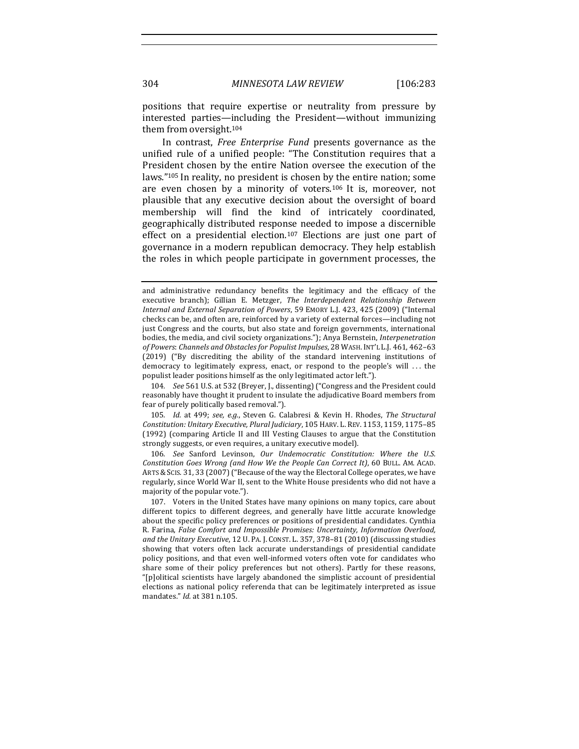positions that require expertise or neutrality from pressure by interested parties—including the President—without immunizing them from oversight.<sup>104</sup>

In contrast, *Free Enterprise Fund* presents governance as the unified rule of a unified people: "The Constitution requires that a President chosen by the entire Nation oversee the execution of the laws."<sup>105</sup> In reality, no president is chosen by the entire nation; some are even chosen by a minority of voters.<sup>106</sup> It is, moreover, not plausible that any executive decision about the oversight of board membership will find the kind of intricately coordinated, geographically distributed response needed to impose a discernible effect on a presidential election.<sup>107</sup> Elections are just one part of governance in a modern republican democracy. They help establish the roles in which people participate in government processes, the

104. *See* 561 U.S. at 532 (Breyer, J., dissenting) ("Congress and the President could reasonably have thought it prudent to insulate the adjudicative Board members from fear of purely politically based removal.").

105. *Id.* at 499; see, e.g., Steven G. Calabresi & Kevin H. Rhodes, The Structural *Constitution: Unitary Executive, Plural Judiciary*, 105 HARV. L. REV. 1153, 1159, 1175–85 (1992) (comparing Article II and III Vesting Clauses to argue that the Constitution strongly suggests, or even requires, a unitary executive model).

106. See Sanford Levinson, Our Undemocratic Constitution: Where the U.S. *Constitution Goes Wrong (and How We the People Can Correct It)*, 60 BULL. AM. ACAD. ARTS & SCIS. 31, 33 (2007) ("Because of the way the Electoral College operates, we have regularly, since World War II, sent to the White House presidents who did not have a majority of the popular vote.").

and administrative redundancy benefits the legitimacy and the efficacy of the executive branch); Gillian E. Metzger, *The Interdependent Relationship Between Internal and External Separation of Powers*, 59 EMORY L.J. 423, 425 (2009) ("Internal checks can be, and often are, reinforced by a variety of external forces—including not just Congress and the courts, but also state and foreign governments, international bodies, the media, and civil society organizations."); Anya Bernstein, *Interpenetration* of Powers: Channels and Obstacles for Populist Impulses, 28 WASH. INT'L L.J. 461, 462-63 (2019) ("By discrediting the ability of the standard intervening institutions of democracy to legitimately express, enact, or respond to the people's will  $\dots$  the populist leader positions himself as the only legitimated actor left.").

<sup>107.</sup> Voters in the United States have many opinions on many topics, care about different topics to different degrees, and generally have little accurate knowledge about the specific policy preferences or positions of presidential candidates. Cynthia R. Farina, *False Comfort and Impossible Promises: Uncertainty, Information Overload,* and the Unitary Executive, 12 U. PA. J. CONST. L. 357, 378-81 (2010) (discussing studies showing that voters often lack accurate understandings of presidential candidate policy positions, and that even well-informed voters often vote for candidates who share some of their policy preferences but not others). Partly for these reasons, "[p]olitical scientists have largely abandoned the simplistic account of presidential elections as national policy referenda that can be legitimately interpreted as issue mandates." *Id.* at 381 n.105.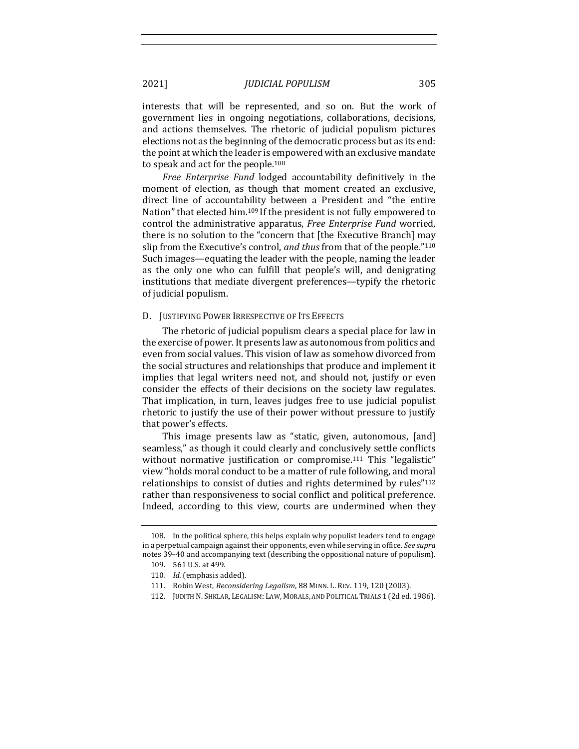interests that will be represented, and so on. But the work of government lies in ongoing negotiations, collaborations, decisions, and actions themselves. The rhetoric of judicial populism pictures elections not as the beginning of the democratic process but as its end: the point at which the leader is empowered with an exclusive mandate to speak and act for the people.<sup>108</sup>

*Free Enterprise Fund* lodged accountability definitively in the moment of election, as though that moment created an exclusive, direct line of accountability between a President and "the entire Nation" that elected him.<sup>109</sup> If the president is not fully empowered to control the administrative apparatus, *Free Enterprise Fund* worried, there is no solution to the "concern that [the Executive Branch] may slip from the Executive's control, *and thus* from that of the people."<sup>110</sup> Such images—equating the leader with the people, naming the leader as the only one who can fulfill that people's will, and denigrating institutions that mediate divergent preferences—typify the rhetoric of judicial populism.

#### D. JUSTIFYING POWER IRRESPECTIVE OF ITS EFFECTS

The rhetoric of judicial populism clears a special place for law in the exercise of power. It presents law as autonomous from politics and even from social values. This vision of law as somehow divorced from the social structures and relationships that produce and implement it implies that legal writers need not, and should not, justify or even consider the effects of their decisions on the society law regulates. That implication, in turn, leaves judges free to use judicial populist rhetoric to justify the use of their power without pressure to justify that power's effects.

This image presents law as "static, given, autonomous, [and] seamless," as though it could clearly and conclusively settle conflicts without normative justification or compromise.<sup>111</sup> This "legalistic" view "holds moral conduct to be a matter of rule following, and moral relationships to consist of duties and rights determined by rules"<sup>112</sup> rather than responsiveness to social conflict and political preference. Indeed, according to this view, courts are undermined when they

<sup>108.</sup> In the political sphere, this helps explain why populist leaders tend to engage in a perpetual campaign against their opponents, even while serving in office. See supra notes 39-40 and accompanying text (describing the oppositional nature of populism).

<sup>109. 561</sup> U.S. at 499.

<sup>110.</sup> *Id.* (emphasis added).

<sup>111.</sup> Robin West, *Reconsidering Legalism*, 88 MINN. L. REV. 119, 120 (2003).

<sup>112.</sup> JUDITH N. SHKLAR, LEGALISM: LAW, MORALS, AND POLITICAL TRIALS 1 (2d ed. 1986).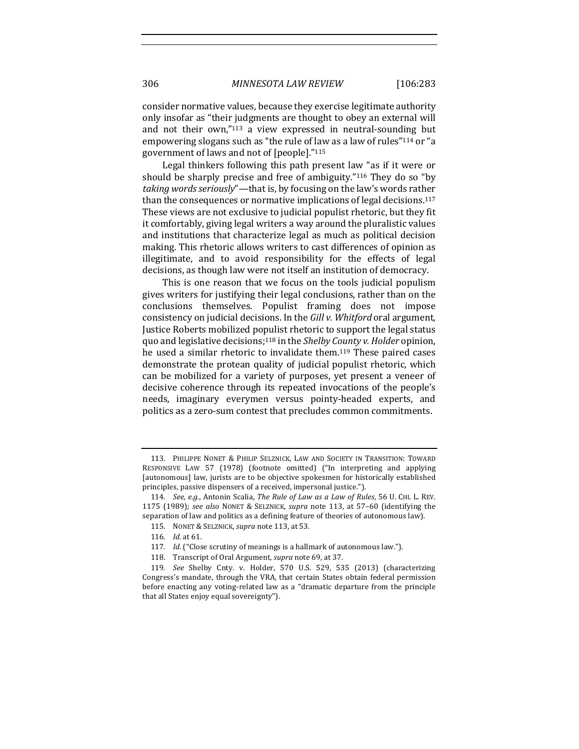consider normative values, because they exercise legitimate authority only insofar as "their judgments are thought to obey an external will and not their  $own,$ "113 a view expressed in neutral-sounding but empowering slogans such as "the rule of law as a law of rules"<sup>114</sup> or "a government of laws and not of [people]."115

Legal thinkers following this path present law "as if it were or should be sharply precise and free of ambiguity."<sup>116</sup> They do so "by *taking words seriously*"—that is, by focusing on the law's words rather than the consequences or normative implications of legal decisions.<sup>117</sup> These views are not exclusive to judicial populist rhetoric, but they fit it comfortably, giving legal writers a way around the pluralistic values and institutions that characterize legal as much as political decision making. This rhetoric allows writers to cast differences of opinion as illegitimate, and to avoid responsibility for the effects of legal decisions, as though law were not itself an institution of democracy.

This is one reason that we focus on the tools judicial populism gives writers for justifying their legal conclusions, rather than on the conclusions themselves. Populist framing does not impose consistency on judicial decisions. In the *Gill v. Whitford* oral argument, Iustice Roberts mobilized populist rhetoric to support the legal status quo and legislative decisions;<sup>118</sup> in the *Shelby County v. Holder* opinion, he used a similar rhetoric to invalidate them.<sup>119</sup> These paired cases demonstrate the protean quality of judicial populist rhetoric, which can be mobilized for a variety of purposes, yet present a veneer of decisive coherence through its repeated invocations of the people's needs, imaginary everymen versus pointy-headed experts, and politics as a zero-sum contest that precludes common commitments.

<sup>113.</sup> PHILIPPE NONET & PHILIP SELZNICK, LAW AND SOCIETY IN TRANSITION: TOWARD RESPONSIVE LAW 57 (1978) (footnote omitted) ("In interpreting and applying [autonomous] law, jurists are to be objective spokesmen for historically established principles, passive dispensers of a received, impersonal justice.").

<sup>114.</sup> *See, e.g.*, Antonin Scalia, The Rule of Law as a Law of Rules, 56 U. CHI. L. REV. 1175 (1989); *see also* NONET & SELZNICK, *supra* note 113, at 57–60 (identifying the separation of law and politics as a defining feature of theories of autonomous law).

<sup>115.</sup> NONET & SELZNICK, *supra* note 113, at 53.

<sup>116</sup>*. Id.* at 61.

<sup>117.</sup> *Id.* ("Close scrutiny of meanings is a hallmark of autonomous law.").

<sup>118.</sup> Transcript of Oral Argument, *supra* note 69, at 37.

<sup>119</sup>*. See*  Shelby Cnty. v. Holder, 570 U.S. 529, 535 (2013) (characterizing Congress's mandate, through the VRA, that certain States obtain federal permission before enacting any voting-related law as a "dramatic departure from the principle that all States enjoy equal sovereignty").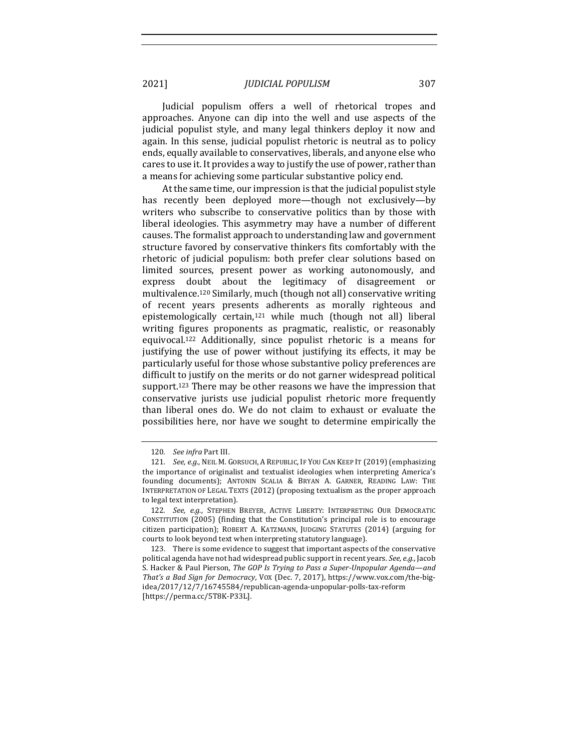Judicial populism offers a well of rhetorical tropes and approaches. Anyone can dip into the well and use aspects of the judicial populist style, and many legal thinkers deploy it now and again. In this sense, judicial populist rhetoric is neutral as to policy ends, equally available to conservatives, liberals, and anyone else who cares to use it. It provides a way to justify the use of power, rather than a means for achieving some particular substantive policy end.

At the same time, our impression is that the judicial populist style has recently been deployed more—though not exclusively—by writers who subscribe to conservative politics than by those with liberal ideologies. This asymmetry may have a number of different causes. The formalist approach to understanding law and government structure favored by conservative thinkers fits comfortably with the rhetoric of judicial populism: both prefer clear solutions based on limited sources, present power as working autonomously, and express doubt about the legitimacy of disagreement or multivalence.<sup>120</sup> Similarly, much (though not all) conservative writing of recent years presents adherents as morally righteous and epistemologically certain, $121$  while much (though not all) liberal writing figures proponents as pragmatic, realistic, or reasonably equivocal.<sup>122</sup> Additionally, since populist rhetoric is a means for justifying the use of power without justifying its effects, it may be particularly useful for those whose substantive policy preferences are difficult to justify on the merits or do not garner widespread political support.<sup>123</sup> There may be other reasons we have the impression that conservative jurists use judicial populist rhetoric more frequently than liberal ones do. We do not claim to exhaust or evaluate the possibilities here, nor have we sought to determine empirically the

<sup>120.</sup> See infra Part III.

<sup>121.</sup> *See, e.g.*, NEIL M. GORSUCH, A REPUBLIC, IF YOU CAN KEEP IT (2019) (emphasizing the importance of originalist and textualist ideologies when interpreting America's founding documents); ANTONIN SCALIA & BRYAN A. GARNER, READING LAW: THE INTERPRETATION OF LEGAL TEXTS (2012) (proposing textualism as the proper approach to legal text interpretation).

<sup>122.</sup> *See, e.g.*, STEPHEN BREYER, ACTIVE LIBERTY: INTERPRETING OUR DEMOCRATIC CONSTITUTION  $(2005)$  (finding that the Constitution's principal role is to encourage citizen participation); ROBERT A. KATZMANN, JUDGING STATUTES (2014) (arguing for courts to look beyond text when interpreting statutory language).

<sup>123.</sup> There is some evidence to suggest that important aspects of the conservative political agenda have not had widespread public support in recent years. *See, e.g.*, Jacob S. Hacker & Paul Pierson, *The GOP Is Trying to Pass a Super-Unpopular Agenda—and* That's a Bad Sign for Democracy, VOX (Dec. 7, 2017), https://www.vox.com/the-bigidea/2017/12/7/16745584/republican-agenda-unpopular-polls-tax-reform [https://perma.cc/5T8K-P33L].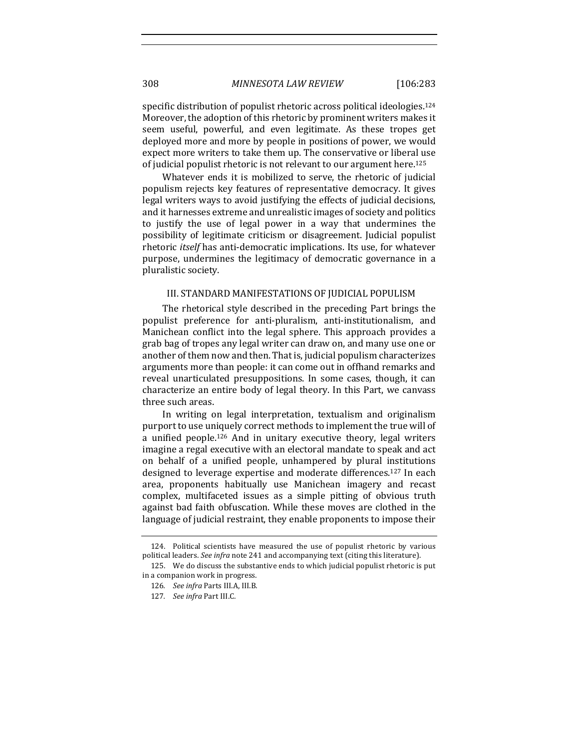308 *MINNESOTA LAW REVIEW* [106:283

specific distribution of populist rhetoric across political ideologies.<sup>124</sup> Moreover, the adoption of this rhetoric by prominent writers makes it seem useful, powerful, and even legitimate. As these tropes get deployed more and more by people in positions of power, we would expect more writers to take them up. The conservative or liberal use of judicial populist rhetoric is not relevant to our argument here.<sup>125</sup>

Whatever ends it is mobilized to serve, the rhetoric of judicial populism rejects key features of representative democracy. It gives legal writers ways to avoid justifying the effects of judicial decisions, and it harnesses extreme and unrealistic images of society and politics to justify the use of legal power in a way that undermines the possibility of legitimate criticism or disagreement. Judicial populist rhetoric *itself* has anti-democratic implications. Its use, for whatever purpose, undermines the legitimacy of democratic governance in a pluralistic society.

## III. STANDARD MANIFESTATIONS OF JUDICIAL POPULISM

The rhetorical style described in the preceding Part brings the populist preference for anti-pluralism, anti-institutionalism, and Manichean conflict into the legal sphere. This approach provides a grab bag of tropes any legal writer can draw on, and many use one or another of them now and then. That is, judicial populism characterizes arguments more than people: it can come out in offhand remarks and reveal unarticulated presuppositions. In some cases, though, it can characterize an entire body of legal theory. In this Part, we canvass three such areas.

In writing on legal interpretation, textualism and originalism purport to use uniquely correct methods to implement the true will of a unified people.<sup>126</sup> And in unitary executive theory, legal writers imagine a regal executive with an electoral mandate to speak and act on behalf of a unified people, unhampered by plural institutions designed to leverage expertise and moderate differences.<sup>127</sup> In each area, proponents habitually use Manichean imagery and recast complex, multifaceted issues as a simple pitting of obvious truth against bad faith obfuscation. While these moves are clothed in the language of judicial restraint, they enable proponents to impose their

<sup>124.</sup> Political scientists have measured the use of populist rhetoric by various political leaders. See infra note 241 and accompanying text (citing this literature).

<sup>125.</sup> We do discuss the substantive ends to which judicial populist rhetoric is put in a companion work in progress.

<sup>126</sup>*. See infra* Parts III.A, III.B.

<sup>127.</sup> See infra Part III.C.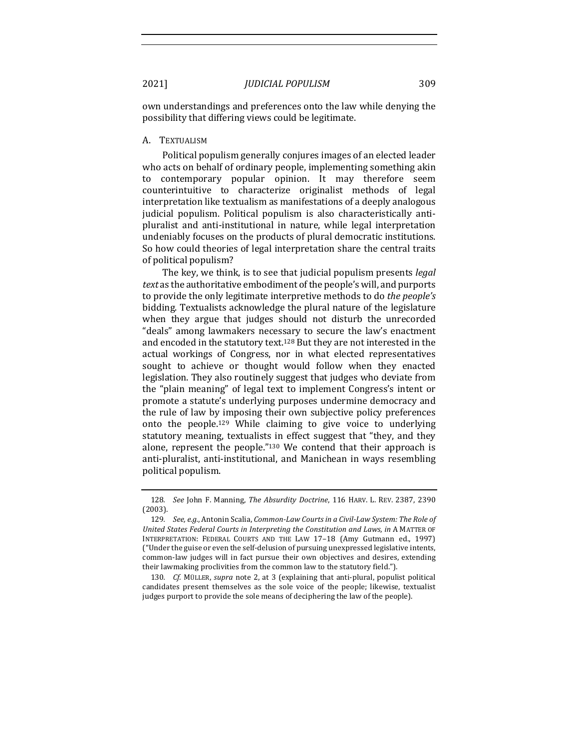own understandings and preferences onto the law while denying the possibility that differing views could be legitimate.

#### A. TEXTUALISM

Political populism generally conjures images of an elected leader who acts on behalf of ordinary people, implementing something akin to contemporary popular opinion. It may therefore seem counterintuitive to characterize originalist methods of legal interpretation like textualism as manifestations of a deeply analogous judicial populism. Political populism is also characteristically antipluralist and anti-institutional in nature, while legal interpretation undeniably focuses on the products of plural democratic institutions. So how could theories of legal interpretation share the central traits of political populism?

The key, we think, is to see that judicial populism presents *legal text* as the authoritative embodiment of the people's will, and purports to provide the only legitimate interpretive methods to do *the people's* bidding. Textualists acknowledge the plural nature of the legislature when they argue that judges should not disturb the unrecorded "deals" among lawmakers necessary to secure the law's enactment and encoded in the statutory text.<sup>128</sup> But they are not interested in the actual workings of Congress, nor in what elected representatives sought to achieve or thought would follow when they enacted legislation. They also routinely suggest that judges who deviate from the "plain meaning" of legal text to implement Congress's intent or promote a statute's underlying purposes undermine democracy and the rule of law by imposing their own subjective policy preferences onto the people.<sup>129</sup> While claiming to give voice to underlying statutory meaning, textualists in effect suggest that "they, and they alone, represent the people." $130$  We contend that their approach is anti-pluralist, anti-institutional, and Manichean in ways resembling political populism.

<sup>128</sup>*. See* John F. Manning, *The Absurdity Doctrine*, 116 HARV. L. REV. 2387, 2390 (2003).

<sup>129.</sup> *See, e.g.*, Antonin Scalia, *Common-Law Courts* in a Civil-Law System: The Role of United States Federal Courts in Interpreting the Constitution and Laws, in A MATTER OF INTERPRETATION: FEDERAL COURTS AND THE LAW 17-18 (Amy Gutmann ed., 1997) ("Under the guise or even the self-delusion of pursuing unexpressed legislative intents, common-law judges will in fact pursue their own objectives and desires, extending their lawmaking proclivities from the common law to the statutory field.").

<sup>130.</sup> *Cf.* MÜLLER, *supra* note 2, at 3 (explaining that anti-plural, populist political candidates present themselves as the sole voice of the people; likewise, textualist judges purport to provide the sole means of deciphering the law of the people).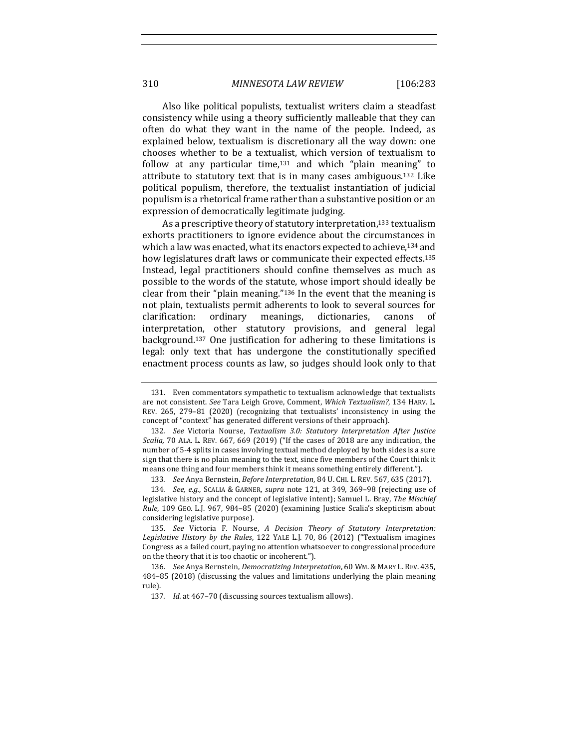310 *MINNESOTA LAW REVIEW* [106:283

Also like political populists, textualist writers claim a steadfast consistency while using a theory sufficiently malleable that they can often do what they want in the name of the people. Indeed, as explained below, textualism is discretionary all the way down: one chooses whether to be a textualist, which version of textualism to follow at any particular time, $131$  and which "plain meaning" to attribute to statutory text that is in many cases ambiguous.<sup>132</sup> Like political populism, therefore, the textualist instantiation of judicial populism is a rhetorical frame rather than a substantive position or an expression of democratically legitimate judging.

As a prescriptive theory of statutory interpretation,<sup>133</sup> textualism exhorts practitioners to ignore evidence about the circumstances in which a law was enacted, what its enactors expected to achieve.<sup>134</sup> and how legislatures draft laws or communicate their expected effects.<sup>135</sup> Instead, legal practitioners should confine themselves as much as possible to the words of the statute, whose import should ideally be clear from their "plain meaning."<sup>136</sup> In the event that the meaning is not plain, textualists permit adherents to look to several sources for clarification: ordinary meanings, dictionaries, canons of interpretation, other statutory provisions, and general legal background.<sup>137</sup> One justification for adhering to these limitations is legal: only text that has undergone the constitutionally specified enactment process counts as law, so judges should look only to that

133. *See Anya Bernstein, Before Interpretation, 84 U. CHI. L. REV. 567, 635 (2017).* 

<sup>131.</sup> Even commentators sympathetic to textualism acknowledge that textualists are not consistent. See Tara Leigh Grove, Comment, Which Textualism?, 134 HARV. L. REV. 265, 279-81 (2020) (recognizing that textualists' inconsistency in using the concept of "context" has generated different versions of their approach).

<sup>132.</sup> See Victoria Nourse, Textualism 3.0: Statutory Interpretation After Justice *Scalia,* 70 ALA. L. REV. 667, 669 (2019) ("If the cases of 2018 are any indication, the number of 5-4 splits in cases involving textual method deployed by both sides is a sure sign that there is no plain meaning to the text, since five members of the Court think it means one thing and four members think it means something entirely different.").

<sup>134.</sup> *See, e.g.*, SCALIA & GARNER, *supra* note 121, at 349, 369-98 (rejecting use of legislative history and the concept of legislative intent); Samuel L. Bray, The Mischief *Rule*, 109 GEO. L.J. 967, 984-85 (2020) (examining Justice Scalia's skepticism about considering legislative purpose).

<sup>135.</sup> *See* Victoria F. Nourse, *A Decision Theory of Statutory Interpretation:* Legislative History by the Rules, 122 YALE L.J. 70, 86 (2012) ("Textualism imagines Congress as a failed court, paying no attention whatsoever to congressional procedure on the theory that it is too chaotic or incoherent.").

<sup>136.</sup> *See Anya Bernstein, Democratizing Interpretation,* 60 WM. & MARY L. REV. 435, 484-85 (2018) (discussing the values and limitations underlying the plain meaning rule).

<sup>137.</sup> *Id.* at 467-70 (discussing sources textualism allows).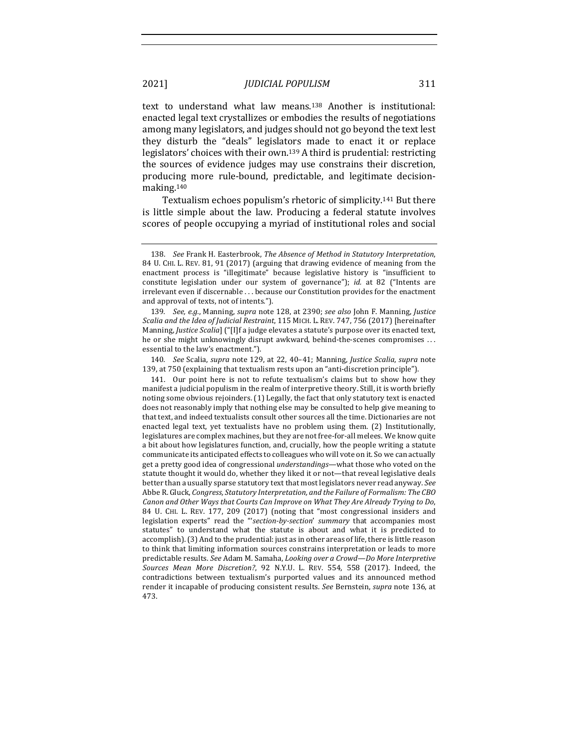text to understand what law means.<sup>138</sup> Another is institutional: enacted legal text crystallizes or embodies the results of negotiations among many legislators, and judges should not go beyond the text lest they disturb the "deals" legislators made to enact it or replace legislators' choices with their own.<sup>139</sup> A third is prudential: restricting the sources of evidence judges may use constrains their discretion, producing more rule-bound, predictable, and legitimate decisionmaking.140

Textualism echoes populism's rhetoric of simplicity.<sup>141</sup> But there is little simple about the law. Producing a federal statute involves scores of people occupying a myriad of institutional roles and social

139. *See, e.g.*, Manning, *supra* note 128, at 2390; *see also* John F. Manning, Justice Scalia and the Idea of Judicial Restraint, 115 MICH. L. REV. 747, 756 (2017) [hereinafter Manning, *Justice Scalia*] ("[I]f a judge elevates a statute's purpose over its enacted text, he or she might unknowingly disrupt awkward, behind-the-scenes compromises ... essential to the law's enactment.").

140. *See Scalia, supra* note 129, at 22, 40-41; Manning, Justice Scalia, supra note 139, at 750 (explaining that textualism rests upon an "anti-discretion principle").

141. Our point here is not to refute textualism's claims but to show how they manifest a judicial populism in the realm of interpretive theory. Still, it is worth briefly noting some obvious rejoinders. (1) Legally, the fact that only statutory text is enacted does not reasonably imply that nothing else may be consulted to help give meaning to that text, and indeed textualists consult other sources all the time. Dictionaries are not enacted legal text, yet textualists have no problem using them. (2) Institutionally, legislatures are complex machines, but they are not free-for-all melees. We know quite a bit about how legislatures function, and, crucially, how the people writing a statute communicate its anticipated effects to colleagues who will vote on it. So we can actually get a pretty good idea of congressional *understandings*—what those who voted on the statute thought it would do, whether they liked it or not—that reveal legislative deals better than a usually sparse statutory text that most legislators never read anyway. See Abbe R. Gluck, *Congress, Statutory Interpretation, and the Failure of Formalism: The CBO* Canon and Other Ways that Courts Can Improve on What They Are Already Trying to Do, 84 U. CHI. L. REV. 177, 209 (2017) (noting that "most congressional insiders and legislation experts" read the "'section-by-section' summary that accompanies most statutes" to understand what the statute is about and what it is predicted to accomplish). (3) And to the prudential: just as in other areas of life, there is little reason to think that limiting information sources constrains interpretation or leads to more predictable results. See Adam M. Samaha, *Looking over a Crowd—Do More Interpretive Sources Mean More Discretion?*, 92 N.Y.U. L. REV. 554, 558 (2017). Indeed, the contradictions between textualism's purported values and its announced method render it incapable of producing consistent results. See Bernstein, *supra* note 136, at 473.

<sup>138.</sup> See Frank H. Easterbrook, *The Absence of Method in Statutory Interpretation*, 84 U. CHI. L. REV. 81, 91 (2017) (arguing that drawing evidence of meaning from the enactment process is "illegitimate" because legislative history is "insufficient to constitute legislation under our system of governance"); *id.* at 82 ("Intents are irrelevant even if discernable ... because our Constitution provides for the enactment and approval of texts, not of intents.").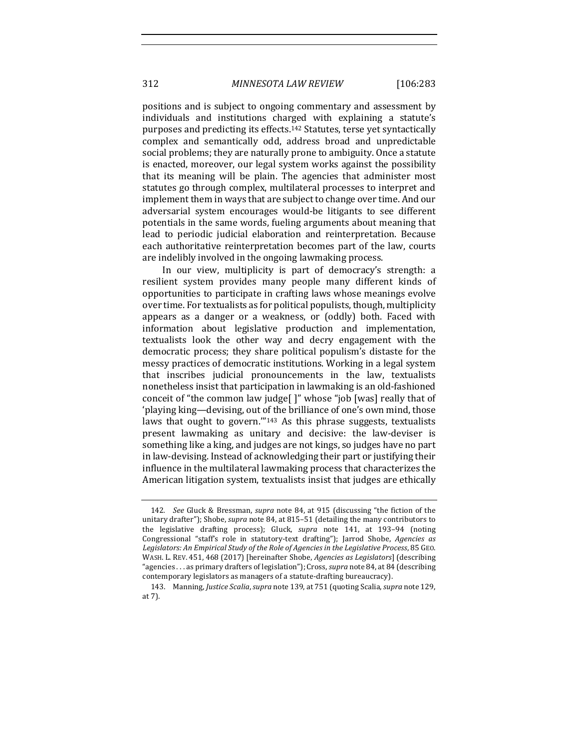positions and is subject to ongoing commentary and assessment by individuals and institutions charged with explaining a statute's purposes and predicting its effects.<sup>142</sup> Statutes, terse yet syntactically complex and semantically odd, address broad and unpredictable social problems; they are naturally prone to ambiguity. Once a statute is enacted, moreover, our legal system works against the possibility that its meaning will be plain. The agencies that administer most statutes go through complex, multilateral processes to interpret and implement them in ways that are subject to change over time. And our adversarial system encourages would-be litigants to see different potentials in the same words, fueling arguments about meaning that lead to periodic judicial elaboration and reinterpretation. Because each authoritative reinterpretation becomes part of the law, courts are indelibly involved in the ongoing lawmaking process.

In our view, multiplicity is part of democracy's strength: a resilient system provides many people many different kinds of opportunities to participate in crafting laws whose meanings evolve over time. For textualists as for political populists, though, multiplicity appears as a danger or a weakness, or (oddly) both. Faced with information about legislative production and implementation, textualists look the other way and decry engagement with the democratic process; they share political populism's distaste for the messy practices of democratic institutions. Working in a legal system that inscribes judicial pronouncements in the law, textualists nonetheless insist that participation in lawmaking is an old-fashioned conceit of "the common law judge[ ]" whose "job [was] really that of 'playing king—devising, out of the brilliance of one's own mind, those laws that ought to govern." $143$  As this phrase suggests, textualists present lawmaking as unitary and decisive: the law-deviser is something like a king, and judges are not kings, so judges have no part in law-devising. Instead of acknowledging their part or justifying their influence in the multilateral lawmaking process that characterizes the American litigation system, textualists insist that judges are ethically

<sup>142.</sup> *See* Gluck & Bressman, *supra* note 84, at 915 (discussing "the fiction of the unitary drafter"); Shobe, *supra* note 84, at 815–51 (detailing the many contributors to the legislative drafting process); Gluck, *supra* note 141, at 193-94 (noting Congressional "staff's role in statutory-text drafting"); Jarrod Shobe, *Agencies as* Legislators: An Empirical Study of the Role of Agencies in the Legislative Process, 85 GEO. WASH. L. REV. 451, 468 (2017) [hereinafter Shobe, *Agencies as Legislators*] (describing "agencies . . . as primary drafters of legislation"); Cross, *supra* note 84, at 84 (describing contemporary legislators as managers of a statute-drafting bureaucracy).

<sup>143.</sup> Manning, Justice Scalia, supra note 139, at 751 (quoting Scalia, supra note 129, at 7).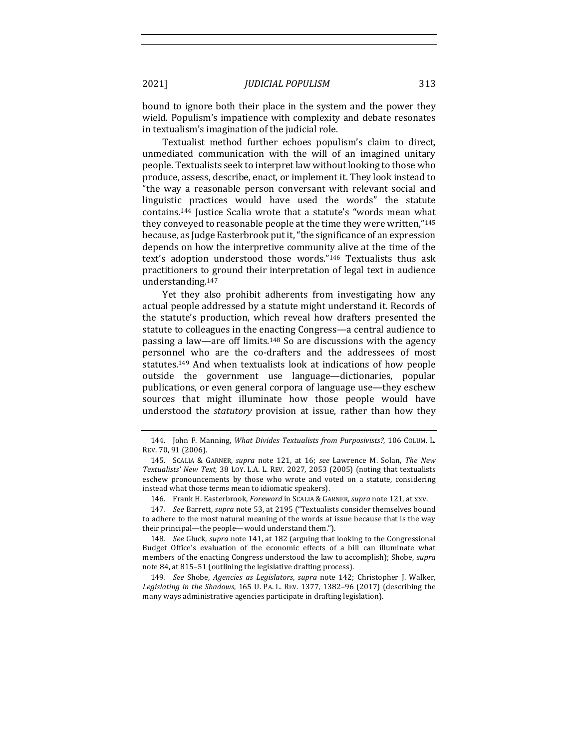bound to ignore both their place in the system and the power they wield. Populism's impatience with complexity and debate resonates in textualism's imagination of the judicial role.

Textualist method further echoes populism's claim to direct, unmediated communication with the will of an imagined unitary people. Textualists seek to interpret law without looking to those who produce, assess, describe, enact, or implement it. They look instead to "the way a reasonable person conversant with relevant social and linguistic practices would have used the words" the statute contains.<sup>144</sup> Justice Scalia wrote that a statute's "words mean what they conveyed to reasonable people at the time they were written,"145 because, as Judge Easterbrook put it, "the significance of an expression depends on how the interpretive community alive at the time of the text's adoption understood those words."<sup>146</sup> Textualists thus ask practitioners to ground their interpretation of legal text in audience understanding.147

Yet they also prohibit adherents from investigating how any actual people addressed by a statute might understand it. Records of the statute's production, which reveal how drafters presented the statute to colleagues in the enacting Congress—a central audience to passing a law—are off limits.<sup>148</sup> So are discussions with the agency personnel who are the co-drafters and the addressees of most statutes.<sup>149</sup> And when textualists look at indications of how people outside the government use language—dictionaries, popular publications, or even general corpora of language use—they eschew sources that might illuminate how those people would have understood the *statutory* provision at issue, rather than how they

<sup>144.</sup> John F. Manning, *What Divides Textualists from Purposivists?*, 106 COLUM. L. REV. 70, 91 (2006).

<sup>145.</sup> SCALIA & GARNER, *supra* note 121, at 16; see Lawrence M. Solan, The New *Textualists' New Text*, 38 LOY. L.A. L. REV. 2027, 2053 (2005) (noting that textualists eschew pronouncements by those who wrote and voted on a statute, considering instead what those terms mean to idiomatic speakers).

<sup>146.</sup> Frank H. Easterbrook, *Foreword* in SCALIA & GARNER, *supra* note 121, at xxv.

<sup>147.</sup> *See Barrett, supra* note 53, at 2195 ("Textualists consider themselves bound to adhere to the most natural meaning of the words at issue because that is the way their principal—the people—would understand them.").

<sup>148.</sup> *See* Gluck, *supra* note 141, at 182 (arguing that looking to the Congressional Budget Office's evaluation of the economic effects of a bill can illuminate what members of the enacting Congress understood the law to accomplish); Shobe, *supra* note 84, at 815-51 (outlining the legislative drafting process).

<sup>149.</sup> See Shobe, Agencies as Legislators, supra note 142; Christopher J. Walker, Legislating in the Shadows, 165 U. PA. L. REV. 1377, 1382-96 (2017) (describing the many ways administrative agencies participate in drafting legislation).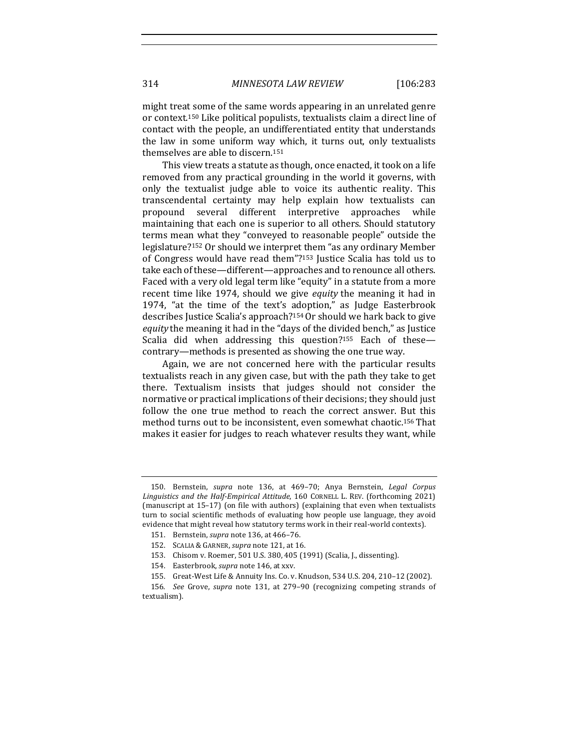might treat some of the same words appearing in an unrelated genre or context.<sup>150</sup> Like political populists, textualists claim a direct line of contact with the people, an undifferentiated entity that understands the law in some uniform way which, it turns out, only textualists themselves are able to discern. $151$ 

This view treats a statute as though, once enacted, it took on a life removed from any practical grounding in the world it governs, with only the textualist judge able to voice its authentic reality. This transcendental certainty may help explain how textualists can propound several different interpretive approaches while maintaining that each one is superior to all others. Should statutory terms mean what they "conveyed to reasonable people" outside the legislature?<sup>152</sup> Or should we interpret them "as any ordinary Member of Congress would have read them"?<sup>153</sup> Justice Scalia has told us to take each of these—different—approaches and to renounce all others. Faced with a very old legal term like "equity" in a statute from a more recent time like 1974, should we give *equity* the meaning it had in 1974, "at the time of the text's adoption," as Judge Easterbrook describes Justice Scalia's approach?<sup>154</sup> Or should we hark back to give *equity* the meaning it had in the "days of the divided bench," as Justice Scalia did when addressing this question?<sup>155</sup> Each of these contrary—methods is presented as showing the one true way.

Again, we are not concerned here with the particular results textualists reach in any given case, but with the path they take to get there. Textualism insists that judges should not consider the normative or practical implications of their decisions; they should just follow the one true method to reach the correct answer. But this method turns out to be inconsistent, even somewhat chaotic.<sup>156</sup> That makes it easier for judges to reach whatever results they want, while

<sup>150.</sup> Bernstein, *supra* note 136, at 469-70; Anya Bernstein, *Legal Corpus* Linguistics and the Half-Empirical Attitude, 160 CORNELL L. REV. (forthcoming 2021) (manuscript at  $15-17$ ) (on file with authors) (explaining that even when textualists turn to social scientific methods of evaluating how people use language, they avoid evidence that might reveal how statutory terms work in their real-world contexts).

<sup>151.</sup> Bernstein, *supra* note 136, at 466-76.

<sup>152.</sup> SCALIA & GARNER, *supra* note 121, at 16.

<sup>153.</sup> Chisom v. Roemer, 501 U.S. 380, 405 (1991) (Scalia, J., dissenting).

<sup>154.</sup> Easterbrook, *supra* note 146, at xxv.

<sup>155.</sup> Great-West Life & Annuity Ins. Co. v. Knudson, 534 U.S. 204, 210-12 (2002).

<sup>156.</sup> See Grove, supra note 131, at 279-90 (recognizing competing strands of textualism).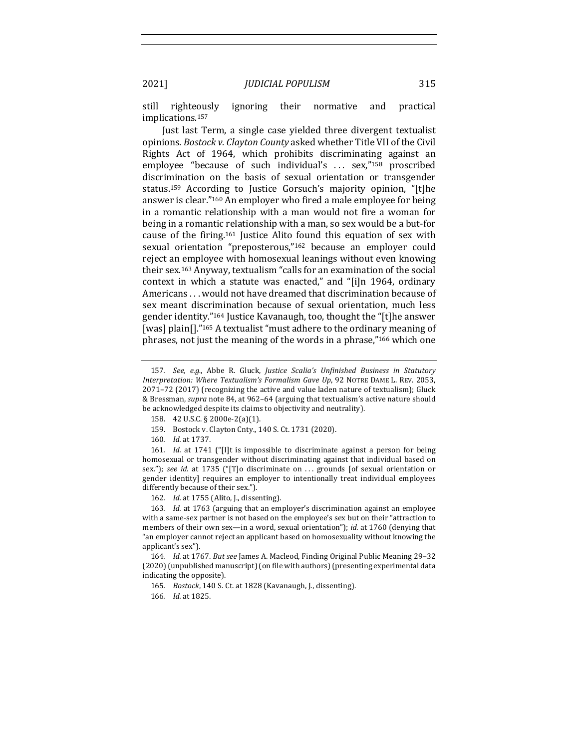still righteously ignoring their normative and practical implications.157

Just last Term, a single case yielded three divergent textualist opinions. *Bostock v. Clayton County* asked whether Title VII of the Civil Rights Act of 1964, which prohibits discriminating against an employee "because of such individual's ... sex,"<sup>158</sup> proscribed discrimination on the basis of sexual orientation or transgender status.<sup>159</sup> According to Justice Gorsuch's majority opinion, "[t]he answer is clear."<sup>160</sup> An employer who fired a male employee for being in a romantic relationship with a man would not fire a woman for being in a romantic relationship with a man, so sex would be a but-for cause of the firing.<sup>161</sup> Justice Alito found this equation of sex with sexual orientation "preposterous,"<sup>162</sup> because an employer could reject an employee with homosexual leanings without even knowing their sex.<sup>163</sup> Anyway, textualism "calls for an examination of the social context in which a statute was enacted," and "[i]n 1964, ordinary Americans . . . would not have dreamed that discrimination because of sex meant discrimination because of sexual orientation, much less gender identity."<sup>164</sup> Justice Kavanaugh, too, thought the "[t]he answer [was] plain[]."<sup>165</sup> A textualist "must adhere to the ordinary meaning of phrases, not just the meaning of the words in a phrase,"<sup>166</sup> which one

159. Bostock v. Clayton Cnty., 140 S. Ct. 1731 (2020).

161. *Id.* at 1741 ("[I]t is impossible to discriminate against a person for being homosexual or transgender without discriminating against that individual based on sex."); see id. at 1735 ("[T]o discriminate on ... grounds [of sexual orientation or gender identity] requires an employer to intentionally treat individual employees differently because of their sex.").

162. *Id.* at 1755 (Alito, J., dissenting).

163. Id. at 1763 (arguing that an employer's discrimination against an employee with a same-sex partner is not based on the employee's sex but on their "attraction to members of their own sex—in a word, sexual orientation"); *id.* at 1760 (denying that "an employer cannot reject an applicant based on homosexuality without knowing the applicant's sex").

164. *Id.* at 1767. But see James A. Macleod, Finding Original Public Meaning 29-32 (2020) (unpublished manuscript) (on file with authors) (presenting experimental data indicating the opposite).

165. *Bostock*, 140 S. Ct. at 1828 (Kavanaugh, J., dissenting).

<sup>157.</sup> *See, e.g.*, Abbe R. Gluck, Justice Scalia's Unfinished Business in Statutory *Interpretation: Where Textualism's Formalism Gave Up*, 92 NOTRE DAME L. REV. 2053,  $2071-72$  (2017) (recognizing the active and value laden nature of textualism); Gluck & Bressman, *supra* note 84, at 962-64 (arguing that textualism's active nature should be acknowledged despite its claims to objectivity and neutrality).

<sup>158. 42</sup> U.S.C. § 2000e-2(a)(1).

<sup>160.</sup> *Id.* at 1737.

<sup>166.</sup> *Id.* at 1825.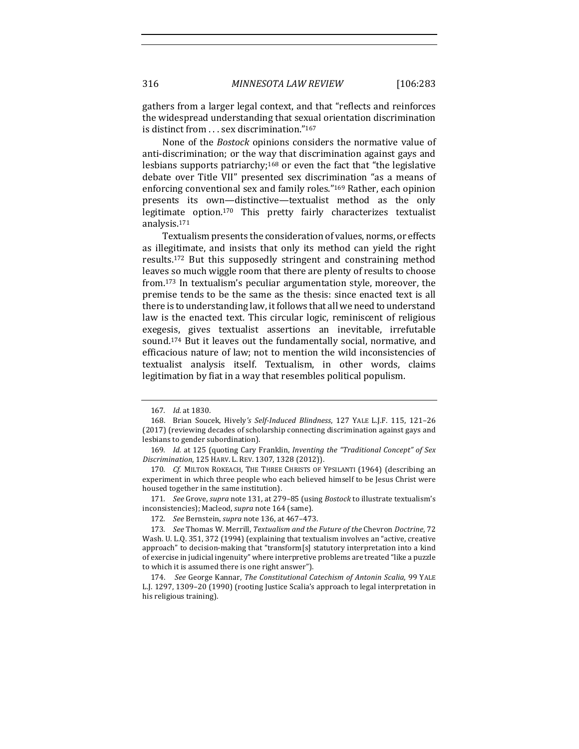gathers from a larger legal context, and that "reflects and reinforces the widespread understanding that sexual orientation discrimination is distinct from . . . sex discrimination."167

None of the *Bostock* opinions considers the normative value of anti-discrimination; or the way that discrimination against gays and lesbians supports patriarchy;<sup>168</sup> or even the fact that "the legislative debate over Title VII" presented sex discrimination "as a means of enforcing conventional sex and family roles."<sup>169</sup> Rather, each opinion presents its own-distinctive-textualist method as the only legitimate option.<sup>170</sup> This pretty fairly characterizes textualist analysis.171

Textualism presents the consideration of values, norms, or effects as illegitimate, and insists that only its method can yield the right results.<sup>172</sup> But this supposedly stringent and constraining method leaves so much wiggle room that there are plenty of results to choose from.<sup>173</sup> In textualism's peculiar argumentation style, moreover, the premise tends to be the same as the thesis: since enacted text is all there is to understanding law, it follows that all we need to understand law is the enacted text. This circular logic, reminiscent of religious exegesis, gives textualist assertions an inevitable, irrefutable sound.<sup>174</sup> But it leaves out the fundamentally social, normative, and efficacious nature of law; not to mention the wild inconsistencies of textualist analysis itself. Textualism, in other words, claims legitimation by fiat in a way that resembles political populism.

171. *See Grove, supra* note 131, at 279-85 (using *Bostock* to illustrate textualism's inconsistencies); Macleod, *supra* note 164 (same).

<sup>167</sup>*. Id.* at 1830.

<sup>168.</sup> Brian Soucek, Hively's Self-Induced Blindness, 127 YALE L.J.F. 115, 121-26 (2017) (reviewing decades of scholarship connecting discrimination against gays and lesbians to gender subordination).

<sup>169.</sup> *Id.* at 125 (quoting Cary Franklin, *Inventing the "Traditional Concept" of Sex Discrimination*, 125 HARV. L. REV. 1307, 1328 (2012)).

<sup>170</sup>*. Cf.* MILTON ROKEACH, THE THREE CHRISTS OF YPSILANTI (1964) (describing an experiment in which three people who each believed himself to be Jesus Christ were housed together in the same institution).

<sup>172</sup>*. See* Bernstein, *supra* note 136, at 467–473.

<sup>173.</sup> *See* Thomas W. Merrill, *Textualism and the Future of the Chevron Doctrine*, 72 Wash. U. L.Q. 351, 372 (1994) (explaining that textualism involves an "active, creative approach" to decision-making that "transform[s] statutory interpretation into a kind of exercise in judicial ingenuity" where interpretive problems are treated "like a puzzle to which it is assumed there is one right answer").

<sup>174.</sup> *See* George Kannar, *The Constitutional Catechism of Antonin Scalia*, 99 YALE L.J. 1297, 1309-20 (1990) (rooting Justice Scalia's approach to legal interpretation in his religious training).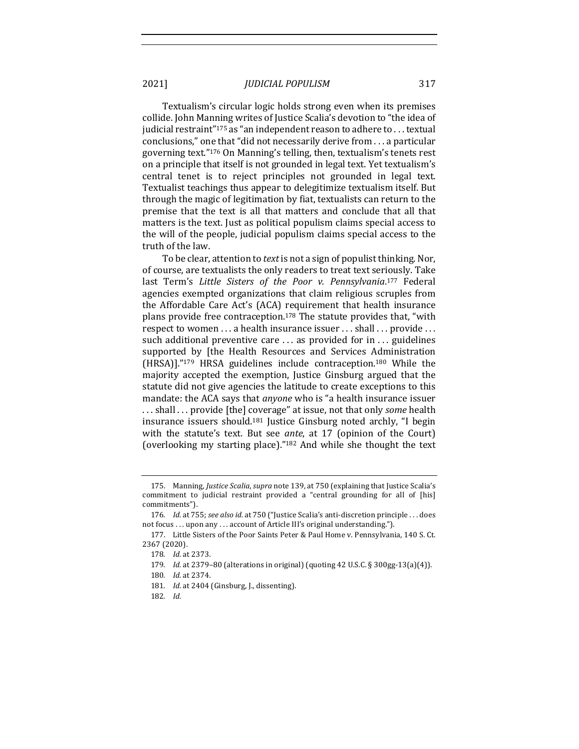Textualism's circular logic holds strong even when its premises collide. John Manning writes of Justice Scalia's devotion to "the idea of judicial restraint"<sup>175</sup> as "an independent reason to adhere to . . . textual conclusions," one that "did not necessarily derive from  $\dots$  a particular governing text."<sup>176</sup> On Manning's telling, then, textualism's tenets rest on a principle that itself is not grounded in legal text. Yet textualism's central tenet is to reject principles not grounded in legal text. Textualist teachings thus appear to delegitimize textualism itself. But through the magic of legitimation by fiat, textualists can return to the premise that the text is all that matters and conclude that all that matters is the text. Just as political populism claims special access to the will of the people, judicial populism claims special access to the truth of the law.

To be clear, attention to *text* is not a sign of populist thinking. Nor, of course, are textualists the only readers to treat text seriously. Take last Term's Little Sisters of the Poor v. Pennsylvania.<sup>177</sup> Federal agencies exempted organizations that claim religious scruples from the Affordable Care Act's (ACA) requirement that health insurance plans provide free contraception.<sup>178</sup> The statute provides that, "with respect to women ... a health insurance issuer ... shall ... provide ... such additional preventive care  $\dots$  as provided for in  $\dots$  guidelines supported by [the Health Resources and Services Administration  $(HRSA)$ ]."<sup>179</sup> HRSA guidelines include contraception.<sup>180</sup> While the majority accepted the exemption, Justice Ginsburg argued that the statute did not give agencies the latitude to create exceptions to this mandate: the ACA says that *anyone* who is "a health insurance issuer ... shall ... provide [the] coverage" at issue, not that only *some* health insurance issuers should.<sup>181</sup> Justice Ginsburg noted archly, "I begin with the statute's text. But see *ante*, at 17 (opinion of the Court) (overlooking my starting place)."<sup>182</sup> And while she thought the text

<sup>175.</sup> Manning, *Justice Scalia*, *supra* note 139, at 750 (explaining that Justice Scalia's commitment to judicial restraint provided a "central grounding for all of [his] commitments").

<sup>176.</sup> *Id.* at 755; see also id. at 750 ("Justice Scalia's anti-discretion principle ... does not focus . . . upon any . . . account of Article III's original understanding.").

<sup>177.</sup> Little Sisters of the Poor Saints Peter & Paul Home v. Pennsylvania, 140 S. Ct. 2367 (2020).

<sup>178</sup>*. Id.* at 2373.

<sup>179</sup>*. Id.* at 2379–80 (alterations in original) (quoting 42 U.S.C. § 300gg-13(a)(4)).

<sup>180</sup>*. Id.* at 2374.

<sup>181.</sup> *Id.* at 2404 (Ginsburg, J., dissenting).

<sup>182</sup>*. Id.*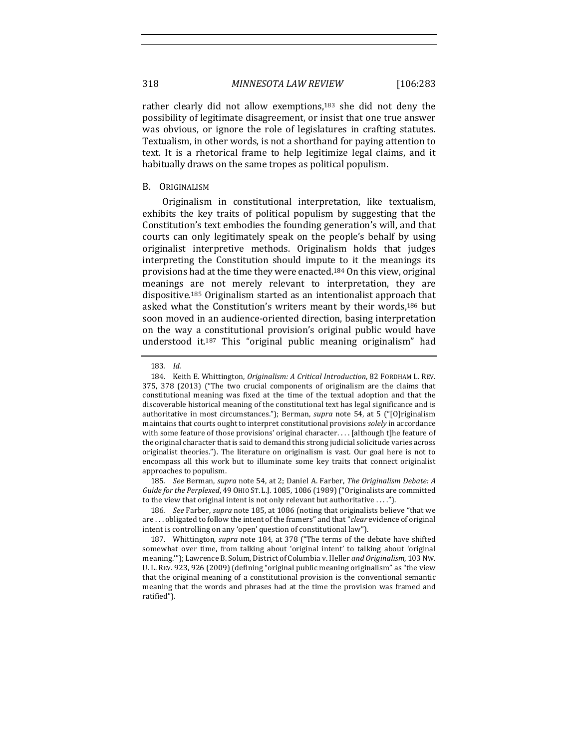rather clearly did not allow exemptions, $183$  she did not deny the possibility of legitimate disagreement, or insist that one true answer was obvious, or ignore the role of legislatures in crafting statutes. Textualism, in other words, is not a shorthand for paying attention to text. It is a rhetorical frame to help legitimize legal claims, and it habitually draws on the same tropes as political populism.

### B. ORIGINALISM

Originalism in constitutional interpretation, like textualism, exhibits the key traits of political populism by suggesting that the Constitution's text embodies the founding generation's will, and that courts can only legitimately speak on the people's behalf by using originalist interpretive methods. Originalism holds that judges interpreting the Constitution should impute to it the meanings its provisions had at the time they were enacted.<sup>184</sup> On this view, original meanings are not merely relevant to interpretation, they are dispositive.<sup>185</sup> Originalism started as an intentionalist approach that asked what the Constitution's writers meant by their words,<sup>186</sup> but soon moved in an audience-oriented direction, basing interpretation on the way a constitutional provision's original public would have understood it.<sup>187</sup> This "original public meaning originalism" had

185. *See* Berman, *supra* note 54, at 2; Daniel A. Farber, *The Originalism Debate: A* Guide for the Perplexed, 49 OHIO ST. L.J. 1085, 1086 (1989) ("Originalists are committed to the view that original intent is not only relevant but authoritative  $\dots$ .").

186. *See* Farber, *supra* note 185, at 1086 (noting that originalists believe "that we are ... obligated to follow the intent of the framers" and that "*clear* evidence of original intent is controlling on any 'open' question of constitutional law").

187. Whittington, *supra* note 184, at 378 ("The terms of the debate have shifted somewhat over time, from talking about 'original intent' to talking about 'original meaning.""); Lawrence B. Solum, District of Columbia v. Heller *and Originalism*, 103 Nw. U. L. REV. 923, 926 (2009) (defining "original public meaning originalism" as "the view that the original meaning of a constitutional provision is the conventional semantic meaning that the words and phrases had at the time the provision was framed and ratified").

<sup>183</sup>*. Id.*

<sup>184.</sup> Keith E. Whittington, *Originalism: A Critical Introduction*, 82 FORDHAM L. REV. 375, 378 (2013) ("The two crucial components of originalism are the claims that constitutional meaning was fixed at the time of the textual adoption and that the discoverable historical meaning of the constitutional text has legal significance and is authoritative in most circumstances."); Berman, *supra* note 54, at 5 ("[O]riginalism maintains that courts ought to interpret constitutional provisions *solely* in accordance with some feature of those provisions' original character.... [although t]he feature of the original character that is said to demand this strong judicial solicitude varies across originalist theories."). The literature on originalism is vast. Our goal here is not to encompass all this work but to illuminate some key traits that connect originalist approaches to populism.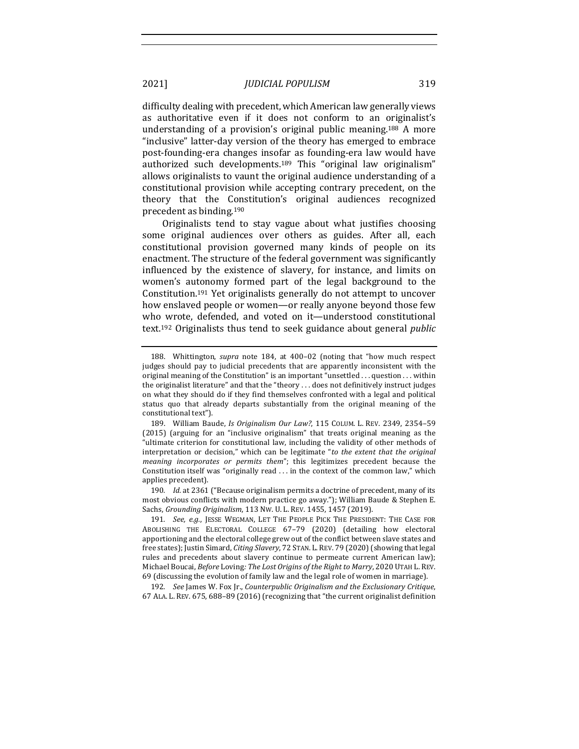difficulty dealing with precedent, which American law generally views as authoritative even if it does not conform to an originalist's understanding of a provision's original public meaning.<sup>188</sup> A more "inclusive" latter-day version of the theory has emerged to embrace post-founding-era changes insofar as founding-era law would have authorized such developments.<sup>189</sup> This "original law originalism" allows originalists to vaunt the original audience understanding of a constitutional provision while accepting contrary precedent, on the theory that the Constitution's original audiences recognized precedent as binding.<sup>190</sup>

Originalists tend to stay vague about what justifies choosing some original audiences over others as guides. After all, each constitutional provision governed many kinds of people on its enactment. The structure of the federal government was significantly influenced by the existence of slavery, for instance, and limits on women's autonomy formed part of the legal background to the Constitution.<sup>191</sup> Yet originalists generally do not attempt to uncover how enslaved people or women—or really anyone beyond those few who wrote, defended, and voted on it—understood constitutional text.<sup>192</sup> Originalists thus tend to seek guidance about general *public* 

190. *Id.* at 2361 ("Because originalism permits a doctrine of precedent, many of its most obvious conflicts with modern practice go away."); William Baude & Stephen E. Sachs, *Grounding Originalism*, 113 Nw. U. L. REV. 1455, 1457 (2019).

191. *See, e.g.*, JESSE WEGMAN, LET THE PEOPLE PICK THE PRESIDENT: THE CASE FOR ABOLISHING THE ELECTORAL COLLEGE 67-79 (2020) (detailing how electoral apportioning and the electoral college grew out of the conflict between slave states and free states); Justin Simard, *Citing Slavery*, 72 STAN. L. REV. 79 (2020) (showing that legal rules and precedents about slavery continue to permeate current American law); Michael Boucai, *Before* Loving: The Lost Origins of the Right to Marry, 2020 UTAH L. REV. 69 (discussing the evolution of family law and the legal role of women in marriage).

192*. See* James W. Fox Jr., *Counterpublic Originalism and the Exclusionary Critique*, 67 ALA. L. REV. 675, 688-89 (2016) (recognizing that "the current originalist definition

<sup>188.</sup> Whittington, *supra* note 184, at 400-02 (noting that "how much respect judges should pay to judicial precedents that are apparently inconsistent with the original meaning of the Constitution" is an important "unsettled  $\dots$  question  $\dots$  within the originalist literature" and that the "theory ... does not definitively instruct judges on what they should do if they find themselves confronted with a legal and political status quo that already departs substantially from the original meaning of the constitutional text").

<sup>189.</sup> William Baude, *Is Originalism Our Law?*, 115 COLUM. L. REV. 2349, 2354–59 (2015) (arguing for an "inclusive originalism" that treats original meaning as the "ultimate criterion for constitutional law, including the validity of other methods of interpretation or decision," which can be legitimate "*to the extent that the original meaning incorporates or permits them*"; this legitimizes precedent because the Constitution itself was "originally read  $\dots$  in the context of the common law," which applies precedent).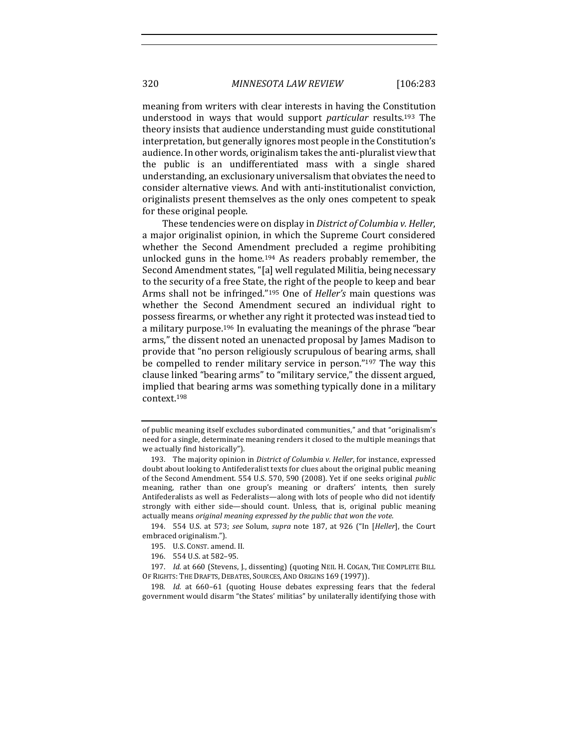meaning from writers with clear interests in having the Constitution understood in ways that would support *particular* results.<sup>193</sup> The theory insists that audience understanding must guide constitutional interpretation, but generally ignores most people in the Constitution's audience. In other words, originalism takes the anti-pluralist view that the public is an undifferentiated mass with a single shared understanding, an exclusionary universalism that obviates the need to consider alternative views. And with anti-institutionalist conviction, originalists present themselves as the only ones competent to speak for these original people.

These tendencies were on display in *District of Columbia v. Heller*, a major originalist opinion, in which the Supreme Court considered whether the Second Amendment precluded a regime prohibiting unlocked guns in the home.<sup>194</sup> As readers probably remember, the Second Amendment states, "[a] well regulated Militia, being necessary to the security of a free State, the right of the people to keep and bear Arms shall not be infringed."<sup>195</sup> One of *Heller's* main questions was whether the Second Amendment secured an individual right to possess firearms, or whether any right it protected was instead tied to a military purpose.<sup>196</sup> In evaluating the meanings of the phrase "bear arms," the dissent noted an unenacted proposal by James Madison to provide that "no person religiously scrupulous of bearing arms, shall be compelled to render military service in person."<sup>197</sup> The way this clause linked "bearing arms" to "military service," the dissent argued, implied that bearing arms was something typically done in a military context.198

194. 554 U.S. at 573; see Solum, supra note 187, at 926 ("In [Heller], the Court embraced originalism.").

- 195. U.S. CONST. amend. II.
- 196. 554 U.S. at 582-95.

198. *Id.* at 660-61 (quoting House debates expressing fears that the federal government would disarm "the States' militias" by unilaterally identifying those with

of public meaning itself excludes subordinated communities," and that "originalism's need for a single, determinate meaning renders it closed to the multiple meanings that we actually find historically").

<sup>193.</sup> The majority opinion in *District of Columbia v. Heller*, for instance, expressed doubt about looking to Antifederalist texts for clues about the original public meaning of the Second Amendment. 554 U.S. 570, 590 (2008). Yet if one seeks original *public* meaning, rather than one group's meaning or drafters' intents, then surely Antifederalists as well as Federalists—along with lots of people who did not identify strongly with either side—should count. Unless, that is, original public meaning actually means original meaning expressed by the public that won the vote.

<sup>197.</sup> *Id.* at 660 (Stevens, J., dissenting) (quoting NEIL H. COGAN, THE COMPLETE BILL OF RIGHTS: THE DRAFTS, DEBATES, SOURCES, AND ORIGINS 169 (1997)).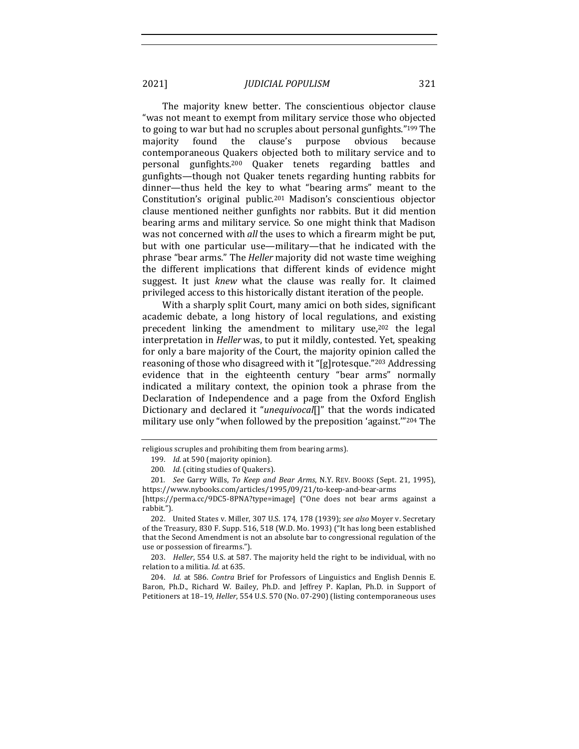The majority knew better. The conscientious objector clause "was not meant to exempt from military service those who objected to going to war but had no scruples about personal gunfights."<sup>199</sup> The majority found the clause's purpose obvious because contemporaneous Quakers objected both to military service and to personal gunfights.<sup>200</sup> Quaker tenets regarding battles and gunfights—though not Quaker tenets regarding hunting rabbits for dinner—thus held the key to what "bearing arms" meant to the Constitution's original public.<sup>201</sup> Madison's conscientious objector clause mentioned neither gunfights nor rabbits. But it did mention bearing arms and military service. So one might think that Madison was not concerned with *all* the uses to which a firearm might be put, but with one particular use—military—that he indicated with the phrase "bear arms." The *Heller* majority did not waste time weighing the different implications that different kinds of evidence might suggest. It just *knew* what the clause was really for. It claimed privileged access to this historically distant iteration of the people.

With a sharply split Court, many amici on both sides, significant academic debate, a long history of local regulations, and existing precedent linking the amendment to military use, $202$  the legal interpretation in *Heller* was, to put it mildly, contested. Yet, speaking for only a bare majority of the Court, the majority opinion called the reasoning of those who disagreed with it "[g]rotesque."<sup>203</sup> Addressing evidence that in the eighteenth century "bear arms" normally indicated a military context, the opinion took a phrase from the Declaration of Independence and a page from the Oxford English Dictionary and declared it "unequivocal[]" that the words indicated military use only "when followed by the preposition 'against."<sup>204</sup> The

religious scruples and prohibiting them from bearing arms).

<sup>199.</sup> *Id.* at 590 (majority opinion).

<sup>200.</sup> *Id.* (citing studies of Quakers).

<sup>201.</sup> *See* Garry Wills, To Keep and Bear Arms, N.Y. REV. BOOKS (Sept. 21, 1995), https://www.nybooks.com/articles/1995/09/21/to-keep-and-bear-arms 

<sup>[</sup>https://perma.cc/9DC5-8PNA?type=image] ("One does not bear arms against a rabbit.").

<sup>202.</sup> United States v. Miller, 307 U.S. 174, 178 (1939); *see also* Moyer v. Secretary of the Treasury, 830 F. Supp. 516, 518 (W.D. Mo. 1993) ("It has long been established that the Second Amendment is not an absolute bar to congressional regulation of the use or possession of firearms.").

<sup>203.</sup> *Heller*, 554 U.S. at 587. The majority held the right to be individual, with no relation to a militia. *Id.* at 635.

<sup>204.</sup> *Id.* at 586. *Contra* Brief for Professors of Linguistics and English Dennis E. Baron, Ph.D., Richard W. Bailey, Ph.D. and Jeffrey P. Kaplan, Ph.D. in Support of Petitioners at 18-19, *Heller*, 554 U.S. 570 (No. 07-290) (listing contemporaneous uses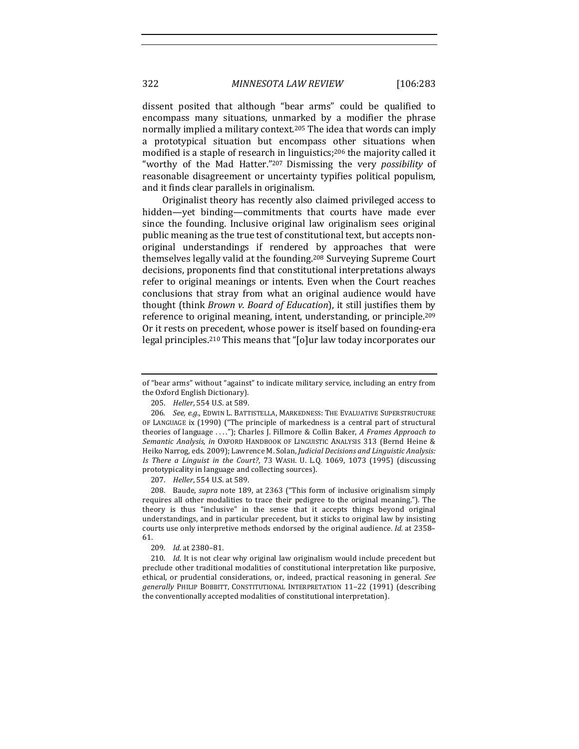dissent posited that although "bear arms" could be qualified to encompass many situations, unmarked by a modifier the phrase normally implied a military context.<sup>205</sup> The idea that words can imply a prototypical situation but encompass other situations when modified is a staple of research in linguistics;<sup>206</sup> the majority called it "worthy of the Mad Hatter."<sup>207</sup> Dismissing the very *possibility* of reasonable disagreement or uncertainty typifies political populism, and it finds clear parallels in originalism.

Originalist theory has recently also claimed privileged access to hidden—yet binding—commitments that courts have made ever since the founding. Inclusive original law originalism sees original public meaning as the true test of constitutional text, but accepts nonoriginal understandings if rendered by approaches that were themselves legally valid at the founding.<sup>208</sup> Surveying Supreme Court decisions, proponents find that constitutional interpretations always refer to original meanings or intents. Even when the Court reaches conclusions that stray from what an original audience would have thought (think *Brown v. Board of Education*), it still justifies them by reference to original meaning, intent, understanding, or principle.<sup>209</sup> Or it rests on precedent, whose power is itself based on founding-era legal principles.<sup>210</sup> This means that "[o]ur law today incorporates our

207. *Heller*, 554 U.S. at 589.

208. Baude, *supra* note 189, at 2363 ("This form of inclusive originalism simply requires all other modalities to trace their pedigree to the original meaning."). The theory is thus "inclusive" in the sense that it accepts things beyond original understandings, and in particular precedent, but it sticks to original law by insisting courts use only interpretive methods endorsed by the original audience. *Id.* at 2358– 61.

209. *Id.* at 2380-81.

210. *Id.* It is not clear why original law originalism would include precedent but preclude other traditional modalities of constitutional interpretation like purposive, ethical, or prudential considerations, or, indeed, practical reasoning in general. See *generally*  PHILIP BOBBITT, CONSTITUTIONAL INTERPRETATION 11–22 (1991) (describing the conventionally accepted modalities of constitutional interpretation).

of "bear arms" without "against" to indicate military service, including an entry from the Oxford English Dictionary).

<sup>205.</sup> *Heller*, 554 U.S. at 589.

<sup>206.</sup> See, e.g., EDWIN L. BATTISTELLA, MARKEDNESS: THE EVALUATIVE SUPERSTRUCTURE OF LANGUAGE ix (1990) ("The principle of markedness is a central part of structural theories of language ...."); Charles J. Fillmore & Collin Baker, *A Frames Approach to* Semantic Analysis, in OXFORD HANDBOOK OF LINGUISTIC ANALYSIS 313 (Bernd Heine & Heiko Narrog, eds. 2009); Lawrence M. Solan, *Judicial Decisions and Linguistic Analysis:* Is There a Linguist in the Court?, 73 WASH. U. L.Q. 1069, 1073 (1995) (discussing prototypicality in language and collecting sources).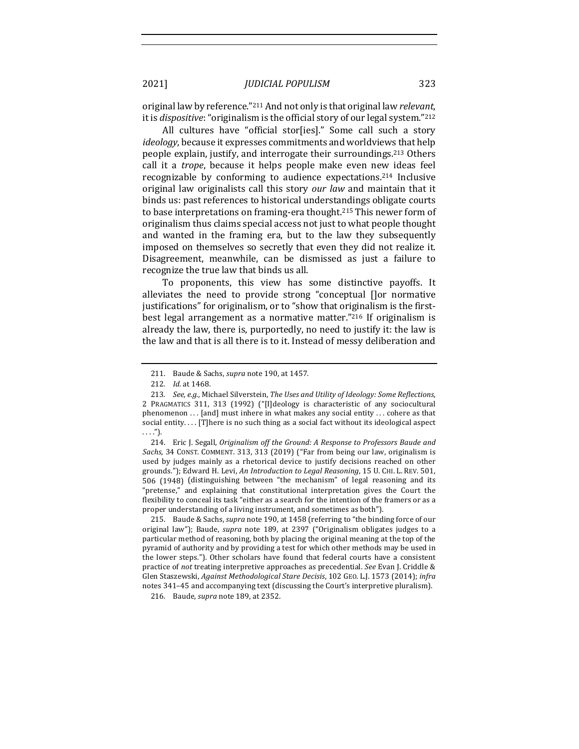original law by reference."<sup>211</sup> And not only is that original law *relevant*, it is *dispositive*: "originalism is the official story of our legal system."<sup>212</sup>

All cultures have "official stor[ies]." Some call such a story *ideology*, because it expresses commitments and worldviews that help people explain, justify, and interrogate their surroundings.<sup>213</sup> Others call it a *trope*, because it helps people make even new ideas feel recognizable by conforming to audience expectations.<sup>214</sup> Inclusive original law originalists call this story *our law* and maintain that it binds us: past references to historical understandings obligate courts to base interpretations on framing-era thought.<sup>215</sup> This newer form of originalism thus claims special access not just to what people thought and wanted in the framing era, but to the law they subsequently imposed on themselves so secretly that even they did not realize it. Disagreement, meanwhile, can be dismissed as just a failure to recognize the true law that binds us all.

To proponents, this view has some distinctive payoffs. It alleviates the need to provide strong "conceptual  $\Box$  or normative justifications" for originalism, or to "show that originalism is the firstbest legal arrangement as a normative matter." $216$  If originalism is already the law, there is, purportedly, no need to justify it: the law is the law and that is all there is to it. Instead of messy deliberation and

214. Eric J. Segall, *Originalism off the Ground: A Response to Professors Baude and Sachs*, 34 CONST. COMMENT. 313, 313 (2019) ("Far from being our law, originalism is used by judges mainly as a rhetorical device to justify decisions reached on other grounds."); Edward H. Levi, An Introduction to Legal Reasoning, 15 U. CHI. L. REV. 501, 506 (1948) (distinguishing between "the mechanism" of legal reasoning and its "pretense," and explaining that constitutional interpretation gives the Court the flexibility to conceal its task "either as a search for the intention of the framers or as a proper understanding of a living instrument, and sometimes as both").

215. Baude & Sachs, *supra* note 190, at 1458 (referring to "the binding force of our original law"); Baude, *supra* note 189, at 2397 ("Originalism obligates judges to a particular method of reasoning, both by placing the original meaning at the top of the pyramid of authority and by providing a test for which other methods may be used in the lower steps."). Other scholars have found that federal courts have a consistent practice of *not* treating interpretive approaches as precedential. *See* Evan J. Criddle & Glen Staszewski, *Against Methodological Stare Decisis*, 102 GEO. L.J. 1573 (2014); infra notes 341-45 and accompanying text (discussing the Court's interpretive pluralism).

216. Baude, *supra* note 189, at 2352.

<sup>211.</sup> Baude & Sachs, *supra* note 190, at 1457.

<sup>212.</sup> *Id.* at 1468.

<sup>213.</sup> *See, e.g.*, Michael Silverstein, The Uses and Utility of Ideology: Some Reflections, 2 PRAGMATICS 311, 313 (1992) ("[I]deology is characteristic of any sociocultural phenomenon  $\dots$  [and] must inhere in what makes any social entity  $\dots$  cohere as that social entity. . . . [T]here is no such thing as a social fact without its ideological aspect . . . .").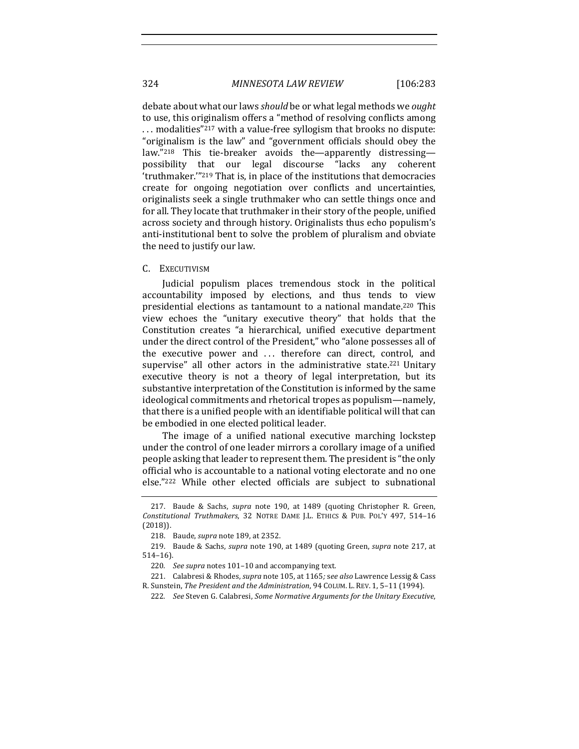debate about what our laws *should* be or what legal methods we *ought* to use, this originalism offers a "method of resolving conflicts among ... modalities"<sup>217</sup> with a value-free syllogism that brooks no dispute: "originalism is the law" and "government officials should obey the law."<sup>218</sup> This tie-breaker avoids the—apparently distressing possibility that our legal discourse "lacks any coherent 'truthmaker."<sup>219</sup> That is, in place of the institutions that democracies create for ongoing negotiation over conflicts and uncertainties, originalists seek a single truthmaker who can settle things once and for all. They locate that truthmaker in their story of the people, unified across society and through history. Originalists thus echo populism's anti-institutional bent to solve the problem of pluralism and obviate the need to justify our law.

## C. EXECUTIVISM

Judicial populism places tremendous stock in the political accountability imposed by elections, and thus tends to view presidential elections as tantamount to a national mandate.<sup>220</sup> This view echoes the "unitary executive theory" that holds that the Constitution creates "a hierarchical, unified executive department under the direct control of the President," who "alone possesses all of the executive power and ... therefore can direct, control, and supervise" all other actors in the administrative state.<sup>221</sup> Unitary executive theory is not a theory of legal interpretation, but its substantive interpretation of the Constitution is informed by the same ideological commitments and rhetorical tropes as populism—namely, that there is a unified people with an identifiable political will that can be embodied in one elected political leader.

The image of a unified national executive marching lockstep under the control of one leader mirrors a corollary image of a unified people asking that leader to represent them. The president is "the only official who is accountable to a national voting electorate and no one else."<sup>222</sup> While other elected officials are subject to subnational

<sup>217.</sup> Baude & Sachs, *supra* note 190, at 1489 (quoting Christopher R. Green, *Constitutional Truthmakers*, 32 NOTRE DAME J.L. ETHICS & PUB. POL'Y 497, 514–16 (2018)).

<sup>218.</sup> Baude, *supra* note 189, at 2352.

<sup>219.</sup> Baude & Sachs, *supra* note 190, at 1489 (quoting Green, *supra* note 217, at 514–16).

<sup>220.</sup> See supra notes 101-10 and accompanying text.

<sup>221.</sup> Calabresi & Rhodes, *supra* note 105, at 1165; see also Lawrence Lessig & Cass R. Sunstein, *The President and the Administration*, 94 COLUM. L. REV. 1, 5-11 (1994).

<sup>222</sup>*. See* Steven G. Calabresi, *Some Normative Arguments for the Unitary Executive*,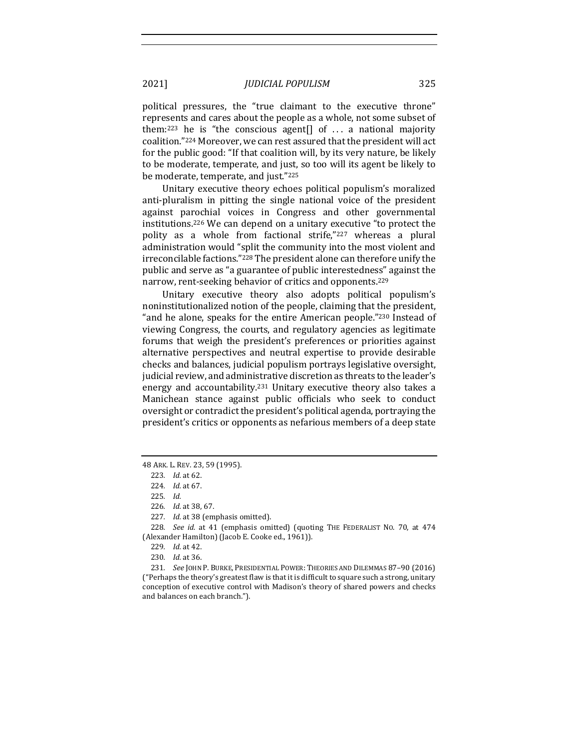political pressures, the "true claimant to the executive throne" represents and cares about the people as a whole, not some subset of them:<sup>223</sup> he is "the conscious agent[] of  $\ldots$  a national majority coalition."<sup>224</sup> Moreover, we can rest assured that the president will act for the public good: "If that coalition will, by its very nature, be likely to be moderate, temperate, and just, so too will its agent be likely to be moderate, temperate, and just."225

Unitary executive theory echoes political populism's moralized anti-pluralism in pitting the single national voice of the president against parochial voices in Congress and other governmental institutions.<sup>226</sup> We can depend on a unitary executive "to protect the polity as a whole from factional strife,"<sup>227</sup> whereas a plural administration would "split the community into the most violent and irreconcilable factions."<sup>228</sup> The president alone can therefore unify the public and serve as "a guarantee of public interestedness" against the narrow, rent-seeking behavior of critics and opponents.<sup>229</sup>

Unitary executive theory also adopts political populism's noninstitutionalized notion of the people, claiming that the president, "and he alone, speaks for the entire American people."<sup>230</sup> Instead of viewing Congress, the courts, and regulatory agencies as legitimate forums that weigh the president's preferences or priorities against alternative perspectives and neutral expertise to provide desirable checks and balances, judicial populism portrays legislative oversight, judicial review, and administrative discretion as threats to the leader's energy and accountability.<sup>231</sup> Unitary executive theory also takes a Manichean stance against public officials who seek to conduct oversight or contradict the president's political agenda, portraying the president's critics or opponents as nefarious members of a deep state

<sup>48</sup> ARK. L. REV. 23, 59 (1995).

<sup>223.</sup> *Id.* at 62.

<sup>224</sup>*. Id.* at 67.

<sup>225</sup>*. Id.*

<sup>226</sup>*. Id.* at 38, 67.

<sup>227.</sup> *Id.* at 38 (emphasis omitted).

<sup>228.</sup> *See id.* at 41 (emphasis omitted) (quoting THE FEDERALIST NO. 70, at 474 (Alexander Hamilton) (Jacob E. Cooke ed., 1961)).

<sup>229</sup>*. Id.* at 42.

<sup>230</sup>*. Id.* at 36.

<sup>231.</sup> *See JOHN P. BURKE, PRESIDENTIAL POWER: THEORIES AND DILEMMAS 87-90 (2016)* ("Perhaps the theory's greatest flaw is that it is difficult to square such a strong, unitary conception of executive control with Madison's theory of shared powers and checks and balances on each branch.").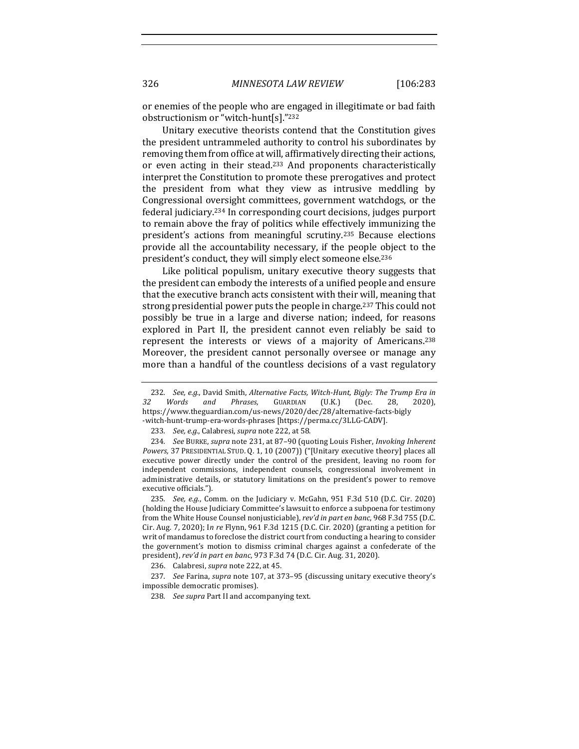or enemies of the people who are engaged in illegitimate or bad faith obstructionism or "witch-hunt[s]." $232$ 

Unitary executive theorists contend that the Constitution gives the president untrammeled authority to control his subordinates by removing them from office at will, affirmatively directing their actions, or even acting in their stead.<sup>233</sup> And proponents characteristically interpret the Constitution to promote these prerogatives and protect the president from what they view as intrusive meddling by Congressional oversight committees, government watchdogs, or the federal judiciary.<sup>234</sup> In corresponding court decisions, judges purport to remain above the fray of politics while effectively immunizing the president's actions from meaningful scrutiny.<sup>235</sup> Because elections provide all the accountability necessary, if the people object to the president's conduct, they will simply elect someone else.<sup>236</sup>

Like political populism, unitary executive theory suggests that the president can embody the interests of a unified people and ensure that the executive branch acts consistent with their will, meaning that strong presidential power puts the people in charge.<sup>237</sup> This could not possibly be true in a large and diverse nation; indeed, for reasons explored in Part II, the president cannot even reliably be said to represent the interests or views of a majority of Americans.<sup>238</sup> Moreover, the president cannot personally oversee or manage any more than a handful of the countless decisions of a vast regulatory

<sup>232.</sup> *See, e.g.*, David Smith, *Alternative Facts, Witch-Hunt, Bigly: The Trump Era in 32 Words and Phrases*, GUARDIAN (U.K.) (Dec. 28, 2020), https://www.theguardian.com/us-news/2020/dec/28/alternative-facts-bigly -witch-hunt-trump-era-words-phrases [https://perma.cc/3LLG-CADV].

<sup>233.</sup> *See, e.g.*, Calabresi, *supra* note 222, at 58.

<sup>234.</sup> *See BURKE, supra* note 231, at 87-90 (quoting Louis Fisher, *Invoking Inherent* Powers, 37 PRESIDENTIAL STUD. Q. 1, 10 (2007)) ("[Unitary executive theory] places all executive power directly under the control of the president, leaving no room for independent commissions, independent counsels, congressional involvement in administrative details, or statutory limitations on the president's power to remove executive officials.").

<sup>235.</sup> *See, e.g.*, Comm. on the Judiciary v. McGahn, 951 F.3d 510 (D.C. Cir. 2020) (holding the House Judiciary Committee's lawsuit to enforce a subpoena for testimony from the White House Counsel nonjusticiable), *rev'd in part en banc*, 968 F.3d 755 (D.C. Cir. Aug. 7, 2020); In re Flynn, 961 F.3d 1215 (D.C. Cir. 2020) (granting a petition for writ of mandamus to foreclose the district court from conducting a hearing to consider the government's motion to dismiss criminal charges against a confederate of the president), rev'd in part en banc, 973 F.3d 74 (D.C. Cir. Aug. 31, 2020).

<sup>236.</sup> Calabresi, *supra* note 222, at 45.

<sup>237.</sup> *See* Farina, *supra* note 107, at 373-95 (discussing unitary executive theory's impossible democratic promises).

<sup>238.</sup> See supra Part II and accompanying text.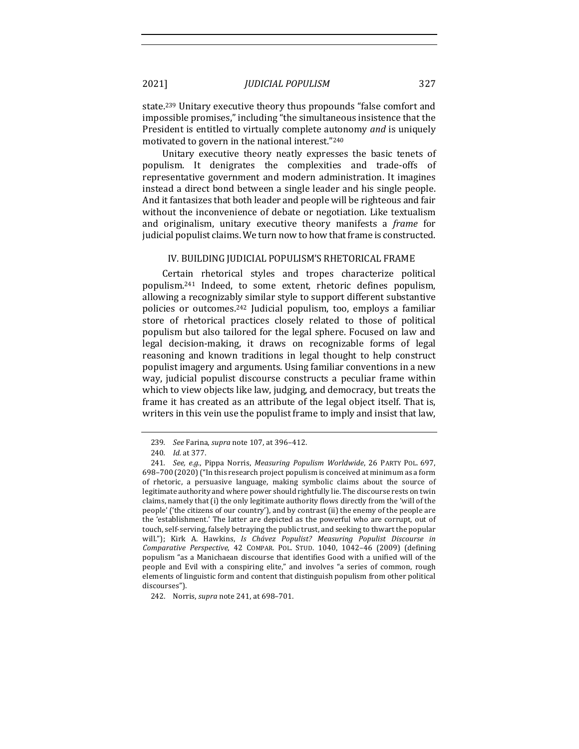state.<sup>239</sup> Unitary executive theory thus propounds "false comfort and impossible promises," including "the simultaneous insistence that the President is entitled to virtually complete autonomy *and* is uniquely motivated to govern in the national interest."240

Unitary executive theory neatly expresses the basic tenets of populism. It denigrates the complexities and trade-offs of representative government and modern administration. It imagines instead a direct bond between a single leader and his single people. And it fantasizes that both leader and people will be righteous and fair without the inconvenience of debate or negotiation. Like textualism and originalism, unitary executive theory manifests a *frame* for judicial populist claims. We turn now to how that frame is constructed.

### IV. BUILDING JUDICIAL POPULISM'S RHETORICAL FRAME

Certain rhetorical styles and tropes characterize political populism.<sup>241</sup> Indeed, to some extent, rhetoric defines populism, allowing a recognizably similar style to support different substantive policies or outcomes.<sup>242</sup> Judicial populism, too, employs a familiar store of rhetorical practices closely related to those of political populism but also tailored for the legal sphere. Focused on law and legal decision-making, it draws on recognizable forms of legal reasoning and known traditions in legal thought to help construct populist imagery and arguments. Using familiar conventions in a new way, judicial populist discourse constructs a peculiar frame within which to view objects like law, judging, and democracy, but treats the frame it has created as an attribute of the legal object itself. That is, writers in this vein use the populist frame to imply and insist that law,

<sup>239</sup>*. See* Farina, *supra* note 107, at 396–412.

<sup>240</sup>*. Id.* at 377.

<sup>241.</sup> *See, e.g.*, Pippa Norris, *Measuring Populism Worldwide*, 26 PARTY POL. 697, 698-700 (2020) ("In this research project populism is conceived at minimum as a form of rhetoric, a persuasive language, making symbolic claims about the source of legitimate authority and where power should rightfully lie. The discourse rests on twin claims, namely that (i) the only legitimate authority flows directly from the 'will of the people' ('the citizens of our country'), and by contrast (ii) the enemy of the people are the 'establishment.' The latter are depicted as the powerful who are corrupt, out of touch, self-serving, falsely betraying the public trust, and seeking to thwart the popular will."); Kirk A. Hawkins, *Is Chávez Populist? Measuring Populist Discourse in Comparative Perspective*, 42 COMPAR. POL. STUD. 1040, 1042–46 (2009) (defining populism "as a Manichaean discourse that identifies Good with a unified will of the people and Evil with a conspiring elite," and involves "a series of common, rough elements of linguistic form and content that distinguish populism from other political discourses").

<sup>242.</sup> Norris, *supra* note 241, at 698-701.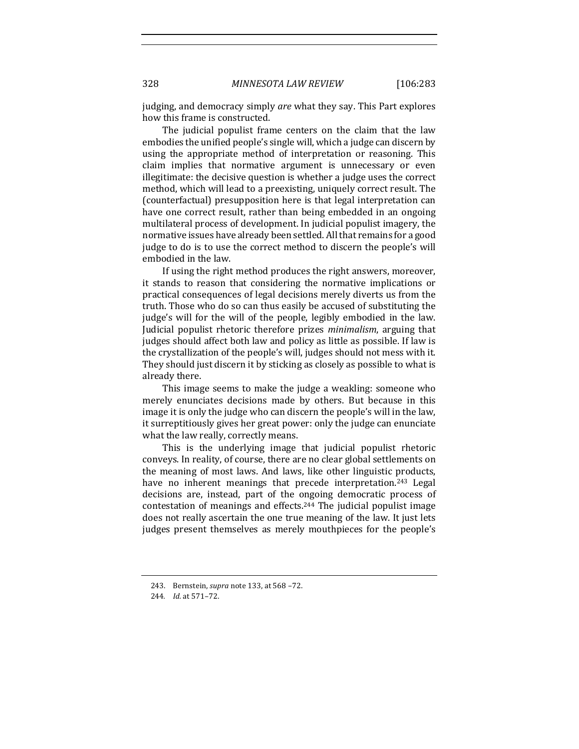judging, and democracy simply *are* what they say. This Part explores how this frame is constructed.

The judicial populist frame centers on the claim that the law embodies the unified people's single will, which a judge can discern by using the appropriate method of interpretation or reasoning. This claim implies that normative argument is unnecessary or even illegitimate: the decisive question is whether a judge uses the correct method, which will lead to a preexisting, uniquely correct result. The (counterfactual) presupposition here is that legal interpretation can have one correct result, rather than being embedded in an ongoing multilateral process of development. In judicial populist imagery, the normative issues have already been settled. All that remains for a good judge to do is to use the correct method to discern the people's will embodied in the law.

If using the right method produces the right answers, moreover, it stands to reason that considering the normative implications or practical consequences of legal decisions merely diverts us from the truth. Those who do so can thus easily be accused of substituting the judge's will for the will of the people, legibly embodied in the law. Judicial populist rhetoric therefore prizes *minimalism*, arguing that judges should affect both law and policy as little as possible. If law is the crystallization of the people's will, judges should not mess with it. They should just discern it by sticking as closely as possible to what is already there.

This image seems to make the judge a weakling: someone who merely enunciates decisions made by others. But because in this image it is only the judge who can discern the people's will in the law, it surreptitiously gives her great power: only the judge can enunciate what the law really, correctly means.

This is the underlying image that judicial populist rhetoric conveys. In reality, of course, there are no clear global settlements on the meaning of most laws. And laws, like other linguistic products, have no inherent meanings that precede interpretation.<sup>243</sup> Legal decisions are, instead, part of the ongoing democratic process of contestation of meanings and effects.<sup>244</sup> The judicial populist image does not really ascertain the one true meaning of the law. It just lets judges present themselves as merely mouthpieces for the people's

<sup>243.</sup> Bernstein, *supra* note 133, at 568 -72.

<sup>244</sup>*. Id.* at 571–72.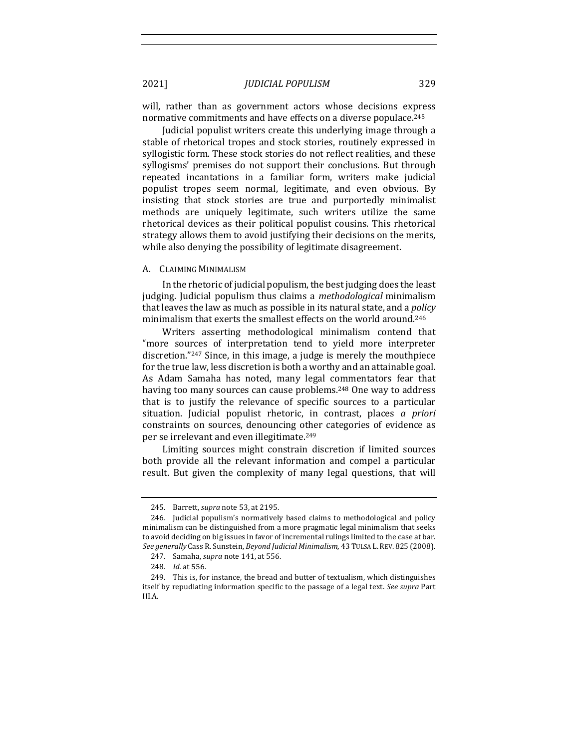will, rather than as government actors whose decisions express normative commitments and have effects on a diverse populace.<sup>245</sup>

Judicial populist writers create this underlying image through a stable of rhetorical tropes and stock stories, routinely expressed in syllogistic form. These stock stories do not reflect realities, and these syllogisms' premises do not support their conclusions. But through repeated incantations in a familiar form, writers make judicial populist tropes seem normal, legitimate, and even obvious. By insisting that stock stories are true and purportedly minimalist methods are uniquely legitimate, such writers utilize the same rhetorical devices as their political populist cousins. This rhetorical strategy allows them to avoid justifying their decisions on the merits, while also denying the possibility of legitimate disagreement.

#### A. CLAIMING MINIMALISM

In the rhetoric of judicial populism, the best judging does the least judging. Judicial populism thus claims a *methodological* minimalism that leaves the law as much as possible in its natural state, and a *policy* minimalism that exerts the smallest effects on the world around.<sup>246</sup>

Writers asserting methodological minimalism contend that "more sources of interpretation tend to yield more interpreter discretion." $247$  Since, in this image, a judge is merely the mouthpiece for the true law, less discretion is both a worthy and an attainable goal. As Adam Samaha has noted, many legal commentators fear that having too many sources can cause problems.<sup>248</sup> One way to address that is to justify the relevance of specific sources to a particular situation. Judicial populist rhetoric, in contrast, places *a priori* constraints on sources, denouncing other categories of evidence as per se irrelevant and even illegitimate.<sup>249</sup>

Limiting sources might constrain discretion if limited sources both provide all the relevant information and compel a particular result. But given the complexity of many legal questions, that will

<sup>245.</sup> Barrett, *supra* note 53, at 2195.

<sup>246.</sup> Judicial populism's normatively based claims to methodological and policy minimalism can be distinguished from a more pragmatic legal minimalism that seeks to avoid deciding on big issues in favor of incremental rulings limited to the case at bar. See generally Cass R. Sunstein, Beyond Judicial Minimalism, 43 TULSA L. REV. 825 (2008).

<sup>247.</sup> Samaha, *supra* note 141, at 556.

<sup>248.</sup> *Id.* at 556.

<sup>249.</sup> This is, for instance, the bread and butter of textualism, which distinguishes itself by repudiating information specific to the passage of a legal text. See supra Part III.A.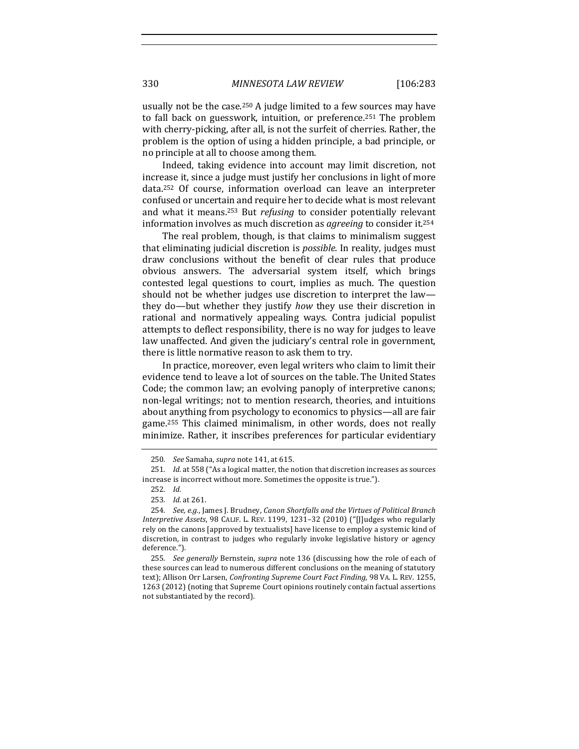usually not be the case.<sup>250</sup> A judge limited to a few sources may have to fall back on guesswork, intuition, or preference.<sup>251</sup> The problem with cherry-picking, after all, is not the surfeit of cherries. Rather, the problem is the option of using a hidden principle, a bad principle, or no principle at all to choose among them.

Indeed, taking evidence into account may limit discretion, not increase it, since a judge must justify her conclusions in light of more data.<sup>252</sup> Of course, information overload can leave an interpreter confused or uncertain and require her to decide what is most relevant and what it means.<sup>253</sup> But *refusing* to consider potentially relevant information involves as much discretion as *agreeing* to consider it.<sup>254</sup>

The real problem, though, is that claims to minimalism suggest that eliminating judicial discretion is *possible*. In reality, judges must draw conclusions without the benefit of clear rules that produce obvious answers. The adversarial system itself, which brings contested legal questions to court, implies as much. The question should not be whether judges use discretion to interpret the law they do—but whether they justify *how* they use their discretion in rational and normatively appealing ways. Contra judicial populist attempts to deflect responsibility, there is no way for judges to leave law unaffected. And given the judiciary's central role in government, there is little normative reason to ask them to try.

In practice, moreover, even legal writers who claim to limit their evidence tend to leave a lot of sources on the table. The United States Code; the common law; an evolving panoply of interpretive canons; non-legal writings; not to mention research, theories, and intuitions about anything from psychology to economics to physics—all are fair game.<sup>255</sup> This claimed minimalism, in other words, does not really minimize. Rather, it inscribes preferences for particular evidentiary

<sup>250</sup>*. See* Samaha, *supra* note 141, at 615.

<sup>251.</sup> *Id.* at 558 ("As a logical matter, the notion that discretion increases as sources increase is incorrect without more. Sometimes the opposite is true.").

<sup>252</sup>*. Id.*

<sup>253</sup>*. Id.* at 261.

<sup>254.</sup> *See, e.g.*, James J. Brudney, Canon Shortfalls and the Virtues of Political Branch Interpretive Assets, 98 CALIF. L. REV. 1199, 1231-32 (2010) ("[J]udges who regularly rely on the canons [approved by textualists] have license to employ a systemic kind of discretion, in contrast to judges who regularly invoke legislative history or agency deference.").

<sup>255.</sup> *See generally* Bernstein, *supra* note 136 (discussing how the role of each of these sources can lead to numerous different conclusions on the meaning of statutory text); Allison Orr Larsen, *Confronting Supreme Court Fact Finding*, 98 VA. L. REV. 1255, 1263 (2012) (noting that Supreme Court opinions routinely contain factual assertions not substantiated by the record).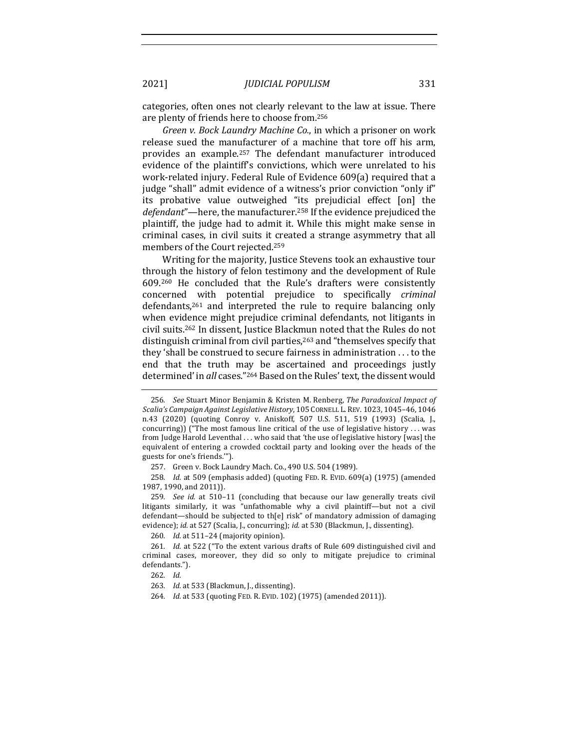categories, often ones not clearly relevant to the law at issue. There are plenty of friends here to choose from.<sup>256</sup>

*Green v. Bock Laundry Machine Co.*, in which a prisoner on work release sued the manufacturer of a machine that tore off his arm, provides an example.<sup>257</sup> The defendant manufacturer introduced evidence of the plaintiff's convictions, which were unrelated to his work-related injury. Federal Rule of Evidence 609(a) required that a judge "shall" admit evidence of a witness's prior conviction "only if" its probative value outweighed "its prejudicial effect [on] the *defendant*"—here, the manufacturer.<sup>258</sup> If the evidence prejudiced the plaintiff, the judge had to admit it. While this might make sense in criminal cases, in civil suits it created a strange asymmetry that all members of the Court rejected.<sup>259</sup>

Writing for the majority, Justice Stevens took an exhaustive tour through the history of felon testimony and the development of Rule 609.<sup>260</sup> He concluded that the Rule's drafters were consistently concerned with potential prejudice to specifically *criminal* defendants,<sup>261</sup> and interpreted the rule to require balancing only when evidence might prejudice criminal defendants, not litigants in civil suits.<sup>262</sup> In dissent, Justice Blackmun noted that the Rules do not distinguish criminal from civil parties, $263$  and "themselves specify that they 'shall be construed to secure fairness in administration ... to the end that the truth may be ascertained and proceedings justly determined' in all cases."<sup>264</sup> Based on the Rules' text, the dissent would

257. Green v. Bock Laundry Mach. Co., 490 U.S. 504 (1989).

258. *Id.* at 509 (emphasis added) (quoting FED. R. EVID. 609(a) (1975) (amended 1987, 1990, and 2011)).

259. See id. at 510-11 (concluding that because our law generally treats civil litigants similarly, it was "unfathomable why a civil plaintiff—but not a civil defendant—should be subjected to th[e] risk" of mandatory admission of damaging evidence); *id.* at 527 (Scalia, J., concurring); *id.* at 530 (Blackmun, J., dissenting).

260. *Id.* at 511-24 (majority opinion).

261. *Id.* at 522 ("To the extent various drafts of Rule 609 distinguished civil and criminal cases, moreover, they did so only to mitigate prejudice to criminal defendants.").

262*. Id.*

263. *Id.* at 533 (Blackmun, J., dissenting).

264. *Id.* at 533 (quoting FED. R. EVID. 102) (1975) (amended 2011)).

<sup>256.</sup> *See* Stuart Minor Benjamin & Kristen M. Renberg, *The Paradoxical Impact of* Scalia's Campaign Against Legislative History, 105 CORNELL L. REV. 1023, 1045-46, 1046 n.43 (2020) (quoting Conroy v. Aniskoff, 507 U.S. 511, 519 (1993) (Scalia, J., concurring)) ("The most famous line critical of the use of legislative history  $\dots$  was from Judge Harold Leventhal ... who said that 'the use of legislative history [was] the equivalent of entering a crowded cocktail party and looking over the heads of the guests for one's friends."").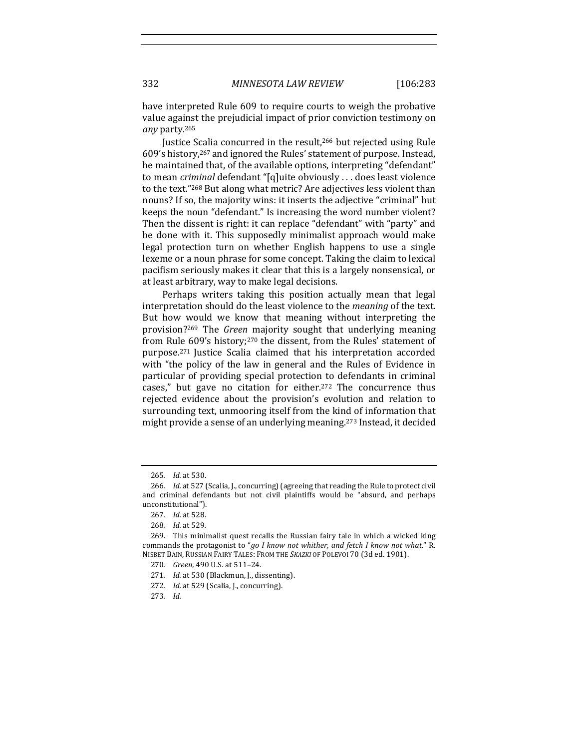have interpreted Rule 609 to require courts to weigh the probative value against the prejudicial impact of prior conviction testimony on *any* party.265

Justice Scalia concurred in the result.<sup>266</sup> but rejected using Rule 609's history,<sup>267</sup> and ignored the Rules' statement of purpose. Instead, he maintained that, of the available options, interpreting "defendant" to mean *criminal* defendant "[q]uite obviously ... does least violence to the text."<sup>268</sup> But along what metric? Are adjectives less violent than nouns? If so, the majority wins: it inserts the adjective "criminal" but keeps the noun "defendant." Is increasing the word number violent? Then the dissent is right: it can replace "defendant" with "party" and be done with it. This supposedly minimalist approach would make legal protection turn on whether English happens to use a single lexeme or a noun phrase for some concept. Taking the claim to lexical pacifism seriously makes it clear that this is a largely nonsensical, or at least arbitrary, way to make legal decisions.

Perhaps writers taking this position actually mean that legal interpretation should do the least violence to the *meaning* of the text. But how would we know that meaning without interpreting the provision?<sup>269</sup> The *Green* majority sought that underlying meaning from Rule  $609's$  history;<sup>270</sup> the dissent, from the Rules' statement of purpose.<sup>271</sup> Justice Scalia claimed that his interpretation accorded with "the policy of the law in general and the Rules of Evidence in particular of providing special protection to defendants in criminal cases," but gave no citation for either.<sup>272</sup> The concurrence thus rejected evidence about the provision's evolution and relation to surrounding text, unmooring itself from the kind of information that might provide a sense of an underlying meaning.<sup>273</sup> Instead, it decided

<sup>265</sup>*. Id.* at 530.

<sup>266.</sup> *Id.* at 527 (Scalia, J., concurring) (agreeing that reading the Rule to protect civil and criminal defendants but not civil plaintiffs would be "absurd, and perhaps unconstitutional").

<sup>267</sup>*. Id.* at 528.

<sup>268</sup>*. Id.* at 529*.*

<sup>269.</sup> This minimalist quest recalls the Russian fairy tale in which a wicked king commands the protagonist to "go I know not whither, and fetch I know not what." R. NISBET BAIN, RUSSIAN FAIRY TALES: FROM THE *SKAZKI* OF POLEVOI 70 (3d ed. 1901).

<sup>270</sup>*. Green,* 490 U.S. at 511–24.

<sup>271.</sup> *Id.* at 530 (Blackmun, J., dissenting).

<sup>272.</sup> *Id.* at 529 (Scalia, J., concurring).

<sup>273</sup>*. Id.*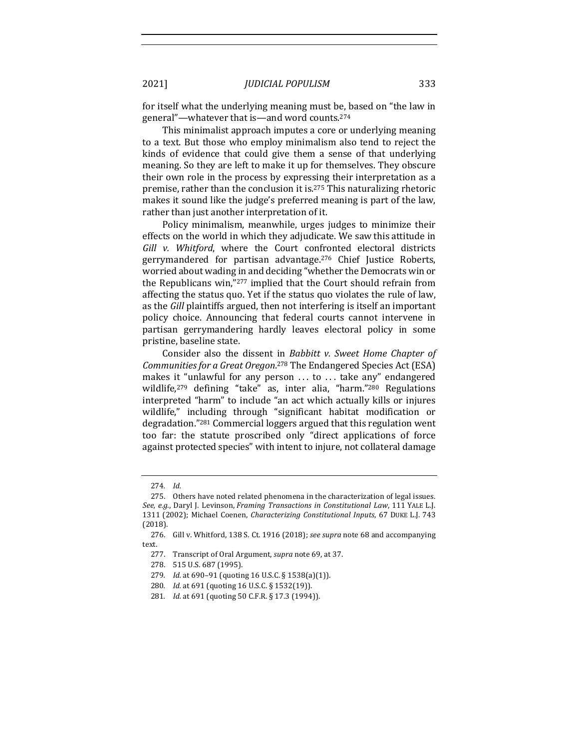for itself what the underlying meaning must be, based on "the law in general"—whatever that is—and word counts.<sup>274</sup>

This minimalist approach imputes a core or underlying meaning to a text. But those who employ minimalism also tend to reject the kinds of evidence that could give them a sense of that underlying meaning. So they are left to make it up for themselves. They obscure their own role in the process by expressing their interpretation as a premise, rather than the conclusion it is.<sup>275</sup> This naturalizing rhetoric makes it sound like the judge's preferred meaning is part of the law, rather than just another interpretation of it.

Policy minimalism, meanwhile, urges judges to minimize their effects on the world in which they adjudicate. We saw this attitude in Gill v. Whitford, where the Court confronted electoral districts gerrymandered for partisan advantage.<sup>276</sup> Chief Justice Roberts, worried about wading in and deciding "whether the Democrats win or the Republicans win,"<sup>277</sup> implied that the Court should refrain from affecting the status quo. Yet if the status quo violates the rule of law, as the *Gill* plaintiffs argued, then not interfering is itself an important policy choice. Announcing that federal courts cannot intervene in partisan gerrymandering hardly leaves electoral policy in some pristine, baseline state.

Consider also the dissent in *Babbitt v. Sweet Home Chapter of* Communities for a Great Oregon.<sup>278</sup> The Endangered Species Act (ESA) makes it "unlawful for any person  $\ldots$  to  $\ldots$  take any" endangered wildlife, $279$  defining "take" as, inter alia, "harm." $280$  Regulations interpreted "harm" to include "an act which actually kills or injures wildlife," including through "significant habitat modification or degradation."<sup>281</sup> Commercial loggers argued that this regulation went too far: the statute proscribed only "direct applications of force against protected species" with intent to injure, not collateral damage

<sup>274</sup>*. Id.*

<sup>275.</sup> Others have noted related phenomena in the characterization of legal issues. *See, e.g.*, Daryl J. Levinson, *Framing Transactions in Constitutional Law*, 111 YALE L.J. 1311 (2002); Michael Coenen, *Characterizing Constitutional Inputs*, 67 DUKE L.J. 743 (2018).

<sup>276.</sup> Gill v. Whitford, 138 S. Ct. 1916 (2018); see supra note 68 and accompanying text.

<sup>277.</sup> Transcript of Oral Argument, *supra* note 69, at 37.

<sup>278. 515</sup> U.S. 687 (1995).

<sup>279.</sup> *Id.* at 690-91 (quoting 16 U.S.C. § 1538(a)(1)).

<sup>280.</sup> *Id.* at 691 (quoting 16 U.S.C. § 1532(19)).

<sup>281.</sup> *Id.* at 691 (quoting 50 C.F.R. § 17.3 (1994)).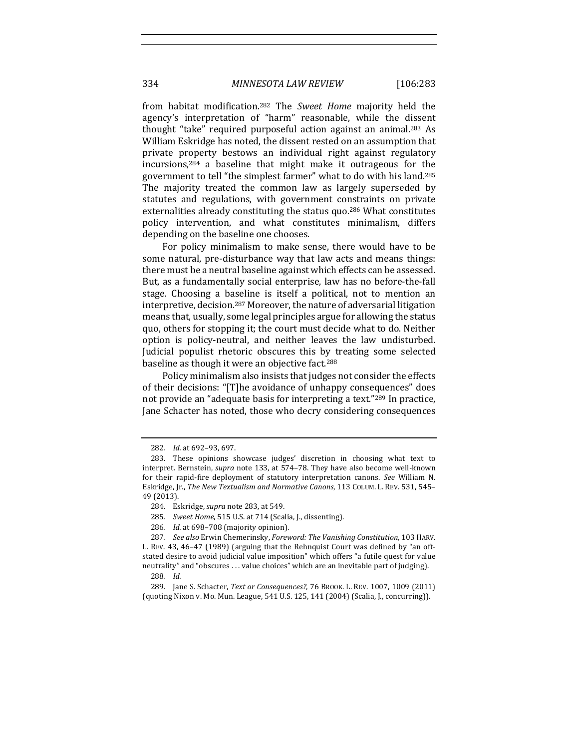334 *MINNESOTA LAW REVIEW* [106:283

from habitat modification.<sup>282</sup> The *Sweet Home* majority held the agency's interpretation of "harm" reasonable, while the dissent thought "take" required purposeful action against an animal.<sup>283</sup> As William Eskridge has noted, the dissent rested on an assumption that private property bestows an individual right against regulatory  $incursions<sub>1</sub>$ <sup>284</sup> a baseline that might make it outrageous for the government to tell "the simplest farmer" what to do with his land.<sup>285</sup> The majority treated the common law as largely superseded by statutes and regulations, with government constraints on private externalities already constituting the status quo.<sup>286</sup> What constitutes policy intervention, and what constitutes minimalism, differs depending on the baseline one chooses.

For policy minimalism to make sense, there would have to be some natural, pre-disturbance way that law acts and means things: there must be a neutral baseline against which effects can be assessed. But, as a fundamentally social enterprise, law has no before-the-fall stage. Choosing a baseline is itself a political, not to mention an interpretive, decision.<sup>287</sup> Moreover, the nature of adversarial litigation means that, usually, some legal principles argue for allowing the status quo, others for stopping it; the court must decide what to do. Neither option is policy-neutral, and neither leaves the law undisturbed. Judicial populist rhetoric obscures this by treating some selected baseline as though it were an objective fact.<sup>288</sup>

Policy minimalism also insists that judges not consider the effects of their decisions: "[T]he avoidance of unhappy consequences" does not provide an "adequate basis for interpreting a text."<sup>289</sup> In practice, Jane Schacter has noted, those who decry considering consequences

- 285. *Sweet Home*, 515 U.S. at 714 (Scalia, J., dissenting).
- 286. *Id.* at 698-708 (majority opinion).

<sup>282.</sup> *Id.* at 692-93, 697.

<sup>283.</sup> These opinions showcase judges' discretion in choosing what text to interpret. Bernstein, *supra* note 133, at 574-78. They have also become well-known for their rapid-fire deployment of statutory interpretation canons. *See* William N. Eskridge, Jr., *The New Textualism and Normative Canons*, 113 COLUM. L. REV. 531, 545– 49 (2013).

<sup>284.</sup> Eskridge, *supra* note 283, at 549.

<sup>287</sup>*. See also* Erwin Chemerinsky, *Foreword: The Vanishing Constitution*, 103 HARV. L. REV. 43, 46-47 (1989) (arguing that the Rehnquist Court was defined by "an oftstated desire to avoid judicial value imposition" which offers "a futile quest for value neutrality" and "obscures ... value choices" which are an inevitable part of judging).

<sup>288</sup>*. Id.*

<sup>289.</sup> Jane S. Schacter, *Text or Consequences?*, 76 BROOK. L. REV. 1007, 1009 (2011) (quoting Nixon v. Mo. Mun. League, 541 U.S. 125, 141 (2004) (Scalia, J., concurring)).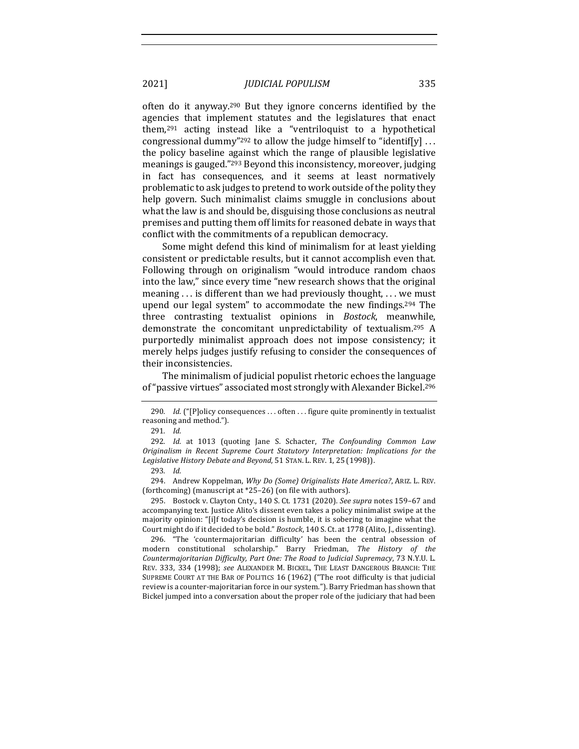often do it anyway.<sup>290</sup> But they ignore concerns identified by the agencies that implement statutes and the legislatures that enact them, $291$  acting instead like a "ventriloquist to a hypothetical congressional dummy"<sup>292</sup> to allow the judge himself to "identif[y]  $\dots$ the policy baseline against which the range of plausible legislative meanings is gauged."<sup>293</sup> Beyond this inconsistency, moreover, judging in fact has consequences, and it seems at least normatively problematic to ask judges to pretend to work outside of the polity they help govern. Such minimalist claims smuggle in conclusions about what the law is and should be, disguising those conclusions as neutral premises and putting them off limits for reasoned debate in ways that conflict with the commitments of a republican democracy.

Some might defend this kind of minimalism for at least yielding consistent or predictable results, but it cannot accomplish even that. Following through on originalism "would introduce random chaos into the law," since every time "new research shows that the original meaning  $\ldots$  is different than we had previously thought,  $\ldots$  we must upend our legal system" to accommodate the new findings.<sup>294</sup> The three contrasting textualist opinions in *Bostock*, meanwhile, demonstrate the concomitant unpredictability of textualism.<sup>295</sup> A purportedly minimalist approach does not impose consistency; it merely helps judges justify refusing to consider the consequences of their inconsistencies.

The minimalism of judicial populist rhetoric echoes the language of "passive virtues" associated most strongly with Alexander Bickel.<sup>296</sup>

295. Bostock v. Clayton Cnty., 140 S. Ct. 1731 (2020). *See supra* notes 159-67 and accompanying text. Justice Alito's dissent even takes a policy minimalist swipe at the majority opinion: "[i]f today's decision is humble, it is sobering to imagine what the Court might do if it decided to be bold." *Bostock*, 140 S. Ct. at 1778 (Alito, J., dissenting).

296. "The 'countermajoritarian difficulty' has been the central obsession of modern constitutional scholarship." Barry Friedman, The History of the *Countermajoritarian Difficulty, Part One: The Road to Judicial Supremacy,* 73 N.Y.U. L. REV. 333, 334 (1998); see ALEXANDER M. BICKEL, THE LEAST DANGEROUS BRANCH: THE SUPREME COURT AT THE BAR OF POLITICS 16 (1962) ("The root difficulty is that judicial review is a counter-majoritarian force in our system."). Barry Friedman has shown that Bickel jumped into a conversation about the proper role of the judiciary that had been

<sup>290.</sup> *Id.* ("[P]olicy consequences ... often ... figure quite prominently in textualist reasoning and method.").

<sup>291</sup>*. Id.*

<sup>292.</sup> *Id.* at 1013 (quoting Jane S. Schacter, The Confounding Common Law *Originalism in Recent Supreme Court Statutory Interpretation: Implications for the* Legislative History Debate and Beyond, 51 STAN. L. REV. 1, 25 (1998)).

<sup>293</sup>*. Id.*

<sup>294.</sup> Andrew Koppelman, *Why Do (Some) Originalists Hate America?*, ARIZ. L. REV. (forthcoming) (manuscript at  $*25-26$ ) (on file with authors).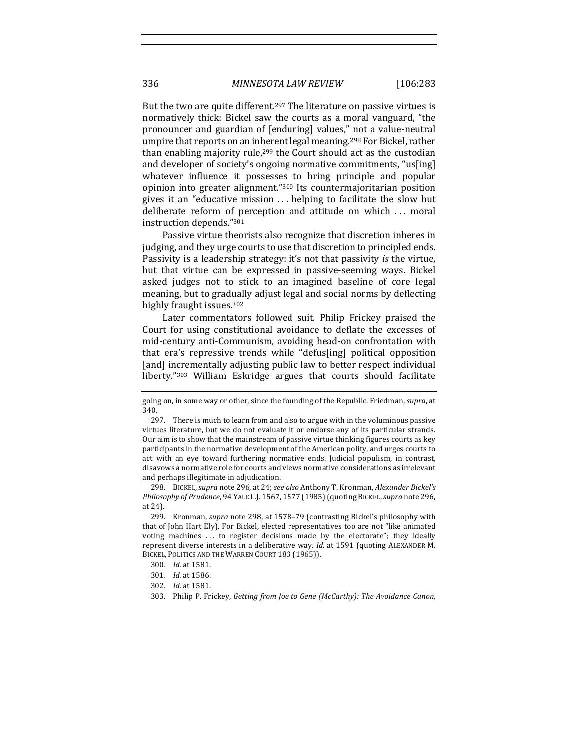But the two are quite different.<sup>297</sup> The literature on passive virtues is normatively thick: Bickel saw the courts as a moral vanguard, "the pronouncer and guardian of [enduring] values," not a value-neutral umpire that reports on an inherent legal meaning.<sup>298</sup> For Bickel, rather than enabling majority rule, $299$  the Court should act as the custodian and developer of society's ongoing normative commitments, "us[ing] whatever influence it possesses to bring principle and popular opinion into greater alignment."<sup>300</sup> Its countermajoritarian position gives it an "educative mission  $\ldots$  helping to facilitate the slow but deliberate reform of perception and attitude on which ... moral instruction depends."301

Passive virtue theorists also recognize that discretion inheres in judging, and they urge courts to use that discretion to principled ends. Passivity is a leadership strategy: it's not that passivity *is* the virtue, but that virtue can be expressed in passive-seeming ways. Bickel asked judges not to stick to an imagined baseline of core legal meaning, but to gradually adjust legal and social norms by deflecting highly fraught issues.<sup>302</sup>

Later commentators followed suit. Philip Frickey praised the Court for using constitutional avoidance to deflate the excesses of mid-century anti-Communism, avoiding head-on confrontation with that era's repressive trends while "defus[ing] political opposition [and] incrementally adjusting public law to better respect individual liberty."303 William Eskridge argues that courts should facilitate

298. BICKEL, *supra* note 296, at 24; *see also* Anthony T. Kronman, *Alexander Bickel's Philosophy of Prudence*, 94 YALE L.J. 1567, 1577 (1985) (quoting BICKEL,*supra* note 296, at 24).

299. Kronman, *supra* note 298, at 1578–79 (contrasting Bickel's philosophy with that of John Hart Ely). For Bickel, elected representatives too are not "like animated voting machines ... to register decisions made by the electorate"; they ideally represent diverse interests in a deliberative way. *Id.* at 1591 (quoting ALEXANDER M. BICKEL, POLITICS AND THE WARREN COURT 183 (1965)).

going on, in some way or other, since the founding of the Republic. Friedman, *supra*, at 340.

<sup>297.</sup> There is much to learn from and also to argue with in the voluminous passive virtues literature, but we do not evaluate it or endorse any of its particular strands. Our aim is to show that the mainstream of passive virtue thinking figures courts as key participants in the normative development of the American polity, and urges courts to act with an eye toward furthering normative ends. Judicial populism, in contrast, disavows a normative role for courts and views normative considerations as irrelevant and perhaps illegitimate in adjudication.

<sup>300</sup>*. Id.* at 1581.

<sup>301</sup>*. Id.* at 1586.

<sup>302</sup>*. Id.* at 1581.

<sup>303.</sup> Philip P. Frickey, *Getting from Joe to Gene (McCarthy): The Avoidance Canon*,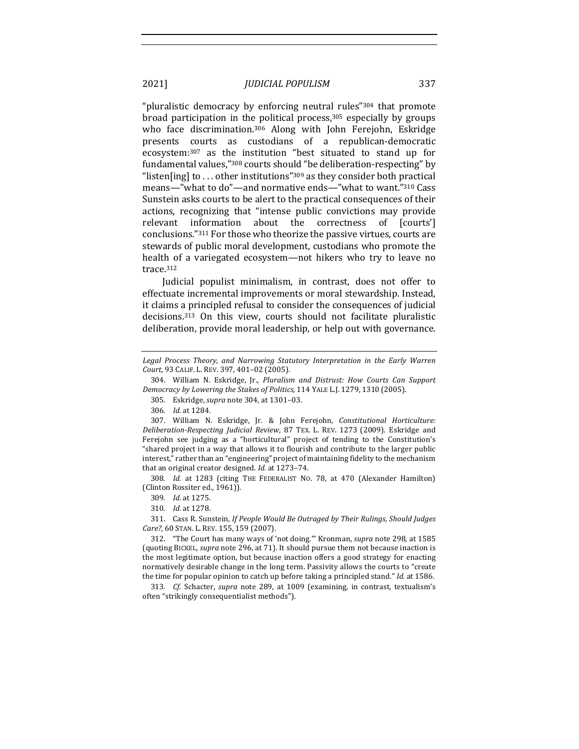"pluralistic democracy by enforcing neutral rules" $304$  that promote broad participation in the political process, $305$  especially by groups who face discrimination.<sup>306</sup> Along with John Ferejohn, Eskridge presents courts as custodians of a republican-democratic ecosystem:<sup>307</sup> as the institution "best situated to stand up for fundamental values,"<sup>308</sup> courts should "be deliberation-respecting" by "listen[ing] to ... other institutions"<sup>309</sup> as they consider both practical means—"what to do"—and normative ends—"what to want."310 Cass Sunstein asks courts to be alert to the practical consequences of their actions, recognizing that "intense public convictions may provide relevant information about the correctness of [courts'] conclusions."<sup>311</sup> For those who theorize the passive virtues, courts are stewards of public moral development, custodians who promote the health of a variegated ecosystem—not hikers who try to leave no trace.312

Judicial populist minimalism, in contrast, does not offer to effectuate incremental improvements or moral stewardship. Instead, it claims a principled refusal to consider the consequences of judicial decisions.<sup>313</sup> On this view, courts should not facilitate pluralistic deliberation, provide moral leadership, or help out with governance.

308. *Id.* at 1283 (citing THE FEDERALIST NO. 78, at 470 (Alexander Hamilton) (Clinton Rossiter ed., 1961)).

310*. Id.* at 1278.

311. Cass R. Sunstein, *If People Would Be Outraged by Their Rulings, Should Judges Care?,* 60 STAN. L. REV. 155, 159 (2007).

312. "The Court has many ways of 'not doing." Kronman, *supra* note 298, at 1585 (quoting BICKEL, *supra* note 296, at 71). It should pursue them not because inaction is the most legitimate option, but because inaction offers a good strategy for enacting normatively desirable change in the long term. Passivity allows the courts to "create the time for popular opinion to catch up before taking a principled stand." *Id.* at 1586.

313. *Cf.* Schacter, *supra* note 289, at 1009 (examining, in contrast, textualism's often "strikingly consequentialist methods").

Legal Process Theory, and Narrowing Statutory Interpretation in the Early Warren *Court*, 93 CALIF. L. REV. 397, 401–02 (2005).

<sup>304.</sup> William N. Eskridge, Jr., *Pluralism and Distrust: How Courts Can Support Democracy by Lowering the Stakes of Politics,* 114 YALE L.J. 1279, 1310 (2005).

<sup>305.</sup> Eskridge, *supra* note 304, at 1301-03.

<sup>306</sup>*. Id.* at 1284.

<sup>307.</sup> William N. Eskridge, Jr. & John Ferejohn, *Constitutional Horticulture: Deliberation-Respecting Judicial Review*, 87 TEX. L. REV. 1273 (2009). Eskridge and Ferejohn see judging as a "horticultural" project of tending to the Constitution's "shared project in a way that allows it to flourish and contribute to the larger public interest," rather than an "engineering" project of maintaining fidelity to the mechanism that an original creator designed. *Id.* at 1273-74.

<sup>309</sup>*. Id.* at 1275.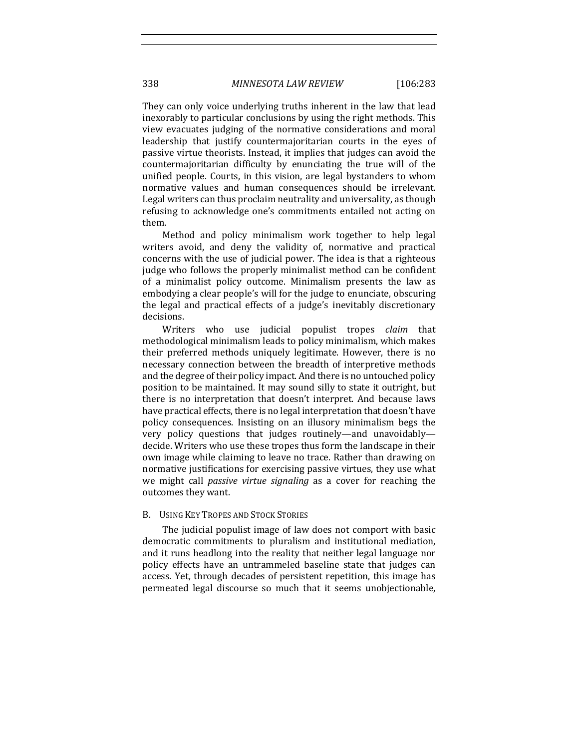They can only voice underlying truths inherent in the law that lead inexorably to particular conclusions by using the right methods. This view evacuates judging of the normative considerations and moral leadership that justify countermajoritarian courts in the eyes of passive virtue theorists. Instead, it implies that judges can avoid the countermajoritarian difficulty by enunciating the true will of the unified people. Courts, in this vision, are legal bystanders to whom normative values and human consequences should be irrelevant. Legal writers can thus proclaim neutrality and universality, as though refusing to acknowledge one's commitments entailed not acting on them. 

Method and policy minimalism work together to help legal writers avoid, and deny the validity of, normative and practical concerns with the use of judicial power. The idea is that a righteous judge who follows the properly minimalist method can be confident of a minimalist policy outcome. Minimalism presents the law as embodying a clear people's will for the judge to enunciate, obscuring the legal and practical effects of a judge's inevitably discretionary decisions. 

Writers who use judicial populist tropes *claim* that methodological minimalism leads to policy minimalism, which makes their preferred methods uniquely legitimate. However, there is no necessary connection between the breadth of interpretive methods and the degree of their policy impact. And there is no untouched policy position to be maintained. It may sound silly to state it outright, but there is no interpretation that doesn't interpret. And because laws have practical effects, there is no legal interpretation that doesn't have policy consequences. Insisting on an illusory minimalism begs the very policy questions that judges routinely—and unavoidably decide. Writers who use these tropes thus form the landscape in their own image while claiming to leave no trace. Rather than drawing on normative justifications for exercising passive virtues, they use what we might call *passive virtue signaling* as a cover for reaching the outcomes they want.

## B. USING KEY TROPES AND STOCK STORIES

The judicial populist image of law does not comport with basic democratic commitments to pluralism and institutional mediation, and it runs headlong into the reality that neither legal language nor policy effects have an untrammeled baseline state that judges can access. Yet, through decades of persistent repetition, this image has permeated legal discourse so much that it seems unobjectionable,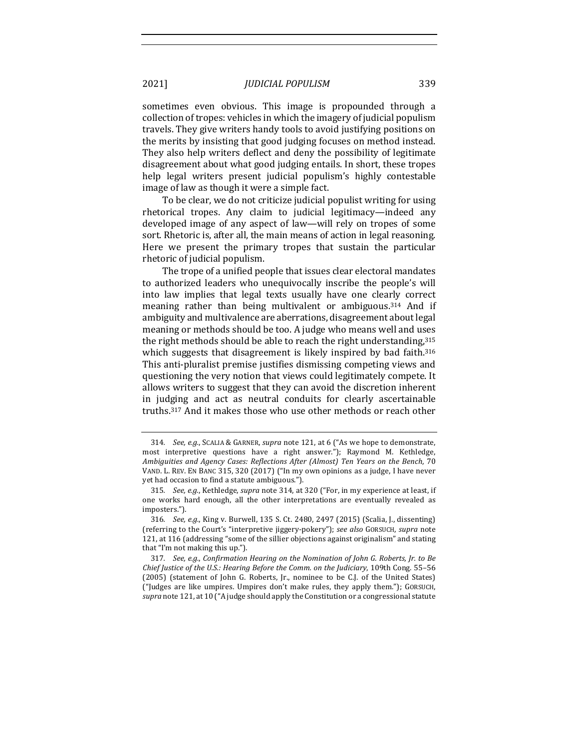sometimes even obvious. This image is propounded through a collection of tropes: vehicles in which the imagery of judicial populism travels. They give writers handy tools to avoid justifying positions on the merits by insisting that good judging focuses on method instead. They also help writers deflect and deny the possibility of legitimate disagreement about what good judging entails. In short, these tropes help legal writers present judicial populism's highly contestable image of law as though it were a simple fact.

To be clear, we do not criticize judicial populist writing for using rhetorical tropes. Any claim to judicial legitimacy—indeed any developed image of any aspect of law—will rely on tropes of some sort. Rhetoric is, after all, the main means of action in legal reasoning. Here we present the primary tropes that sustain the particular rhetoric of judicial populism.

The trope of a unified people that issues clear electoral mandates to authorized leaders who unequivocally inscribe the people's will into law implies that legal texts usually have one clearly correct meaning rather than being multivalent or ambiguous.<sup>314</sup> And if ambiguity and multivalence are aberrations, disagreement about legal meaning or methods should be too. A judge who means well and uses the right methods should be able to reach the right understanding,  $315$ which suggests that disagreement is likely inspired by bad faith.<sup>316</sup> This anti-pluralist premise justifies dismissing competing views and questioning the very notion that views could legitimately compete. It allows writers to suggest that they can avoid the discretion inherent in judging and act as neutral conduits for clearly ascertainable truths.<sup>317</sup> And it makes those who use other methods or reach other

<sup>314.</sup> *See, e.g.*, SCALIA & GARNER, *supra* note 121, at 6 ("As we hope to demonstrate, most interpretive questions have a right answer."); Raymond M. Kethledge, Ambiguities and Agency Cases: Reflections After (Almost) Ten Years on the Bench, 70 VAND. L. REV. EN BANC 315, 320 (2017) ("In my own opinions as a judge, I have never yet had occasion to find a statute ambiguous.").

<sup>315.</sup> *See, e.g.*, Kethledge, *supra* note 314, at 320 ("For, in my experience at least, if one works hard enough, all the other interpretations are eventually revealed as imposters.").

<sup>316</sup>*. See, e.g.*, King v. Burwell, 135 S. Ct. 2480, 2497 (2015) (Scalia, J., dissenting) (referring to the Court's "interpretive jiggery-pokery"); see also GORSUCH, supra note 121, at 116 (addressing "some of the sillier objections against originalism" and stating that "I'm not making this up.").

<sup>317.</sup> See, e.g., Confirmation Hearing on the Nomination of John G. Roberts, Jr. to Be *Chief Justice of the U.S.: Hearing Before the Comm. on the Judiciary*, 109th Cong. 55-56 (2005) (statement of John G. Roberts, Jr., nominee to be C.J. of the United States) ("Judges are like umpires. Umpires don't make rules, they apply them."); GORSUCH, supra note 121, at 10 ("A judge should apply the Constitution or a congressional statute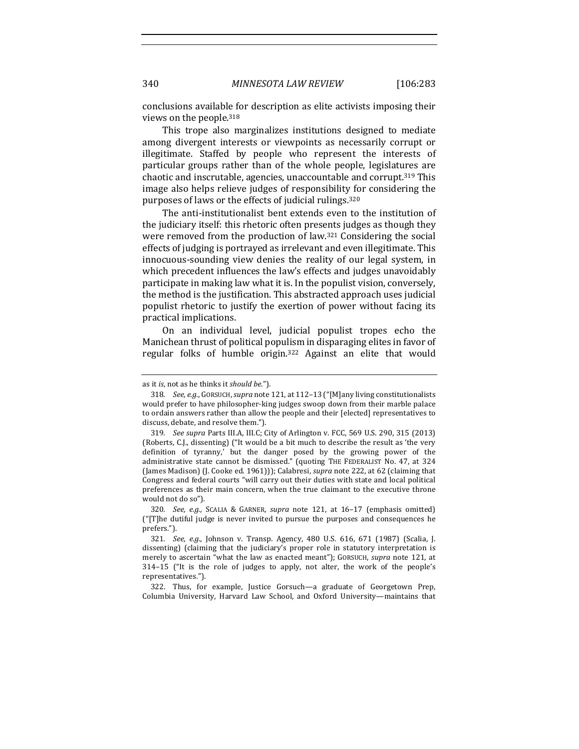conclusions available for description as elite activists imposing their views on the people.<sup>318</sup>

This trope also marginalizes institutions designed to mediate among divergent interests or viewpoints as necessarily corrupt or illegitimate. Staffed by people who represent the interests of particular groups rather than of the whole people, legislatures are chaotic and inscrutable, agencies, unaccountable and corrupt.<sup>319</sup> This image also helps relieve judges of responsibility for considering the purposes of laws or the effects of judicial rulings.<sup>320</sup>

The anti-institutionalist bent extends even to the institution of the judiciary itself: this rhetoric often presents judges as though they were removed from the production of law. $321$  Considering the social effects of judging is portrayed as irrelevant and even illegitimate. This innocuous-sounding view denies the reality of our legal system, in which precedent influences the law's effects and judges unavoidably participate in making law what it is. In the populist vision, conversely, the method is the justification. This abstracted approach uses judicial populist rhetoric to justify the exertion of power without facing its practical implications.

On an individual level, judicial populist tropes echo the Manichean thrust of political populism in disparaging elites in favor of regular folks of humble origin.<sup>322</sup> Against an elite that would

322. Thus, for example, Justice Gorsuch—a graduate of Georgetown Prep, Columbia University, Harvard Law School, and Oxford University-maintains that

as it *is*, not as he thinks it *should be*.").

<sup>318.</sup> *See, e.g.*, GORSUCH, *supra* note 121, at 112-13 ("[M]any living constitutionalists would prefer to have philosopher-king judges swoop down from their marble palace to ordain answers rather than allow the people and their [elected] representatives to discuss, debate, and resolve them.").

<sup>319.</sup> *See supra Parts III.A, III.C; City of Arlington v. FCC, 569 U.S. 290, 315 (2013)* (Roberts, C.J., dissenting) ("It would be a bit much to describe the result as 'the very definition of tyranny,' but the danger posed by the growing power of the administrative state cannot be dismissed." (quoting THE FEDERALIST No. 47, at 324 (James Madison) (J. Cooke ed. 1961))); Calabresi, *supra* note 222, at 62 (claiming that Congress and federal courts "will carry out their duties with state and local political preferences as their main concern, when the true claimant to the executive throne would not do so").

<sup>320.</sup> *See, e.g.*, SCALIA & GARNER, *supra* note 121, at 16-17 (emphasis omitted)  $("T]$ he dutiful judge is never invited to pursue the purposes and consequences he prefers.").

<sup>321.</sup> *See, e.g.*, Johnson v. Transp. Agency, 480 U.S. 616, 671 (1987) (Scalia, J. dissenting) (claiming that the judiciary's proper role in statutory interpretation is merely to ascertain "what the law as enacted meant"); GORSUCH, supra note 121, at 314-15 ("It is the role of judges to apply, not alter, the work of the people's representatives.").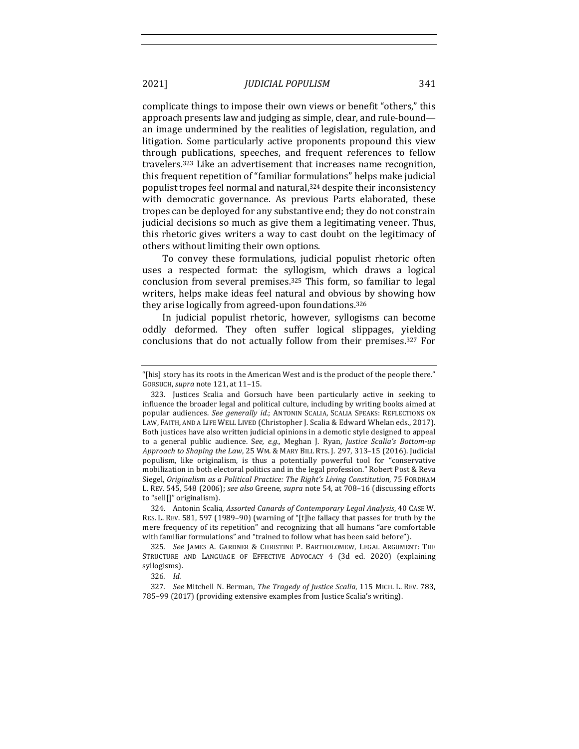complicate things to impose their own views or benefit "others," this approach presents law and judging as simple, clear, and rule-bound an image undermined by the realities of legislation, regulation, and litigation. Some particularly active proponents propound this view through publications, speeches, and frequent references to fellow travelers.<sup>323</sup> Like an advertisement that increases name recognition, this frequent repetition of "familiar formulations" helps make judicial populist tropes feel normal and natural,<sup>324</sup> despite their inconsistency with democratic governance. As previous Parts elaborated, these tropes can be deployed for any substantive end; they do not constrain judicial decisions so much as give them a legitimating veneer. Thus, this rhetoric gives writers a way to cast doubt on the legitimacy of others without limiting their own options.

To convey these formulations, judicial populist rhetoric often uses a respected format: the syllogism, which draws a logical conclusion from several premises.<sup>325</sup> This form, so familiar to legal writers, helps make ideas feel natural and obvious by showing how they arise logically from agreed-upon foundations.<sup>326</sup>

In judicial populist rhetoric, however, syllogisms can become oddly deformed. They often suffer logical slippages, vielding conclusions that do not actually follow from their premises.<sup>327</sup> For

324. Antonin Scalia, *Assorted Canards of Contemporary Legal Analysis*, 40 CASE W. RES. L. REV. 581, 597 (1989–90) (warning of "[t]he fallacy that passes for truth by the mere frequency of its repetition" and recognizing that all humans "are comfortable with familiar formulations" and "trained to follow what has been said before").

325*. See*  JAMES A. GARDNER & CHRISTINE P. BARTHOLOMEW, LEGAL ARGUMENT: THE STRUCTURE AND LANGUAGE OF EFFECTIVE ADVOCACY 4 (3d ed. 2020) (explaining syllogisms).

326*. Id.*

327. *See Mitchell N. Berman, The Tragedy of Justice Scalia, 115 MICH. L. REV. 783,* 785-99 (2017) (providing extensive examples from Justice Scalia's writing).

<sup>&</sup>quot;[his] story has its roots in the American West and is the product of the people there." GORSUCH, *supra* note 121, at 11-15.

<sup>323.</sup> Justices Scalia and Gorsuch have been particularly active in seeking to influence the broader legal and political culture, including by writing books aimed at popular audiences. See generally *id.*; ANTONIN SCALIA, SCALIA SPEAKS: REFLECTIONS ON LAW, FAITH, AND A LIFE WELL LIVED (Christopher J. Scalia & Edward Whelan eds., 2017). Both justices have also written judicial opinions in a demotic style designed to appeal to a general public audience. See, e.g., Meghan J. Ryan, *Justice Scalia's Bottom-up Approach to Shaping the Law*, 25 WM. & MARY BILL RTS. J. 297, 313–15 (2016). Judicial populism, like originalism, is thus a potentially powerful tool for "conservative mobilization in both electoral politics and in the legal profession." Robert Post & Reva Siegel, *Originalism as a Political Practice: The Right's Living Constitution*, 75 FORDHAM L. REV. 545, 548 (2006); see also Greene, supra note 54, at 708-16 (discussing efforts to "sell[]" originalism).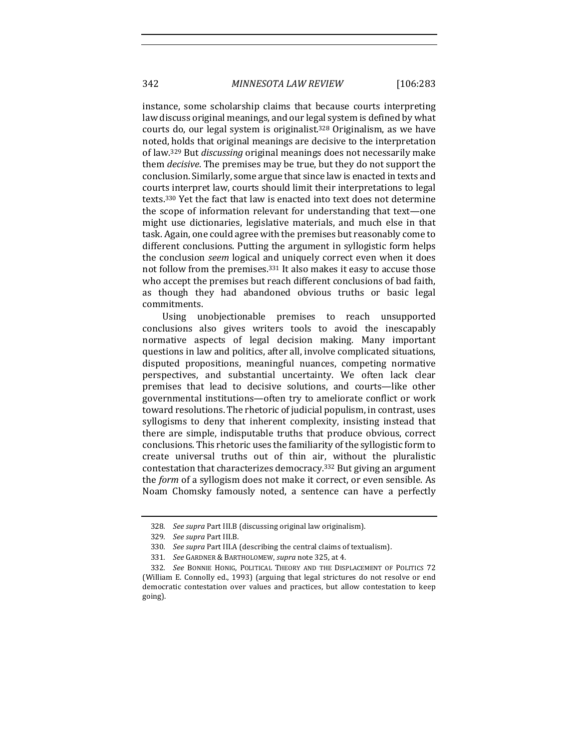instance, some scholarship claims that because courts interpreting law discuss original meanings, and our legal system is defined by what courts do, our legal system is originalist.<sup>328</sup> Originalism, as we have noted, holds that original meanings are decisive to the interpretation of law.<sup>329</sup> But *discussing* original meanings does not necessarily make them *decisive*. The premises may be true, but they do not support the conclusion. Similarly, some argue that since law is enacted in texts and courts interpret law, courts should limit their interpretations to legal texts.<sup>330</sup> Yet the fact that law is enacted into text does not determine the scope of information relevant for understanding that text—one might use dictionaries, legislative materials, and much else in that task. Again, one could agree with the premises but reasonably come to different conclusions. Putting the argument in syllogistic form helps the conclusion *seem* logical and uniquely correct even when it does not follow from the premises.<sup>331</sup> It also makes it easy to accuse those who accept the premises but reach different conclusions of bad faith, as though they had abandoned obvious truths or basic legal commitments.

Using unobjectionable premises to reach unsupported conclusions also gives writers tools to avoid the inescapably normative aspects of legal decision making. Many important questions in law and politics, after all, involve complicated situations, disputed propositions, meaningful nuances, competing normative perspectives, and substantial uncertainty. We often lack clear premises that lead to decisive solutions, and courts—like other governmental institutions—often try to ameliorate conflict or work toward resolutions. The rhetoric of judicial populism, in contrast, uses syllogisms to deny that inherent complexity, insisting instead that there are simple, indisputable truths that produce obvious, correct conclusions. This rhetoric uses the familiarity of the syllogistic form to create universal truths out of thin air, without the pluralistic contestation that characterizes democracy.<sup>332</sup> But giving an argument the *form* of a syllogism does not make it correct, or even sensible. As Noam Chomsky famously noted, a sentence can have a perfectly

<sup>328.</sup> See supra Part III.B (discussing original law originalism).

<sup>329</sup>*. See supra* Part III.B.

<sup>330.</sup> See supra Part III.A (describing the central claims of textualism).

<sup>331</sup>*. See* GARDNER & BARTHOLOMEW, *supra* note 325, at 4.

<sup>332.</sup> *See* BONNIE HONIG, POLITICAL THEORY AND THE DISPLACEMENT OF POLITICS 72 (William E. Connolly ed., 1993) (arguing that legal strictures do not resolve or end democratic contestation over values and practices, but allow contestation to keep going).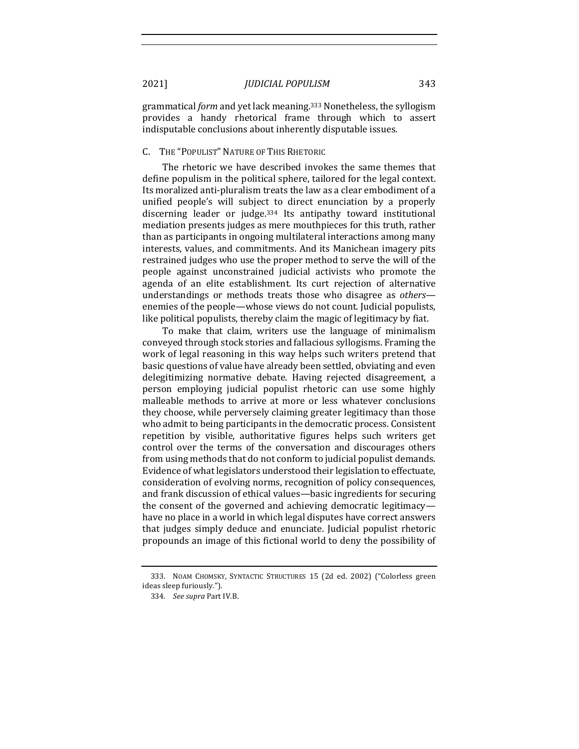grammatical *form* and yet lack meaning.<sup>333</sup> Nonetheless, the syllogism provides a handy rhetorical frame through which to assert indisputable conclusions about inherently disputable issues.

## C. THE "POPULIST" NATURE OF THIS RHETORIC

The rhetoric we have described invokes the same themes that define populism in the political sphere, tailored for the legal context. Its moralized anti-pluralism treats the law as a clear embodiment of a unified people's will subject to direct enunciation by a properly discerning leader or judge.<sup>334</sup> Its antipathy toward institutional mediation presents judges as mere mouthpieces for this truth, rather than as participants in ongoing multilateral interactions among many interests, values, and commitments. And its Manichean imagery pits restrained judges who use the proper method to serve the will of the people against unconstrained judicial activists who promote the agenda of an elite establishment. Its curt rejection of alternative understandings or methods treats those who disagree as *others* enemies of the people—whose views do not count. Judicial populists, like political populists, thereby claim the magic of legitimacy by fiat.

To make that claim, writers use the language of minimalism conveyed through stock stories and fallacious syllogisms. Framing the work of legal reasoning in this way helps such writers pretend that basic questions of value have already been settled, obviating and even delegitimizing normative debate. Having rejected disagreement, a person employing judicial populist rhetoric can use some highly malleable methods to arrive at more or less whatever conclusions they choose, while perversely claiming greater legitimacy than those who admit to being participants in the democratic process. Consistent repetition by visible, authoritative figures helps such writers get control over the terms of the conversation and discourages others from using methods that do not conform to judicial populist demands. Evidence of what legislators understood their legislation to effectuate, consideration of evolving norms, recognition of policy consequences, and frank discussion of ethical values—basic ingredients for securing the consent of the governed and achieving democratic legitimacy have no place in a world in which legal disputes have correct answers that judges simply deduce and enunciate. Judicial populist rhetoric propounds an image of this fictional world to deny the possibility of

<sup>333.</sup> NOAM CHOMSKY, SYNTACTIC STRUCTURES 15 (2d ed. 2002) ("Colorless green ideas sleep furiously.").

<sup>334.</sup> See supra Part IV.B.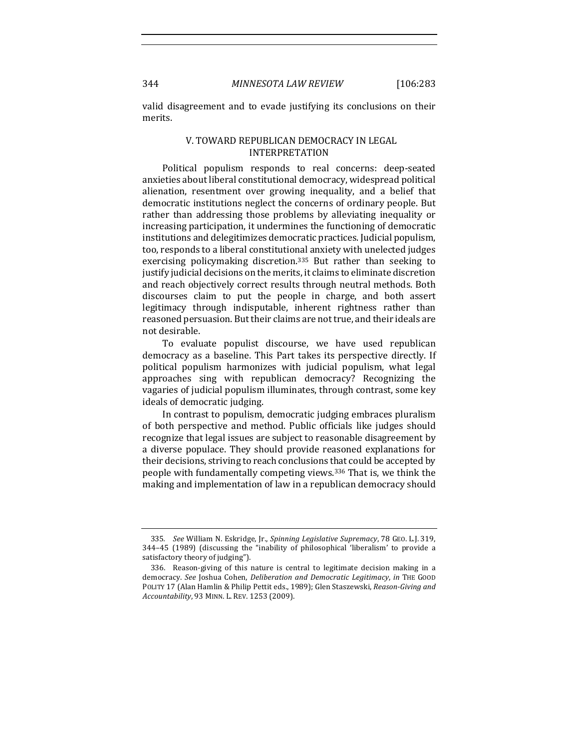valid disagreement and to evade justifying its conclusions on their merits. 

## V. TOWARD REPUBLICAN DEMOCRACY IN LEGAL INTERPRETATION

Political populism responds to real concerns: deep-seated anxieties about liberal constitutional democracy, widespread political alienation, resentment over growing inequality, and a belief that democratic institutions neglect the concerns of ordinary people. But rather than addressing those problems by alleviating inequality or increasing participation, it undermines the functioning of democratic institutions and delegitimizes democratic practices. Judicial populism, too, responds to a liberal constitutional anxiety with unelected judges exercising policymaking discretion.<sup>335</sup> But rather than seeking to justify judicial decisions on the merits, it claims to eliminate discretion and reach objectively correct results through neutral methods. Both discourses claim to put the people in charge, and both assert legitimacy through indisputable, inherent rightness rather than reasoned persuasion. But their claims are not true, and their ideals are not desirable.

To evaluate populist discourse, we have used republican democracy as a baseline. This Part takes its perspective directly. If political populism harmonizes with judicial populism, what legal approaches sing with republican democracy? Recognizing the vagaries of judicial populism illuminates, through contrast, some key ideals of democratic judging.

In contrast to populism, democratic judging embraces pluralism of both perspective and method. Public officials like judges should recognize that legal issues are subject to reasonable disagreement by a diverse populace. They should provide reasoned explanations for their decisions, striving to reach conclusions that could be accepted by people with fundamentally competing views.<sup>336</sup> That is, we think the making and implementation of law in a republican democracy should

<sup>335</sup>*. See* William N. Eskridge, Jr., *Spinning Legislative Supremacy*, 78 GEO. L.J. 319, 344-45 (1989) (discussing the "inability of philosophical 'liberalism' to provide a satisfactory theory of judging").

<sup>336.</sup> Reason-giving of this nature is central to legitimate decision making in a democracy. See Joshua Cohen, *Deliberation and Democratic Legitimacy*, in THE GOOD POLITY 17 (Alan Hamlin & Philip Pettit eds., 1989); Glen Staszewski, *Reason-Giving and Accountability*, 93 MINN. L. REV. 1253 (2009).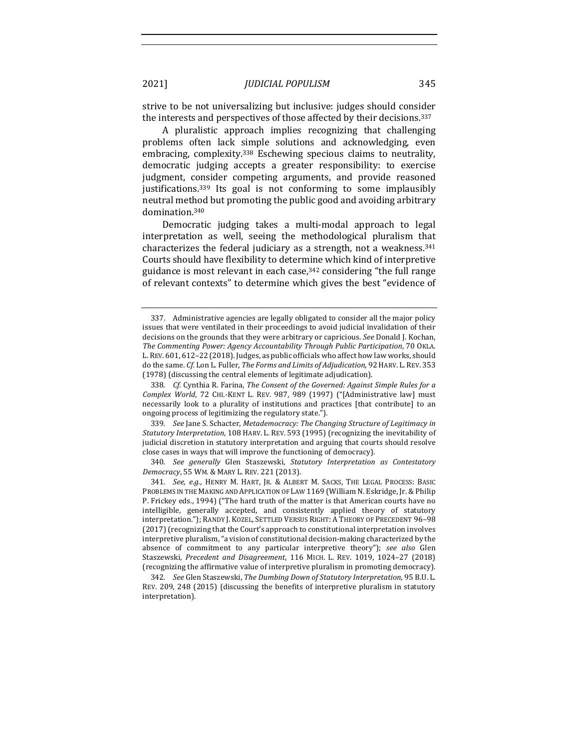strive to be not universalizing but inclusive: judges should consider the interests and perspectives of those affected by their decisions.<sup>337</sup>

A pluralistic approach implies recognizing that challenging problems often lack simple solutions and acknowledging, even embracing, complexity.<sup>338</sup> Eschewing specious claims to neutrality, democratic judging accepts a greater responsibility: to exercise judgment, consider competing arguments, and provide reasoned justifications.<sup>339</sup> Its goal is not conforming to some implausibly neutral method but promoting the public good and avoiding arbitrary domination.340

Democratic judging takes a multi-modal approach to legal interpretation as well, seeing the methodological pluralism that characterizes the federal judiciary as a strength, not a weakness. $341$ Courts should have flexibility to determine which kind of interpretive guidance is most relevant in each case,  $342$  considering "the full range of relevant contexts" to determine which gives the best "evidence of

339. See Jane S. Schacter, Metademocracy: The Changing Structure of Legitimacy in *Statutory Interpretation,* 108 HARV. L. REV. 593 (1995) (recognizing the inevitability of judicial discretion in statutory interpretation and arguing that courts should resolve close cases in ways that will improve the functioning of democracy).

340*. See generally*  Glen Staszewski, *Statutory Interpretation as Contestatory Democracy*, 55 WM. & MARY L. REV. 221 (2013).

<sup>337.</sup> Administrative agencies are legally obligated to consider all the major policy issues that were ventilated in their proceedings to avoid judicial invalidation of their decisions on the grounds that they were arbitrary or capricious. *See* Donald J. Kochan, The Commenting Power: Agency Accountability Through Public Participation, 70 OKLA. L. REV. 601, 612-22 (2018). Judges, as public officials who affect how law works, should do the same. *Cf.* Lon L. Fuller, *The Forms and Limits of Adjudication*, 92 HARV. L. REV. 353 (1978) (discussing the central elements of legitimate adjudication).

<sup>338.</sup> *Cf.* Cynthia R. Farina, The Consent of the Governed: Against Simple Rules for a Complex World, 72 CHI.-KENT L. REV. 987, 989 (1997) ("[Administrative law] must necessarily look to a plurality of institutions and practices [that contribute] to an ongoing process of legitimizing the regulatory state.").

<sup>341.</sup> *See, e.g.*, HENRY M. HART, JR. & ALBERT M. SACKS, THE LEGAL PROCESS: BASIC PROBLEMS IN THE MAKING AND APPLICATION OF LAW 1169 (William N. Eskridge, Jr. & Philip P. Frickey eds., 1994) ("The hard truth of the matter is that American courts have no intelligible, generally accepted, and consistently applied theory of statutory interpretation."); RANDY J. KOZEL, SETTLED VERSUS RIGHT: A THEORY OF PRECEDENT 96-98 (2017) (recognizing that the Court's approach to constitutional interpretation involves interpretive pluralism, "a vision of constitutional decision-making characterized by the absence of commitment to any particular interpretive theory"); see also Glen Staszewski, Precedent and Disagreement, 116 MICH. L. REV. 1019, 1024–27 (2018) (recognizing the affirmative value of interpretive pluralism in promoting democracy).

<sup>342.</sup> See Glen Staszewski, The Dumbing Down of Statutory Interpretation, 95 B.U. L. REV. 209, 248 (2015) (discussing the benefits of interpretive pluralism in statutory interpretation).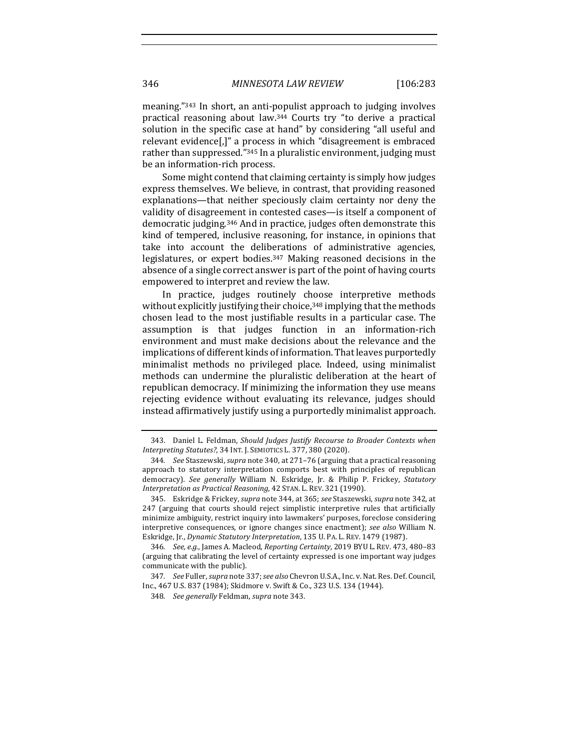meaning."<sup>343</sup> In short, an anti-populist approach to judging involves practical reasoning about law.<sup>344</sup> Courts try "to derive a practical solution in the specific case at hand" by considering "all useful and relevant evidence[,]" a process in which "disagreement is embraced rather than suppressed."<sup>345</sup> In a pluralistic environment, judging must be an information-rich process.

Some might contend that claiming certainty is simply how judges express themselves. We believe, in contrast, that providing reasoned explanations—that neither speciously claim certainty nor deny the validity of disagreement in contested cases—is itself a component of democratic judging.<sup>346</sup> And in practice, judges often demonstrate this kind of tempered, inclusive reasoning, for instance, in opinions that take into account the deliberations of administrative agencies, legislatures, or expert bodies. $347$  Making reasoned decisions in the absence of a single correct answer is part of the point of having courts empowered to interpret and review the law.

In practice, judges routinely choose interpretive methods without explicitly justifying their choice, $348$  implying that the methods chosen lead to the most justifiable results in a particular case. The assumption is that judges function in an information-rich environment and must make decisions about the relevance and the implications of different kinds of information. That leaves purportedly minimalist methods no privileged place. Indeed, using minimalist methods can undermine the pluralistic deliberation at the heart of republican democracy. If minimizing the information they use means rejecting evidence without evaluating its relevance, judges should instead affirmatively justify using a purportedly minimalist approach.

<sup>343.</sup> Daniel L. Feldman, *Should Judges Justify Recourse to Broader Contexts when Interpreting Statutes?*, 34 INT. J. SEMIOTICS L. 377, 380 (2020).

<sup>344.</sup> *See* Staszewski, *supra* note 340, at 271–76 (arguing that a practical reasoning approach to statutory interpretation comports best with principles of republican democracy). See generally William N. Eskridge, Jr. & Philip P. Frickey, Statutory Interpretation as Practical Reasoning, 42 STAN. L. REV. 321 (1990).

<sup>345.</sup> Eskridge & Frickey, *supra* note 344, at 365; see Staszewski, *supra* note 342, at 247 (arguing that courts should reject simplistic interpretive rules that artificially minimize ambiguity, restrict inquiry into lawmakers' purposes, foreclose considering interpretive consequences, or ignore changes since enactment); *see also* William N. Eskridge, Jr., *Dynamic Statutory Interpretation*, 135 U. PA. L. REV. 1479 (1987).

<sup>346.</sup> *See, e.g.*, James A. Macleod, *Reporting Certainty*, 2019 BYU L. REV. 473, 480-83 (arguing that calibrating the level of certainty expressed is one important way judges communicate with the public).

<sup>347.</sup> *See Fuller, supra note 337; see also Chevron U.S.A., Inc. v. Nat. Res. Def. Council,* Inc., 467 U.S. 837 (1984); Skidmore v. Swift & Co., 323 U.S. 134 (1944).

<sup>348.</sup> *See generally* Feldman, *supra* note 343.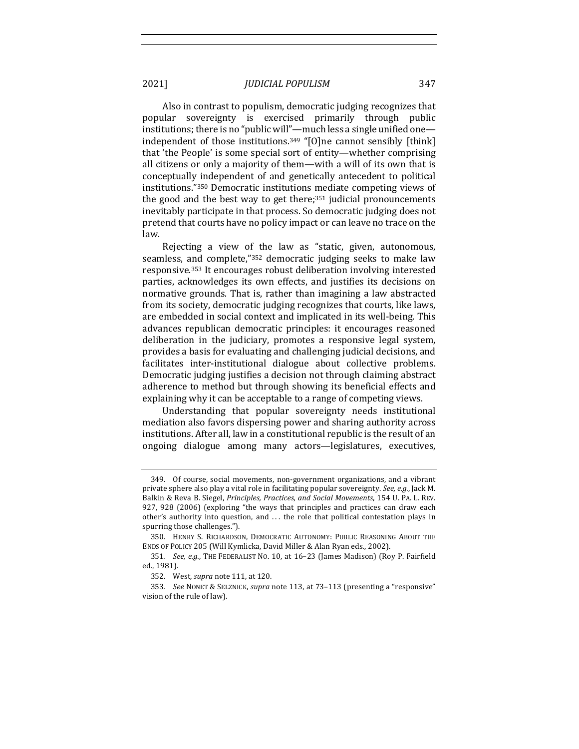Also in contrast to populism, democratic judging recognizes that popular sovereignty is exercised primarily through public institutions; there is no "public will"—much less a single unified one independent of those institutions.<sup>349</sup> "[O]ne cannot sensibly [think] that 'the People' is some special sort of entity—whether comprising all citizens or only a majority of them—with a will of its own that is conceptually independent of and genetically antecedent to political institutions."350 Democratic institutions mediate competing views of the good and the best way to get there; $351$  judicial pronouncements inevitably participate in that process. So democratic judging does not pretend that courts have no policy impact or can leave no trace on the law. 

Rejecting a view of the law as "static, given, autonomous, seamless, and complete,"<sup>352</sup> democratic judging seeks to make law responsive.<sup>353</sup> It encourages robust deliberation involving interested parties, acknowledges its own effects, and justifies its decisions on normative grounds. That is, rather than imagining a law abstracted from its society, democratic judging recognizes that courts, like laws, are embedded in social context and implicated in its well-being. This advances republican democratic principles: it encourages reasoned deliberation in the judiciary, promotes a responsive legal system, provides a basis for evaluating and challenging judicial decisions, and facilitates inter-institutional dialogue about collective problems. Democratic judging justifies a decision not through claiming abstract adherence to method but through showing its beneficial effects and explaining why it can be acceptable to a range of competing views.

Understanding that popular sovereignty needs institutional mediation also favors dispersing power and sharing authority across institutions. After all, law in a constitutional republic is the result of an ongoing dialogue among many actors—legislatures, executives,

<sup>349.</sup> Of course, social movements, non-government organizations, and a vibrant private sphere also play a vital role in facilitating popular sovereignty. See, e.g., Jack M. Balkin & Reva B. Siegel, *Principles, Practices, and Social Movements*, 154 U. PA. L. REV. 927, 928 (2006) (exploring "the ways that principles and practices can draw each other's authority into question, and  $\dots$  the role that political contestation plays in spurring those challenges.").

<sup>350.</sup> HENRY S. RICHARDSON, DEMOCRATIC AUTONOMY: PUBLIC REASONING ABOUT THE ENDS OF POLICY 205 (Will Kymlicka, David Miller & Alan Ryan eds., 2002).

<sup>351.</sup> *See, e.g.*, THE FEDERALIST NO. 10, at 16-23 (James Madison) (Roy P. Fairfield ed., 1981).

<sup>352.</sup> West, *supra* note 111, at 120.

<sup>353.</sup> See NONET & SELZNICK, *supra* note 113, at 73-113 (presenting a "responsive" vision of the rule of law).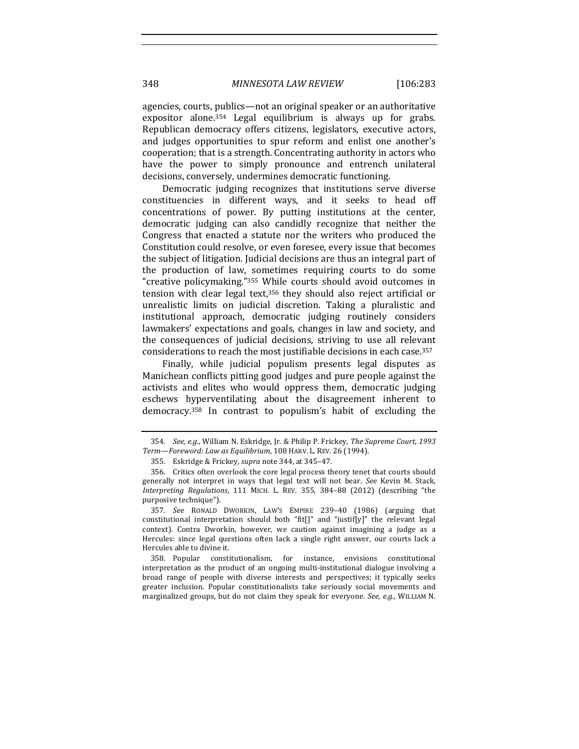348 *MINNESOTA LAW REVIEW* [106:283

agencies, courts, publics—not an original speaker or an authoritative expositor alone. $354$  Legal equilibrium is always up for grabs. Republican democracy offers citizens, legislators, executive actors, and judges opportunities to spur reform and enlist one another's cooperation; that is a strength. Concentrating authority in actors who have the power to simply pronounce and entrench unilateral decisions, conversely, undermines democratic functioning.

Democratic judging recognizes that institutions serve diverse constituencies in different ways, and it seeks to head off concentrations of power. By putting institutions at the center, democratic judging can also candidly recognize that neither the Congress that enacted a statute nor the writers who produced the Constitution could resolve, or even foresee, every issue that becomes the subject of litigation. Judicial decisions are thus an integral part of the production of law, sometimes requiring courts to do some "creative policymaking."<sup>355</sup> While courts should avoid outcomes in tension with clear legal text, $356$  they should also reject artificial or unrealistic limits on judicial discretion. Taking a pluralistic and institutional approach, democratic judging routinely considers lawmakers' expectations and goals, changes in law and society, and the consequences of judicial decisions, striving to use all relevant considerations to reach the most justifiable decisions in each case.<sup>357</sup>

Finally, while judicial populism presents legal disputes as Manichean conflicts pitting good judges and pure people against the activists and elites who would oppress them, democratic judging eschews hyperventilating about the disagreement inherent to democracy.<sup>358</sup> In contrast to populism's habit of excluding the

<sup>354.</sup> *See, e.g.*, William N. Eskridge, Jr. & Philip P. Frickey, *The Supreme Court, 1993* Term-Foreword: Law as Equilibrium, 108 HARV. L. REV. 26 (1994).

<sup>355.</sup> Eskridge & Frickey, *supra* note 344, at 345-47.

<sup>356.</sup> Critics often overlook the core legal process theory tenet that courts should generally not interpret in ways that legal text will not bear. See Kevin M. Stack, *Interpreting Regulations*, 111 MICH. L. REV. 355, 384–88 (2012) (describing "the purposive technique").

<sup>357.</sup> See RONALD DWORKIN, LAW'S EMPIRE 239-40 (1986) (arguing that constitutional interpretation should both "fit[]" and "justif[y]" the relevant legal context). Contra Dworkin, however, we caution against imagining a judge as a Hercules: since legal questions often lack a single right answer, our courts lack a Hercules able to divine it.

<sup>358.</sup> Popular constitutionalism, for instance, envisions constitutional interpretation as the product of an ongoing multi-institutional dialogue involving a broad range of people with diverse interests and perspectives; it typically seeks greater inclusion. Popular constitutionalists take seriously social movements and marginalized groups, but do not claim they speak for everyone. See, e.g., WILLIAM N.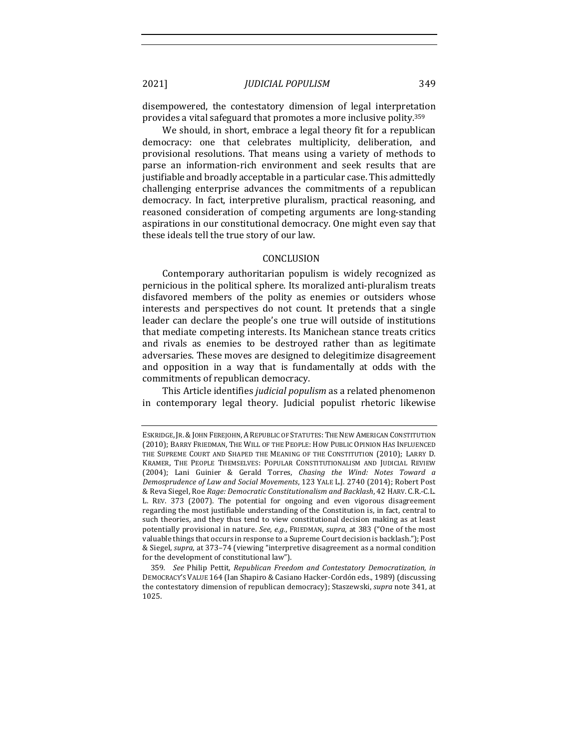disempowered, the contestatory dimension of legal interpretation provides a vital safeguard that promotes a more inclusive polity.<sup>359</sup>

We should, in short, embrace a legal theory fit for a republican democracy: one that celebrates multiplicity, deliberation, and provisional resolutions. That means using a variety of methods to parse an information-rich environment and seek results that are justifiable and broadly acceptable in a particular case. This admittedly challenging enterprise advances the commitments of a republican democracy. In fact, interpretive pluralism, practical reasoning, and reasoned consideration of competing arguments are long-standing aspirations in our constitutional democracy. One might even say that these ideals tell the true story of our law.

#### CONCLUSION

Contemporary authoritarian populism is widely recognized as pernicious in the political sphere. Its moralized anti-pluralism treats disfavored members of the polity as enemies or outsiders whose interests and perspectives do not count. It pretends that a single leader can declare the people's one true will outside of institutions that mediate competing interests. Its Manichean stance treats critics and rivals as enemies to be destroyed rather than as legitimate adversaries. These moves are designed to delegitimize disagreement and opposition in a way that is fundamentally at odds with the commitments of republican democracy.

This Article identifies *judicial populism* as a related phenomenon in contemporary legal theory. Judicial populist rhetoric likewise

359. See Philip Pettit, Republican Freedom and Contestatory Democratization, in DEMOCRACY'S VALUE 164 (Ian Shapiro & Casiano Hacker-Cordón eds., 1989) (discussing the contestatory dimension of republican democracy); Staszewski, *supra* note 341, at 1025.

ESKRIDGE, JR. & JOHN FEREJOHN, A REPUBLIC OF STATUTES: THE NEW AMERICAN CONSTITUTION (2010); BARRY FRIEDMAN, THE WILL OF THE PEOPLE: HOW PUBLIC OPINION HAS INFLUENCED THE SUPREME COURT AND SHAPED THE MEANING OF THE CONSTITUTION (2010); LARRY D. KRAMER, THE PEOPLE THEMSELVES: POPULAR CONSTITUTIONALISM AND JUDICIAL REVIEW (2004); Lani Guinier & Gerald Torres, *Chasing the Wind: Notes Toward a Demosprudence of Law and Social Movements*, 123 YALE L.J. 2740 (2014); Robert Post & Reva Siegel, Roe *Rage: Democratic Constitutionalism and Backlash*, 42 HARV. C.R.-C.L. L. REV. 373 (2007). The potential for ongoing and even vigorous disagreement regarding the most justifiable understanding of the Constitution is, in fact, central to such theories, and they thus tend to view constitutional decision making as at least potentially provisional in nature. *See, e.g.*, FRIEDMAN, *supra*, at 383 ("One of the most valuable things that occurs in response to a Supreme Court decision is backlash."); Post & Siegel, *supra*, at 373-74 (viewing "interpretive disagreement as a normal condition for the development of constitutional law").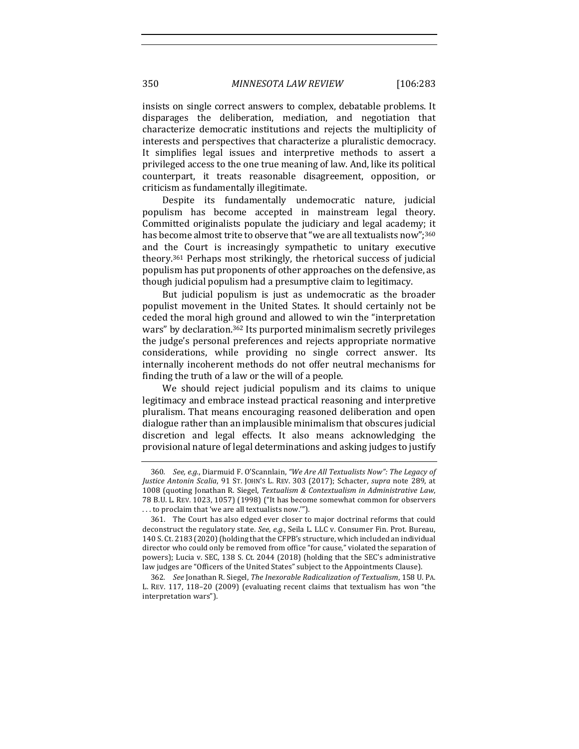insists on single correct answers to complex, debatable problems. It disparages the deliberation, mediation, and negotiation that characterize democratic institutions and rejects the multiplicity of interests and perspectives that characterize a pluralistic democracy. It simplifies legal issues and interpretive methods to assert a privileged access to the one true meaning of law. And, like its political counterpart, it treats reasonable disagreement, opposition, or criticism as fundamentally illegitimate.

Despite its fundamentally undemocratic nature, judicial populism has become accepted in mainstream legal theory. Committed originalists populate the judiciary and legal academy; it has become almost trite to observe that "we are all textualists now";<sup>360</sup> and the Court is increasingly sympathetic to unitary executive theory.<sup>361</sup> Perhaps most strikingly, the rhetorical success of judicial populism has put proponents of other approaches on the defensive, as though judicial populism had a presumptive claim to legitimacy.

But judicial populism is just as undemocratic as the broader populist movement in the United States. It should certainly not be ceded the moral high ground and allowed to win the "interpretation wars" by declaration.<sup>362</sup> Its purported minimalism secretly privileges the judge's personal preferences and rejects appropriate normative considerations, while providing no single correct answer. Its internally incoherent methods do not offer neutral mechanisms for finding the truth of a law or the will of a people.

We should reject judicial populism and its claims to unique legitimacy and embrace instead practical reasoning and interpretive pluralism. That means encouraging reasoned deliberation and open dialogue rather than an implausible minimalism that obscures judicial discretion and legal effects. It also means acknowledging the provisional nature of legal determinations and asking judges to justify

<sup>360.</sup> *See, e.g.*, Diarmuid F. O'Scannlain, *"We Are All Textualists Now": The Legacy of Justice Antonin Scalia*, 91 ST. JOHN'S L. REV. 303 (2017); Schacter, *supra* note 289, at 1008 (quoting Jonathan R. Siegel, *Textualism & Contextualism in Administrative Law*, 78 B.U. L. REV. 1023, 1057) (1998) ("It has become somewhat common for observers ... to proclaim that 'we are all textualists now."").

<sup>361.</sup> The Court has also edged ever closer to major doctrinal reforms that could deconstruct the regulatory state. *See, e.g.*, Seila L. LLC v. Consumer Fin. Prot. Bureau, 140 S. Ct. 2183 (2020) (holding that the CFPB's structure, which included an individual director who could only be removed from office "for cause," violated the separation of powers); Lucia v. SEC, 138 S. Ct. 2044 (2018) (holding that the SEC's administrative law judges are "Officers of the United States" subject to the Appointments Clause).

<sup>362</sup>*. See* Jonathan R. Siegel, *The Inexorable Radicalization of Textualism*, 158 U. PA. L. REV. 117, 118-20 (2009) (evaluating recent claims that textualism has won "the interpretation wars").